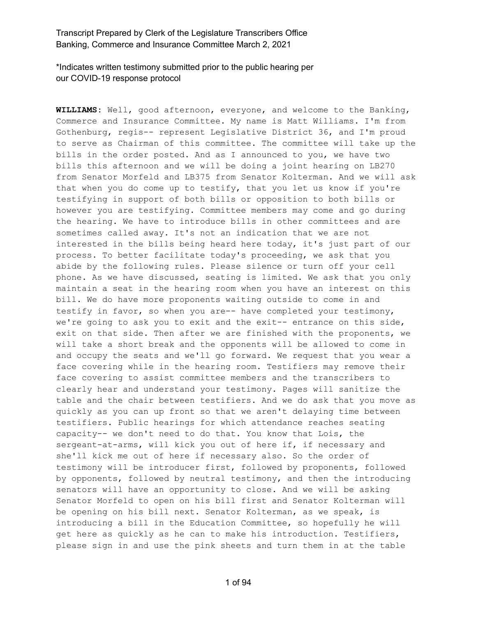\*Indicates written testimony submitted prior to the public hearing per our COVID-19 response protocol

**WILLIAMS:** Well, good afternoon, everyone, and welcome to the Banking, Commerce and Insurance Committee. My name is Matt Williams. I'm from Gothenburg, regis-- represent Legislative District 36, and I'm proud to serve as Chairman of this committee. The committee will take up the bills in the order posted. And as I announced to you, we have two bills this afternoon and we will be doing a joint hearing on LB270 from Senator Morfeld and LB375 from Senator Kolterman. And we will ask that when you do come up to testify, that you let us know if you're testifying in support of both bills or opposition to both bills or however you are testifying. Committee members may come and go during the hearing. We have to introduce bills in other committees and are sometimes called away. It's not an indication that we are not interested in the bills being heard here today, it's just part of our process. To better facilitate today's proceeding, we ask that you abide by the following rules. Please silence or turn off your cell phone. As we have discussed, seating is limited. We ask that you only maintain a seat in the hearing room when you have an interest on this bill. We do have more proponents waiting outside to come in and testify in favor, so when you are-- have completed your testimony, we're going to ask you to exit and the exit-- entrance on this side, exit on that side. Then after we are finished with the proponents, we will take a short break and the opponents will be allowed to come in and occupy the seats and we'll go forward. We request that you wear a face covering while in the hearing room. Testifiers may remove their face covering to assist committee members and the transcribers to clearly hear and understand your testimony. Pages will sanitize the table and the chair between testifiers. And we do ask that you move as quickly as you can up front so that we aren't delaying time between testifiers. Public hearings for which attendance reaches seating capacity-- we don't need to do that. You know that Lois, the sergeant-at-arms, will kick you out of here if, if necessary and she'll kick me out of here if necessary also. So the order of testimony will be introducer first, followed by proponents, followed by opponents, followed by neutral testimony, and then the introducing senators will have an opportunity to close. And we will be asking Senator Morfeld to open on his bill first and Senator Kolterman will be opening on his bill next. Senator Kolterman, as we speak, is introducing a bill in the Education Committee, so hopefully he will get here as quickly as he can to make his introduction. Testifiers, please sign in and use the pink sheets and turn them in at the table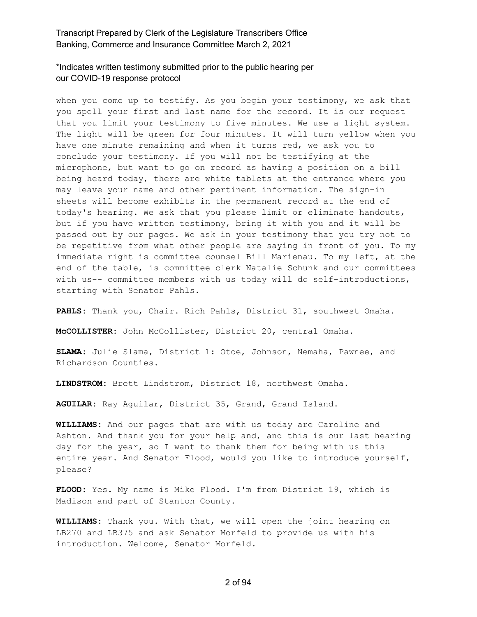# \*Indicates written testimony submitted prior to the public hearing per our COVID-19 response protocol

when you come up to testify. As you begin your testimony, we ask that you spell your first and last name for the record. It is our request that you limit your testimony to five minutes. We use a light system. The light will be green for four minutes. It will turn yellow when you have one minute remaining and when it turns red, we ask you to conclude your testimony. If you will not be testifying at the microphone, but want to go on record as having a position on a bill being heard today, there are white tablets at the entrance where you may leave your name and other pertinent information. The sign-in sheets will become exhibits in the permanent record at the end of today's hearing. We ask that you please limit or eliminate handouts, but if you have written testimony, bring it with you and it will be passed out by our pages. We ask in your testimony that you try not to be repetitive from what other people are saying in front of you. To my immediate right is committee counsel Bill Marienau. To my left, at the end of the table, is committee clerk Natalie Schunk and our committees with us-- committee members with us today will do self-introductions, starting with Senator Pahls.

**PAHLS:** Thank you, Chair. Rich Pahls, District 31, southwest Omaha.

**McCOLLISTER:** John McCollister, District 20, central Omaha.

**SLAMA:** Julie Slama, District 1: Otoe, Johnson, Nemaha, Pawnee, and Richardson Counties.

**LINDSTROM:** Brett Lindstrom, District 18, northwest Omaha.

**AGUILAR:** Ray Aguilar, District 35, Grand, Grand Island.

**WILLIAMS:** And our pages that are with us today are Caroline and Ashton. And thank you for your help and, and this is our last hearing day for the year, so I want to thank them for being with us this entire year. And Senator Flood, would you like to introduce yourself, please?

**FLOOD:** Yes. My name is Mike Flood. I'm from District 19, which is Madison and part of Stanton County.

**WILLIAMS:** Thank you. With that, we will open the joint hearing on LB270 and LB375 and ask Senator Morfeld to provide us with his introduction. Welcome, Senator Morfeld.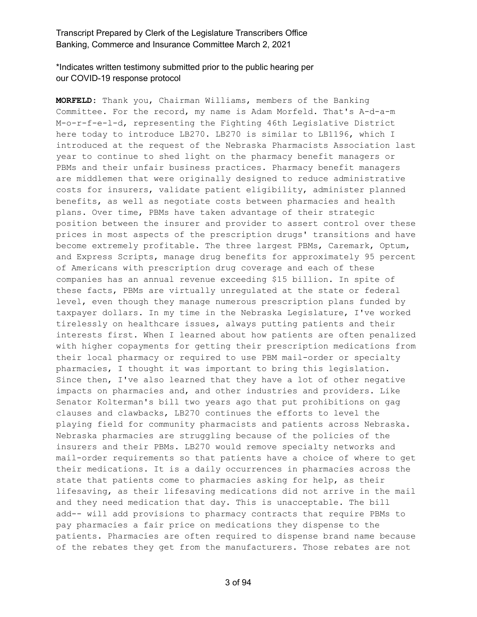# \*Indicates written testimony submitted prior to the public hearing per our COVID-19 response protocol

**MORFELD:** Thank you, Chairman Williams, members of the Banking Committee. For the record, my name is Adam Morfeld. That's A-d-a-m M-o-r-f-e-l-d, representing the Fighting 46th Legislative District here today to introduce LB270. LB270 is similar to LB1196, which I introduced at the request of the Nebraska Pharmacists Association last year to continue to shed light on the pharmacy benefit managers or PBMs and their unfair business practices. Pharmacy benefit managers are middlemen that were originally designed to reduce administrative costs for insurers, validate patient eligibility, administer planned benefits, as well as negotiate costs between pharmacies and health plans. Over time, PBMs have taken advantage of their strategic position between the insurer and provider to assert control over these prices in most aspects of the prescription drugs' transitions and have become extremely profitable. The three largest PBMs, Caremark, Optum, and Express Scripts, manage drug benefits for approximately 95 percent of Americans with prescription drug coverage and each of these companies has an annual revenue exceeding \$15 billion. In spite of these facts, PBMs are virtually unregulated at the state or federal level, even though they manage numerous prescription plans funded by taxpayer dollars. In my time in the Nebraska Legislature, I've worked tirelessly on healthcare issues, always putting patients and their interests first. When I learned about how patients are often penalized with higher copayments for getting their prescription medications from their local pharmacy or required to use PBM mail-order or specialty pharmacies, I thought it was important to bring this legislation. Since then, I've also learned that they have a lot of other negative impacts on pharmacies and, and other industries and providers. Like Senator Kolterman's bill two years ago that put prohibitions on gag clauses and clawbacks, LB270 continues the efforts to level the playing field for community pharmacists and patients across Nebraska. Nebraska pharmacies are struggling because of the policies of the insurers and their PBMs. LB270 would remove specialty networks and mail-order requirements so that patients have a choice of where to get their medications. It is a daily occurrences in pharmacies across the state that patients come to pharmacies asking for help, as their lifesaving, as their lifesaving medications did not arrive in the mail and they need medication that day. This is unacceptable. The bill add-- will add provisions to pharmacy contracts that require PBMs to pay pharmacies a fair price on medications they dispense to the patients. Pharmacies are often required to dispense brand name because of the rebates they get from the manufacturers. Those rebates are not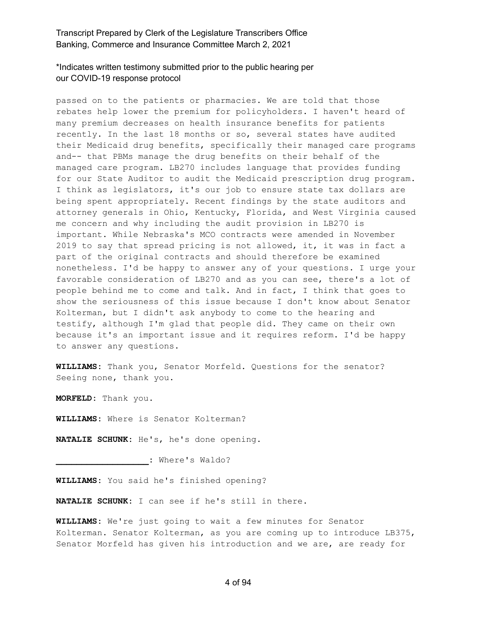# \*Indicates written testimony submitted prior to the public hearing per our COVID-19 response protocol

passed on to the patients or pharmacies. We are told that those rebates help lower the premium for policyholders. I haven't heard of many premium decreases on health insurance benefits for patients recently. In the last 18 months or so, several states have audited their Medicaid drug benefits, specifically their managed care programs and-- that PBMs manage the drug benefits on their behalf of the managed care program. LB270 includes language that provides funding for our State Auditor to audit the Medicaid prescription drug program. I think as legislators, it's our job to ensure state tax dollars are being spent appropriately. Recent findings by the state auditors and attorney generals in Ohio, Kentucky, Florida, and West Virginia caused me concern and why including the audit provision in LB270 is important. While Nebraska's MCO contracts were amended in November 2019 to say that spread pricing is not allowed, it, it was in fact a part of the original contracts and should therefore be examined nonetheless. I'd be happy to answer any of your questions. I urge your favorable consideration of LB270 and as you can see, there's a lot of people behind me to come and talk. And in fact, I think that goes to show the seriousness of this issue because I don't know about Senator Kolterman, but I didn't ask anybody to come to the hearing and testify, although I'm glad that people did. They came on their own because it's an important issue and it requires reform. I'd be happy to answer any questions.

**WILLIAMS:** Thank you, Senator Morfeld. Questions for the senator? Seeing none, thank you.

**MORFELD:** Thank you.

**WILLIAMS:** Where is Senator Kolterman?

**NATALIE SCHUNK:** He's, he's done opening.

**\_\_\_\_\_\_\_\_\_\_\_\_\_\_\_\_\_\_:** Where's Waldo?

**WILLIAMS:** You said he's finished opening?

**NATALIE SCHUNK:** I can see if he's still in there.

**WILLIAMS:** We're just going to wait a few minutes for Senator Kolterman. Senator Kolterman, as you are coming up to introduce LB375, Senator Morfeld has given his introduction and we are, are ready for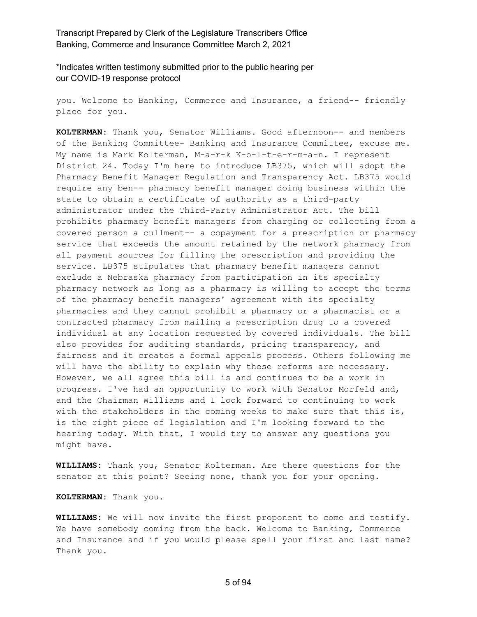\*Indicates written testimony submitted prior to the public hearing per our COVID-19 response protocol

you. Welcome to Banking, Commerce and Insurance, a friend-- friendly place for you.

**KOLTERMAN:** Thank you, Senator Williams. Good afternoon-- and members of the Banking Committee- Banking and Insurance Committee, excuse me. My name is Mark Kolterman, M-a-r-k K-o-l-t-e-r-m-a-n. I represent District 24. Today I'm here to introduce LB375, which will adopt the Pharmacy Benefit Manager Regulation and Transparency Act. LB375 would require any ben-- pharmacy benefit manager doing business within the state to obtain a certificate of authority as a third-party administrator under the Third-Party Administrator Act. The bill prohibits pharmacy benefit managers from charging or collecting from a covered person a cullment-- a copayment for a prescription or pharmacy service that exceeds the amount retained by the network pharmacy from all payment sources for filling the prescription and providing the service. LB375 stipulates that pharmacy benefit managers cannot exclude a Nebraska pharmacy from participation in its specialty pharmacy network as long as a pharmacy is willing to accept the terms of the pharmacy benefit managers' agreement with its specialty pharmacies and they cannot prohibit a pharmacy or a pharmacist or a contracted pharmacy from mailing a prescription drug to a covered individual at any location requested by covered individuals. The bill also provides for auditing standards, pricing transparency, and fairness and it creates a formal appeals process. Others following me will have the ability to explain why these reforms are necessary. However, we all agree this bill is and continues to be a work in progress. I've had an opportunity to work with Senator Morfeld and, and the Chairman Williams and I look forward to continuing to work with the stakeholders in the coming weeks to make sure that this is, is the right piece of legislation and I'm looking forward to the hearing today. With that, I would try to answer any questions you might have.

**WILLIAMS:** Thank you, Senator Kolterman. Are there questions for the senator at this point? Seeing none, thank you for your opening.

**KOLTERMAN:** Thank you.

**WILLIAMS:** We will now invite the first proponent to come and testify. We have somebody coming from the back. Welcome to Banking, Commerce and Insurance and if you would please spell your first and last name? Thank you.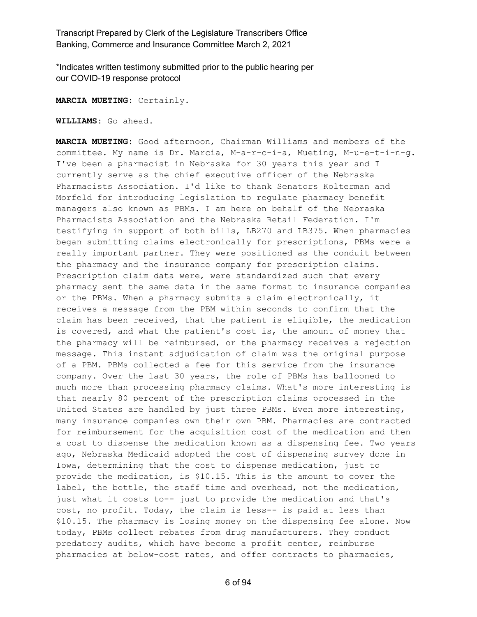\*Indicates written testimony submitted prior to the public hearing per our COVID-19 response protocol

**MARCIA MUETING:** Certainly.

**WILLIAMS:** Go ahead.

**MARCIA MUETING:** Good afternoon, Chairman Williams and members of the committee. My name is Dr. Marcia, M-a-r-c-i-a, Mueting, M-u-e-t-i-n-g. I've been a pharmacist in Nebraska for 30 years this year and I currently serve as the chief executive officer of the Nebraska Pharmacists Association. I'd like to thank Senators Kolterman and Morfeld for introducing legislation to regulate pharmacy benefit managers also known as PBMs. I am here on behalf of the Nebraska Pharmacists Association and the Nebraska Retail Federation. I'm testifying in support of both bills, LB270 and LB375. When pharmacies began submitting claims electronically for prescriptions, PBMs were a really important partner. They were positioned as the conduit between the pharmacy and the insurance company for prescription claims. Prescription claim data were, were standardized such that every pharmacy sent the same data in the same format to insurance companies or the PBMs. When a pharmacy submits a claim electronically, it receives a message from the PBM within seconds to confirm that the claim has been received, that the patient is eligible, the medication is covered, and what the patient's cost is, the amount of money that the pharmacy will be reimbursed, or the pharmacy receives a rejection message. This instant adjudication of claim was the original purpose of a PBM. PBMs collected a fee for this service from the insurance company. Over the last 30 years, the role of PBMs has ballooned to much more than processing pharmacy claims. What's more interesting is that nearly 80 percent of the prescription claims processed in the United States are handled by just three PBMs. Even more interesting, many insurance companies own their own PBM. Pharmacies are contracted for reimbursement for the acquisition cost of the medication and then a cost to dispense the medication known as a dispensing fee. Two years ago, Nebraska Medicaid adopted the cost of dispensing survey done in Iowa, determining that the cost to dispense medication, just to provide the medication, is \$10.15. This is the amount to cover the label, the bottle, the staff time and overhead, not the medication, just what it costs to-- just to provide the medication and that's cost, no profit. Today, the claim is less-- is paid at less than \$10.15. The pharmacy is losing money on the dispensing fee alone. Now today, PBMs collect rebates from drug manufacturers. They conduct predatory audits, which have become a profit center, reimburse pharmacies at below-cost rates, and offer contracts to pharmacies,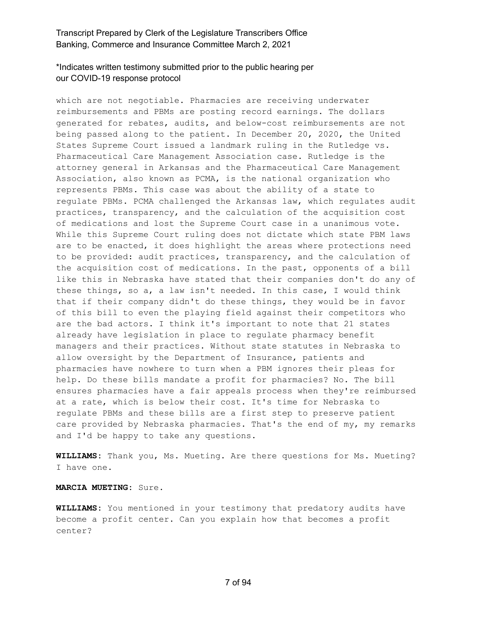# \*Indicates written testimony submitted prior to the public hearing per our COVID-19 response protocol

which are not negotiable. Pharmacies are receiving underwater reimbursements and PBMs are posting record earnings. The dollars generated for rebates, audits, and below-cost reimbursements are not being passed along to the patient. In December 20, 2020, the United States Supreme Court issued a landmark ruling in the Rutledge vs. Pharmaceutical Care Management Association case. Rutledge is the attorney general in Arkansas and the Pharmaceutical Care Management Association, also known as PCMA, is the national organization who represents PBMs. This case was about the ability of a state to regulate PBMs. PCMA challenged the Arkansas law, which regulates audit practices, transparency, and the calculation of the acquisition cost of medications and lost the Supreme Court case in a unanimous vote. While this Supreme Court ruling does not dictate which state PBM laws are to be enacted, it does highlight the areas where protections need to be provided: audit practices, transparency, and the calculation of the acquisition cost of medications. In the past, opponents of a bill like this in Nebraska have stated that their companies don't do any of these things, so a, a law isn't needed. In this case, I would think that if their company didn't do these things, they would be in favor of this bill to even the playing field against their competitors who are the bad actors. I think it's important to note that 21 states already have legislation in place to regulate pharmacy benefit managers and their practices. Without state statutes in Nebraska to allow oversight by the Department of Insurance, patients and pharmacies have nowhere to turn when a PBM ignores their pleas for help. Do these bills mandate a profit for pharmacies? No. The bill ensures pharmacies have a fair appeals process when they're reimbursed at a rate, which is below their cost. It's time for Nebraska to regulate PBMs and these bills are a first step to preserve patient care provided by Nebraska pharmacies. That's the end of my, my remarks and I'd be happy to take any questions.

**WILLIAMS:** Thank you, Ms. Mueting. Are there questions for Ms. Mueting? I have one.

#### **MARCIA MUETING:** Sure.

**WILLIAMS:** You mentioned in your testimony that predatory audits have become a profit center. Can you explain how that becomes a profit center?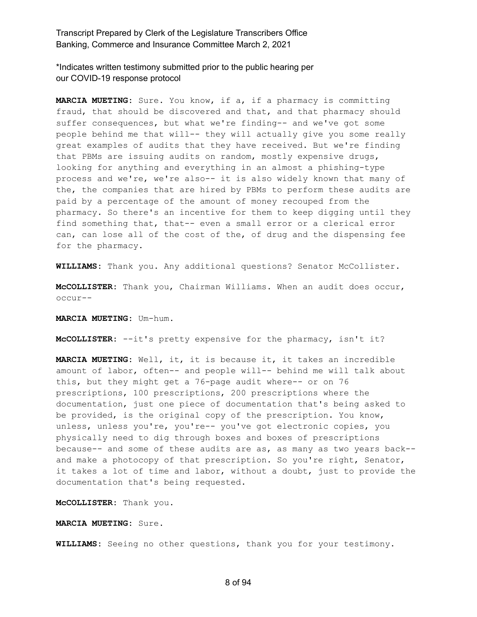\*Indicates written testimony submitted prior to the public hearing per our COVID-19 response protocol

**MARCIA MUETING:** Sure. You know, if a, if a pharmacy is committing fraud, that should be discovered and that, and that pharmacy should suffer consequences, but what we're finding-- and we've got some people behind me that will-- they will actually give you some really great examples of audits that they have received. But we're finding that PBMs are issuing audits on random, mostly expensive drugs, looking for anything and everything in an almost a phishing-type process and we're, we're also-- it is also widely known that many of the, the companies that are hired by PBMs to perform these audits are paid by a percentage of the amount of money recouped from the pharmacy. So there's an incentive for them to keep digging until they find something that, that-- even a small error or a clerical error can, can lose all of the cost of the, of drug and the dispensing fee for the pharmacy.

**WILLIAMS:** Thank you. Any additional questions? Senator McCollister.

**McCOLLISTER:** Thank you, Chairman Williams. When an audit does occur, occur--

**MARCIA MUETING:** Um-hum.

**McCOLLISTER:** --it's pretty expensive for the pharmacy, isn't it?

**MARCIA MUETING:** Well, it, it is because it, it takes an incredible amount of labor, often-- and people will-- behind me will talk about this, but they might get a 76-page audit where-- or on 76 prescriptions, 100 prescriptions, 200 prescriptions where the documentation, just one piece of documentation that's being asked to be provided, is the original copy of the prescription. You know, unless, unless you're, you're-- you've got electronic copies, you physically need to dig through boxes and boxes of prescriptions because-- and some of these audits are as, as many as two years back- and make a photocopy of that prescription. So you're right, Senator, it takes a lot of time and labor, without a doubt, just to provide the documentation that's being requested.

**McCOLLISTER:** Thank you.

**MARCIA MUETING:** Sure.

**WILLIAMS:** Seeing no other questions, thank you for your testimony.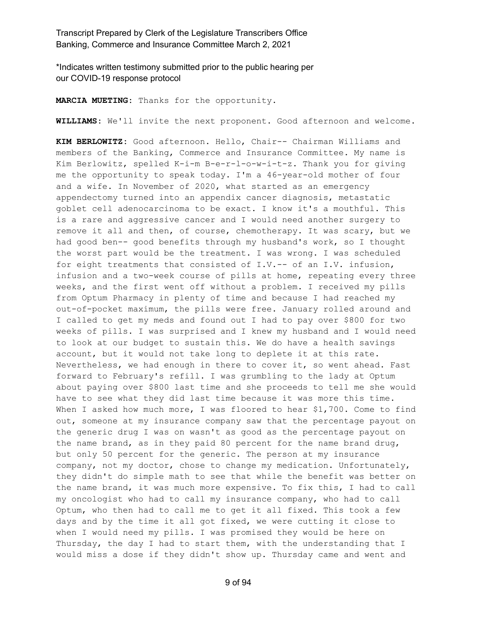\*Indicates written testimony submitted prior to the public hearing per our COVID-19 response protocol

**MARCIA MUETING:** Thanks for the opportunity.

**WILLIAMS:** We'll invite the next proponent. Good afternoon and welcome.

**KIM BERLOWITZ:** Good afternoon. Hello, Chair-- Chairman Williams and members of the Banking, Commerce and Insurance Committee. My name is Kim Berlowitz, spelled K-i-m B-e-r-l-o-w-i-t-z. Thank you for giving me the opportunity to speak today. I'm a 46-year-old mother of four and a wife. In November of 2020, what started as an emergency appendectomy turned into an appendix cancer diagnosis, metastatic goblet cell adenocarcinoma to be exact. I know it's a mouthful. This is a rare and aggressive cancer and I would need another surgery to remove it all and then, of course, chemotherapy. It was scary, but we had good ben-- good benefits through my husband's work, so I thought the worst part would be the treatment. I was wrong. I was scheduled for eight treatments that consisted of I.V.-- of an I.V. infusion, infusion and a two-week course of pills at home, repeating every three weeks, and the first went off without a problem. I received my pills from Optum Pharmacy in plenty of time and because I had reached my out-of-pocket maximum, the pills were free. January rolled around and I called to get my meds and found out I had to pay over \$800 for two weeks of pills. I was surprised and I knew my husband and I would need to look at our budget to sustain this. We do have a health savings account, but it would not take long to deplete it at this rate. Nevertheless, we had enough in there to cover it, so went ahead. Fast forward to February's refill. I was grumbling to the lady at Optum about paying over \$800 last time and she proceeds to tell me she would have to see what they did last time because it was more this time. When I asked how much more, I was floored to hear \$1,700. Come to find out, someone at my insurance company saw that the percentage payout on the generic drug I was on wasn't as good as the percentage payout on the name brand, as in they paid 80 percent for the name brand drug, but only 50 percent for the generic. The person at my insurance company, not my doctor, chose to change my medication. Unfortunately, they didn't do simple math to see that while the benefit was better on the name brand, it was much more expensive. To fix this, I had to call my oncologist who had to call my insurance company, who had to call Optum, who then had to call me to get it all fixed. This took a few days and by the time it all got fixed, we were cutting it close to when I would need my pills. I was promised they would be here on Thursday, the day I had to start them, with the understanding that I would miss a dose if they didn't show up. Thursday came and went and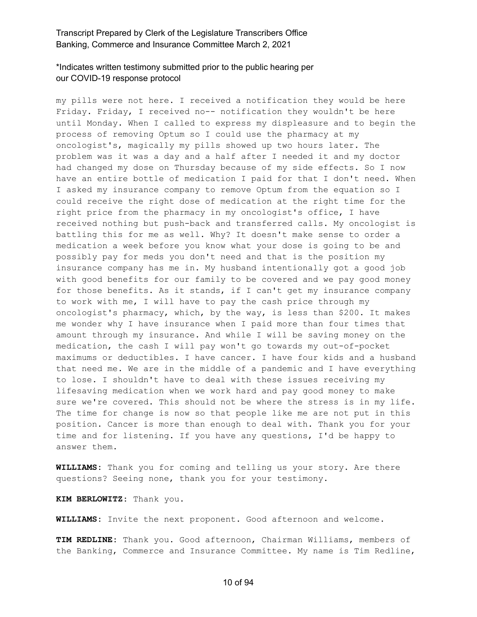# \*Indicates written testimony submitted prior to the public hearing per our COVID-19 response protocol

my pills were not here. I received a notification they would be here Friday. Friday, I received no-- notification they wouldn't be here until Monday. When I called to express my displeasure and to begin the process of removing Optum so I could use the pharmacy at my oncologist's, magically my pills showed up two hours later. The problem was it was a day and a half after I needed it and my doctor had changed my dose on Thursday because of my side effects. So I now have an entire bottle of medication I paid for that I don't need. When I asked my insurance company to remove Optum from the equation so I could receive the right dose of medication at the right time for the right price from the pharmacy in my oncologist's office, I have received nothing but push-back and transferred calls. My oncologist is battling this for me as well. Why? It doesn't make sense to order a medication a week before you know what your dose is going to be and possibly pay for meds you don't need and that is the position my insurance company has me in. My husband intentionally got a good job with good benefits for our family to be covered and we pay good money for those benefits. As it stands, if I can't get my insurance company to work with me, I will have to pay the cash price through my oncologist's pharmacy, which, by the way, is less than \$200. It makes me wonder why I have insurance when I paid more than four times that amount through my insurance. And while I will be saving money on the medication, the cash I will pay won't go towards my out-of-pocket maximums or deductibles. I have cancer. I have four kids and a husband that need me. We are in the middle of a pandemic and I have everything to lose. I shouldn't have to deal with these issues receiving my lifesaving medication when we work hard and pay good money to make sure we're covered. This should not be where the stress is in my life. The time for change is now so that people like me are not put in this position. Cancer is more than enough to deal with. Thank you for your time and for listening. If you have any questions, I'd be happy to answer them.

**WILLIAMS:** Thank you for coming and telling us your story. Are there questions? Seeing none, thank you for your testimony.

**KIM BERLOWITZ:** Thank you.

**WILLIAMS:** Invite the next proponent. Good afternoon and welcome.

**TIM REDLINE:** Thank you. Good afternoon, Chairman Williams, members of the Banking, Commerce and Insurance Committee. My name is Tim Redline,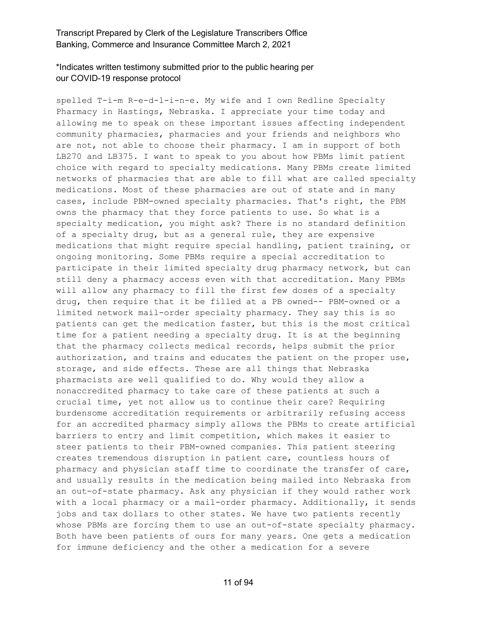# \*Indicates written testimony submitted prior to the public hearing per our COVID-19 response protocol

spelled T-i-m R-e-d-l-i-n-e. My wife and I own Redline Specialty Pharmacy in Hastings, Nebraska. I appreciate your time today and allowing me to speak on these important issues affecting independent community pharmacies, pharmacies and your friends and neighbors who are not, not able to choose their pharmacy. I am in support of both LB270 and LB375. I want to speak to you about how PBMs limit patient choice with regard to specialty medications. Many PBMs create limited networks of pharmacies that are able to fill what are called specialty medications. Most of these pharmacies are out of state and in many cases, include PBM-owned specialty pharmacies. That's right, the PBM owns the pharmacy that they force patients to use. So what is a specialty medication, you might ask? There is no standard definition of a specialty drug, but as a general rule, they are expensive medications that might require special handling, patient training, or ongoing monitoring. Some PBMs require a special accreditation to participate in their limited specialty drug pharmacy network, but can still deny a pharmacy access even with that accreditation. Many PBMs will allow any pharmacy to fill the first few doses of a specialty drug, then require that it be filled at a PB owned-- PBM-owned or a limited network mail-order specialty pharmacy. They say this is so patients can get the medication faster, but this is the most critical time for a patient needing a specialty drug. It is at the beginning that the pharmacy collects medical records, helps submit the prior authorization, and trains and educates the patient on the proper use, storage, and side effects. These are all things that Nebraska pharmacists are well qualified to do. Why would they allow a nonaccredited pharmacy to take care of these patients at such a crucial time, yet not allow us to continue their care? Requiring burdensome accreditation requirements or arbitrarily refusing access for an accredited pharmacy simply allows the PBMs to create artificial barriers to entry and limit competition, which makes it easier to steer patients to their PBM-owned companies. This patient steering creates tremendous disruption in patient care, countless hours of pharmacy and physician staff time to coordinate the transfer of care, and usually results in the medication being mailed into Nebraska from an out-of-state pharmacy. Ask any physician if they would rather work with a local pharmacy or a mail-order pharmacy. Additionally, it sends jobs and tax dollars to other states. We have two patients recently whose PBMs are forcing them to use an out-of-state specialty pharmacy. Both have been patients of ours for many years. One gets a medication for immune deficiency and the other a medication for a severe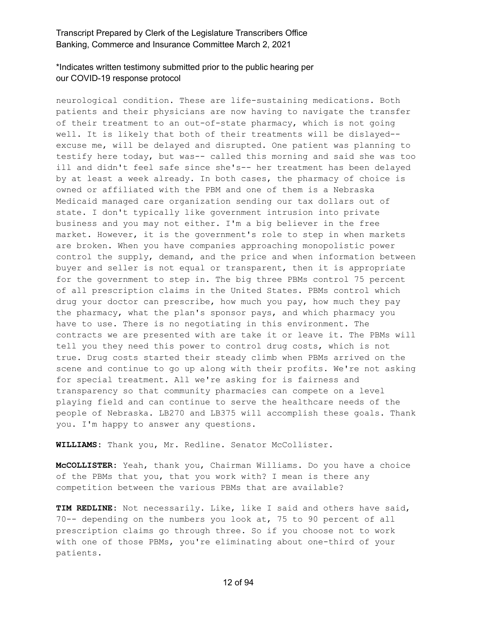# \*Indicates written testimony submitted prior to the public hearing per our COVID-19 response protocol

neurological condition. These are life-sustaining medications. Both patients and their physicians are now having to navigate the transfer of their treatment to an out-of-state pharmacy, which is not going well. It is likely that both of their treatments will be dislayed- excuse me, will be delayed and disrupted. One patient was planning to testify here today, but was-- called this morning and said she was too ill and didn't feel safe since she's-- her treatment has been delayed by at least a week already. In both cases, the pharmacy of choice is owned or affiliated with the PBM and one of them is a Nebraska Medicaid managed care organization sending our tax dollars out of state. I don't typically like government intrusion into private business and you may not either. I'm a big believer in the free market. However, it is the government's role to step in when markets are broken. When you have companies approaching monopolistic power control the supply, demand, and the price and when information between buyer and seller is not equal or transparent, then it is appropriate for the government to step in. The big three PBMs control 75 percent of all prescription claims in the United States. PBMs control which drug your doctor can prescribe, how much you pay, how much they pay the pharmacy, what the plan's sponsor pays, and which pharmacy you have to use. There is no negotiating in this environment. The contracts we are presented with are take it or leave it. The PBMs will tell you they need this power to control drug costs, which is not true. Drug costs started their steady climb when PBMs arrived on the scene and continue to go up along with their profits. We're not asking for special treatment. All we're asking for is fairness and transparency so that community pharmacies can compete on a level playing field and can continue to serve the healthcare needs of the people of Nebraska. LB270 and LB375 will accomplish these goals. Thank you. I'm happy to answer any questions.

**WILLIAMS:** Thank you, Mr. Redline. Senator McCollister.

**McCOLLISTER:** Yeah, thank you, Chairman Williams. Do you have a choice of the PBMs that you, that you work with? I mean is there any competition between the various PBMs that are available?

**TIM REDLINE:** Not necessarily. Like, like I said and others have said, 70-- depending on the numbers you look at, 75 to 90 percent of all prescription claims go through three. So if you choose not to work with one of those PBMs, you're eliminating about one-third of your patients.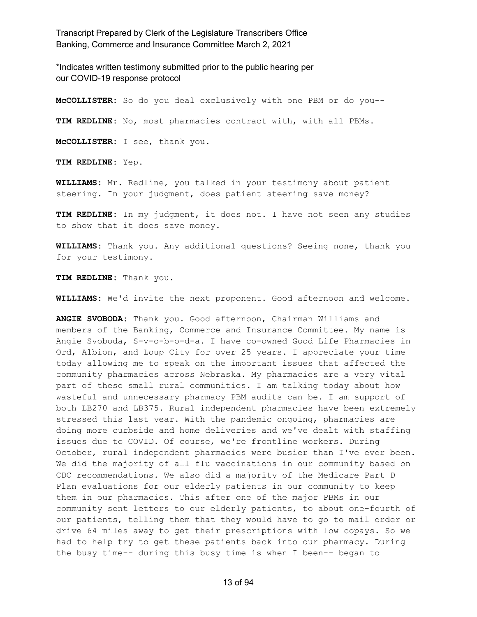\*Indicates written testimony submitted prior to the public hearing per our COVID-19 response protocol

**McCOLLISTER:** So do you deal exclusively with one PBM or do you-- **TIM REDLINE:** No, most pharmacies contract with, with all PBMs. **McCOLLISTER:** I see, thank you.

**TIM REDLINE:** Yep.

**WILLIAMS:** Mr. Redline, you talked in your testimony about patient steering. In your judgment, does patient steering save money?

**TIM REDLINE:** In my judgment, it does not. I have not seen any studies to show that it does save money.

**WILLIAMS:** Thank you. Any additional questions? Seeing none, thank you for your testimony.

**TIM REDLINE:** Thank you.

**WILLIAMS:** We'd invite the next proponent. Good afternoon and welcome.

**ANGIE SVOBODA:** Thank you. Good afternoon, Chairman Williams and members of the Banking, Commerce and Insurance Committee. My name is Angie Svoboda, S-v-o-b-o-d-a. I have co-owned Good Life Pharmacies in Ord, Albion, and Loup City for over 25 years. I appreciate your time today allowing me to speak on the important issues that affected the community pharmacies across Nebraska. My pharmacies are a very vital part of these small rural communities. I am talking today about how wasteful and unnecessary pharmacy PBM audits can be. I am support of both LB270 and LB375. Rural independent pharmacies have been extremely stressed this last year. With the pandemic ongoing, pharmacies are doing more curbside and home deliveries and we've dealt with staffing issues due to COVID. Of course, we're frontline workers. During October, rural independent pharmacies were busier than I've ever been. We did the majority of all flu vaccinations in our community based on CDC recommendations. We also did a majority of the Medicare Part D Plan evaluations for our elderly patients in our community to keep them in our pharmacies. This after one of the major PBMs in our community sent letters to our elderly patients, to about one-fourth of our patients, telling them that they would have to go to mail order or drive 64 miles away to get their prescriptions with low copays. So we had to help try to get these patients back into our pharmacy. During the busy time-- during this busy time is when I been-- began to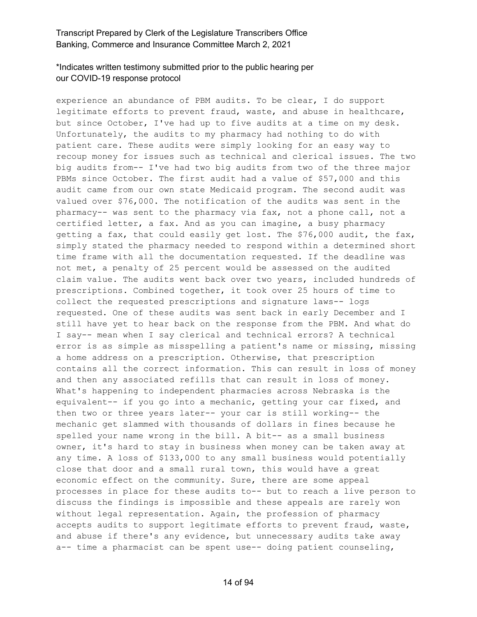# \*Indicates written testimony submitted prior to the public hearing per our COVID-19 response protocol

experience an abundance of PBM audits. To be clear, I do support legitimate efforts to prevent fraud, waste, and abuse in healthcare, but since October, I've had up to five audits at a time on my desk. Unfortunately, the audits to my pharmacy had nothing to do with patient care. These audits were simply looking for an easy way to recoup money for issues such as technical and clerical issues. The two big audits from-- I've had two big audits from two of the three major PBMs since October. The first audit had a value of \$57,000 and this audit came from our own state Medicaid program. The second audit was valued over \$76,000. The notification of the audits was sent in the pharmacy-- was sent to the pharmacy via fax, not a phone call, not a certified letter, a fax. And as you can imagine, a busy pharmacy getting a fax, that could easily get lost. The \$76,000 audit, the fax, simply stated the pharmacy needed to respond within a determined short time frame with all the documentation requested. If the deadline was not met, a penalty of 25 percent would be assessed on the audited claim value. The audits went back over two years, included hundreds of prescriptions. Combined together, it took over 25 hours of time to collect the requested prescriptions and signature laws-- logs requested. One of these audits was sent back in early December and I still have yet to hear back on the response from the PBM. And what do I say-- mean when I say clerical and technical errors? A technical error is as simple as misspelling a patient's name or missing, missing a home address on a prescription. Otherwise, that prescription contains all the correct information. This can result in loss of money and then any associated refills that can result in loss of money. What's happening to independent pharmacies across Nebraska is the equivalent-- if you go into a mechanic, getting your car fixed, and then two or three years later-- your car is still working-- the mechanic get slammed with thousands of dollars in fines because he spelled your name wrong in the bill. A bit-- as a small business owner, it's hard to stay in business when money can be taken away at any time. A loss of \$133,000 to any small business would potentially close that door and a small rural town, this would have a great economic effect on the community. Sure, there are some appeal processes in place for these audits to-- but to reach a live person to discuss the findings is impossible and these appeals are rarely won without legal representation. Again, the profession of pharmacy accepts audits to support legitimate efforts to prevent fraud, waste, and abuse if there's any evidence, but unnecessary audits take away a-- time a pharmacist can be spent use-- doing patient counseling,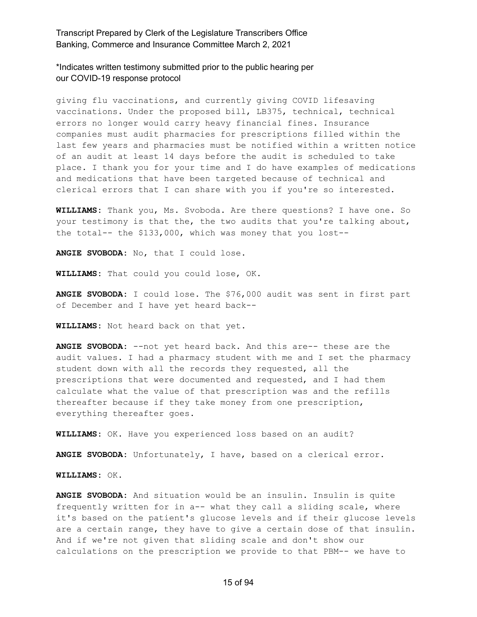\*Indicates written testimony submitted prior to the public hearing per our COVID-19 response protocol

giving flu vaccinations, and currently giving COVID lifesaving vaccinations. Under the proposed bill, LB375, technical, technical errors no longer would carry heavy financial fines. Insurance companies must audit pharmacies for prescriptions filled within the last few years and pharmacies must be notified within a written notice of an audit at least 14 days before the audit is scheduled to take place. I thank you for your time and I do have examples of medications and medications that have been targeted because of technical and clerical errors that I can share with you if you're so interested.

**WILLIAMS:** Thank you, Ms. Svoboda. Are there questions? I have one. So your testimony is that the, the two audits that you're talking about, the total-- the \$133,000, which was money that you lost--

**ANGIE SVOBODA:** No, that I could lose.

**WILLIAMS:** That could you could lose, OK.

**ANGIE SVOBODA:** I could lose. The \$76,000 audit was sent in first part of December and I have yet heard back--

**WILLIAMS:** Not heard back on that yet.

**ANGIE SVOBODA:** --not yet heard back. And this are-- these are the audit values. I had a pharmacy student with me and I set the pharmacy student down with all the records they requested, all the prescriptions that were documented and requested, and I had them calculate what the value of that prescription was and the refills thereafter because if they take money from one prescription, everything thereafter goes.

**WILLIAMS:** OK. Have you experienced loss based on an audit?

**ANGIE SVOBODA:** Unfortunately, I have, based on a clerical error.

**WILLIAMS:** OK.

**ANGIE SVOBODA:** And situation would be an insulin. Insulin is quite frequently written for in a-- what they call a sliding scale, where it's based on the patient's glucose levels and if their glucose levels are a certain range, they have to give a certain dose of that insulin. And if we're not given that sliding scale and don't show our calculations on the prescription we provide to that PBM-- we have to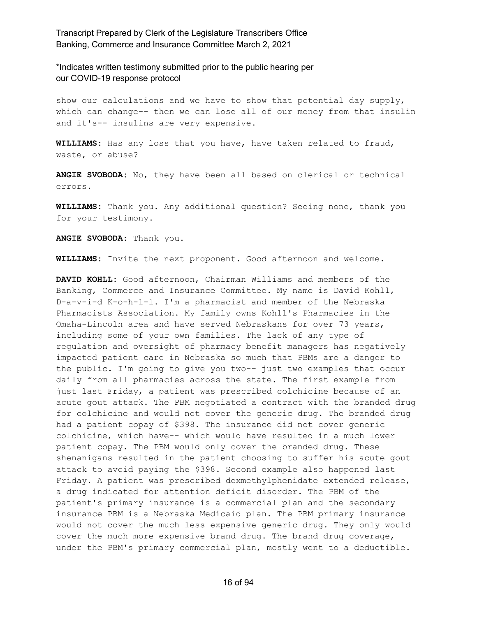\*Indicates written testimony submitted prior to the public hearing per our COVID-19 response protocol

show our calculations and we have to show that potential day supply, which can change-- then we can lose all of our money from that insulin and it's-- insulins are very expensive.

**WILLIAMS:** Has any loss that you have, have taken related to fraud, waste, or abuse?

**ANGIE SVOBODA:** No, they have been all based on clerical or technical errors.

**WILLIAMS:** Thank you. Any additional question? Seeing none, thank you for your testimony.

**ANGIE SVOBODA:** Thank you.

**WILLIAMS:** Invite the next proponent. Good afternoon and welcome.

**DAVID KOHLL:** Good afternoon, Chairman Williams and members of the Banking, Commerce and Insurance Committee. My name is David Kohll, D-a-v-i-d K-o-h-l-l. I'm a pharmacist and member of the Nebraska Pharmacists Association. My family owns Kohll's Pharmacies in the Omaha-Lincoln area and have served Nebraskans for over 73 years, including some of your own families. The lack of any type of regulation and oversight of pharmacy benefit managers has negatively impacted patient care in Nebraska so much that PBMs are a danger to the public. I'm going to give you two-- just two examples that occur daily from all pharmacies across the state. The first example from just last Friday, a patient was prescribed colchicine because of an acute gout attack. The PBM negotiated a contract with the branded drug for colchicine and would not cover the generic drug. The branded drug had a patient copay of \$398. The insurance did not cover generic colchicine, which have-- which would have resulted in a much lower patient copay. The PBM would only cover the branded drug. These shenanigans resulted in the patient choosing to suffer his acute gout attack to avoid paying the \$398. Second example also happened last Friday. A patient was prescribed dexmethylphenidate extended release, a drug indicated for attention deficit disorder. The PBM of the patient's primary insurance is a commercial plan and the secondary insurance PBM is a Nebraska Medicaid plan. The PBM primary insurance would not cover the much less expensive generic drug. They only would cover the much more expensive brand drug. The brand drug coverage, under the PBM's primary commercial plan, mostly went to a deductible.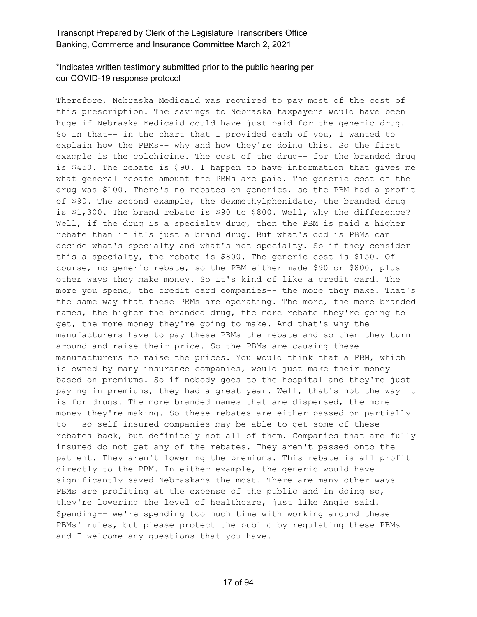# \*Indicates written testimony submitted prior to the public hearing per our COVID-19 response protocol

Therefore, Nebraska Medicaid was required to pay most of the cost of this prescription. The savings to Nebraska taxpayers would have been huge if Nebraska Medicaid could have just paid for the generic drug. So in that-- in the chart that I provided each of you, I wanted to explain how the PBMs-- why and how they're doing this. So the first example is the colchicine. The cost of the drug-- for the branded drug is \$450. The rebate is \$90. I happen to have information that gives me what general rebate amount the PBMs are paid. The generic cost of the drug was \$100. There's no rebates on generics, so the PBM had a profit of \$90. The second example, the dexmethylphenidate, the branded drug is \$1,300. The brand rebate is \$90 to \$800. Well, why the difference? Well, if the drug is a specialty drug, then the PBM is paid a higher rebate than if it's just a brand drug. But what's odd is PBMs can decide what's specialty and what's not specialty. So if they consider this a specialty, the rebate is \$800. The generic cost is \$150. Of course, no generic rebate, so the PBM either made \$90 or \$800, plus other ways they make money. So it's kind of like a credit card. The more you spend, the credit card companies-- the more they make. That's the same way that these PBMs are operating. The more, the more branded names, the higher the branded drug, the more rebate they're going to get, the more money they're going to make. And that's why the manufacturers have to pay these PBMs the rebate and so then they turn around and raise their price. So the PBMs are causing these manufacturers to raise the prices. You would think that a PBM, which is owned by many insurance companies, would just make their money based on premiums. So if nobody goes to the hospital and they're just paying in premiums, they had a great year. Well, that's not the way it is for drugs. The more branded names that are dispensed, the more money they're making. So these rebates are either passed on partially to-- so self-insured companies may be able to get some of these rebates back, but definitely not all of them. Companies that are fully insured do not get any of the rebates. They aren't passed onto the patient. They aren't lowering the premiums. This rebate is all profit directly to the PBM. In either example, the generic would have significantly saved Nebraskans the most. There are many other ways PBMs are profiting at the expense of the public and in doing so, they're lowering the level of healthcare, just like Angie said. Spending-- we're spending too much time with working around these PBMs' rules, but please protect the public by regulating these PBMs and I welcome any questions that you have.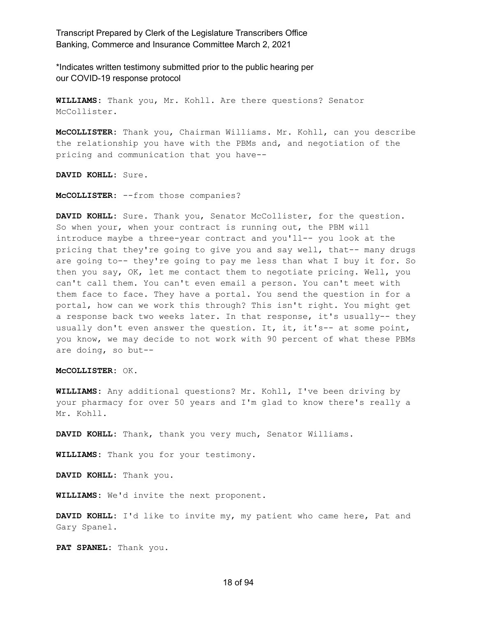\*Indicates written testimony submitted prior to the public hearing per our COVID-19 response protocol

**WILLIAMS:** Thank you, Mr. Kohll. Are there questions? Senator McCollister.

**McCOLLISTER:** Thank you, Chairman Williams. Mr. Kohll, can you describe the relationship you have with the PBMs and, and negotiation of the pricing and communication that you have--

**DAVID KOHLL:** Sure.

**McCOLLISTER:** --from those companies?

**DAVID KOHLL:** Sure. Thank you, Senator McCollister, for the question. So when your, when your contract is running out, the PBM will introduce maybe a three-year contract and you'll-- you look at the pricing that they're going to give you and say well, that-- many drugs are going to-- they're going to pay me less than what I buy it for. So then you say, OK, let me contact them to negotiate pricing. Well, you can't call them. You can't even email a person. You can't meet with them face to face. They have a portal. You send the question in for a portal, how can we work this through? This isn't right. You might get a response back two weeks later. In that response, it's usually-- they usually don't even answer the question. It, it, it's-- at some point, you know, we may decide to not work with 90 percent of what these PBMs are doing, so but--

#### **McCOLLISTER:** OK.

**WILLIAMS:** Any additional questions? Mr. Kohll, I've been driving by your pharmacy for over 50 years and I'm glad to know there's really a Mr. Kohll.

**DAVID KOHLL:** Thank, thank you very much, Senator Williams.

**WILLIAMS:** Thank you for your testimony.

**DAVID KOHLL:** Thank you.

**WILLIAMS:** We'd invite the next proponent.

**DAVID KOHLL:** I'd like to invite my, my patient who came here, Pat and Gary Spanel.

**PAT SPANEL:** Thank you.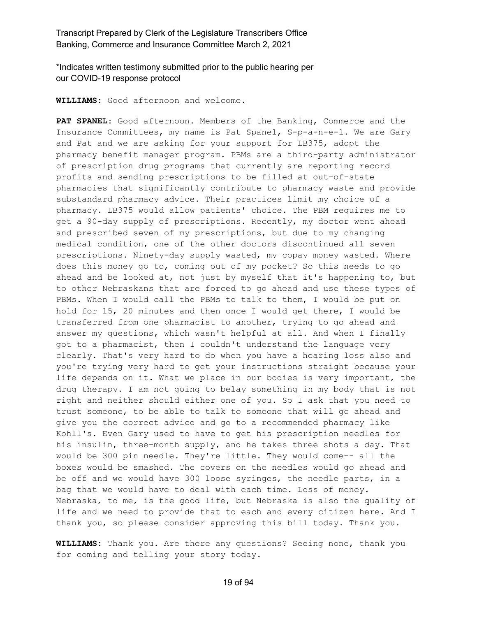\*Indicates written testimony submitted prior to the public hearing per our COVID-19 response protocol

**WILLIAMS:** Good afternoon and welcome.

**PAT SPANEL:** Good afternoon. Members of the Banking, Commerce and the Insurance Committees, my name is Pat Spanel, S-p-a-n-e-l. We are Gary and Pat and we are asking for your support for LB375, adopt the pharmacy benefit manager program. PBMs are a third-party administrator of prescription drug programs that currently are reporting record profits and sending prescriptions to be filled at out-of-state pharmacies that significantly contribute to pharmacy waste and provide substandard pharmacy advice. Their practices limit my choice of a pharmacy. LB375 would allow patients' choice. The PBM requires me to get a 90-day supply of prescriptions. Recently, my doctor went ahead and prescribed seven of my prescriptions, but due to my changing medical condition, one of the other doctors discontinued all seven prescriptions. Ninety-day supply wasted, my copay money wasted. Where does this money go to, coming out of my pocket? So this needs to go ahead and be looked at, not just by myself that it's happening to, but to other Nebraskans that are forced to go ahead and use these types of PBMs. When I would call the PBMs to talk to them, I would be put on hold for 15, 20 minutes and then once I would get there, I would be transferred from one pharmacist to another, trying to go ahead and answer my questions, which wasn't helpful at all. And when I finally got to a pharmacist, then I couldn't understand the language very clearly. That's very hard to do when you have a hearing loss also and you're trying very hard to get your instructions straight because your life depends on it. What we place in our bodies is very important, the drug therapy. I am not going to belay something in my body that is not right and neither should either one of you. So I ask that you need to trust someone, to be able to talk to someone that will go ahead and give you the correct advice and go to a recommended pharmacy like Kohll's. Even Gary used to have to get his prescription needles for his insulin, three-month supply, and he takes three shots a day. That would be 300 pin needle. They're little. They would come-- all the boxes would be smashed. The covers on the needles would go ahead and be off and we would have 300 loose syringes, the needle parts, in a bag that we would have to deal with each time. Loss of money. Nebraska, to me, is the good life, but Nebraska is also the quality of life and we need to provide that to each and every citizen here. And I thank you, so please consider approving this bill today. Thank you.

**WILLIAMS:** Thank you. Are there any questions? Seeing none, thank you for coming and telling your story today.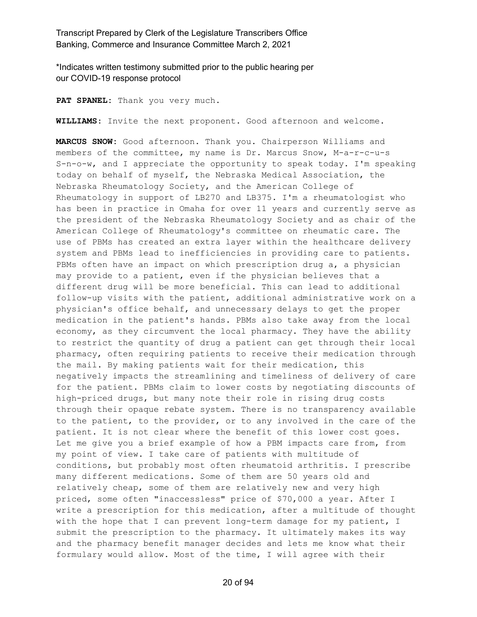\*Indicates written testimony submitted prior to the public hearing per our COVID-19 response protocol

**PAT SPANEL:** Thank you very much.

**WILLIAMS:** Invite the next proponent. Good afternoon and welcome.

**MARCUS SNOW:** Good afternoon. Thank you. Chairperson Williams and members of the committee, my name is Dr. Marcus Snow, M-a-r-c-u-s S-n-o-w, and I appreciate the opportunity to speak today. I'm speaking today on behalf of myself, the Nebraska Medical Association, the Nebraska Rheumatology Society, and the American College of Rheumatology in support of LB270 and LB375. I'm a rheumatologist who has been in practice in Omaha for over 11 years and currently serve as the president of the Nebraska Rheumatology Society and as chair of the American College of Rheumatology's committee on rheumatic care. The use of PBMs has created an extra layer within the healthcare delivery system and PBMs lead to inefficiencies in providing care to patients. PBMs often have an impact on which prescription drug a, a physician may provide to a patient, even if the physician believes that a different drug will be more beneficial. This can lead to additional follow-up visits with the patient, additional administrative work on a physician's office behalf, and unnecessary delays to get the proper medication in the patient's hands. PBMs also take away from the local economy, as they circumvent the local pharmacy. They have the ability to restrict the quantity of drug a patient can get through their local pharmacy, often requiring patients to receive their medication through the mail. By making patients wait for their medication, this negatively impacts the streamlining and timeliness of delivery of care for the patient. PBMs claim to lower costs by negotiating discounts of high-priced drugs, but many note their role in rising drug costs through their opaque rebate system. There is no transparency available to the patient, to the provider, or to any involved in the care of the patient. It is not clear where the benefit of this lower cost goes. Let me give you a brief example of how a PBM impacts care from, from my point of view. I take care of patients with multitude of conditions, but probably most often rheumatoid arthritis. I prescribe many different medications. Some of them are 50 years old and relatively cheap, some of them are relatively new and very high priced, some often "inaccessless" price of \$70,000 a year. After I write a prescription for this medication, after a multitude of thought with the hope that I can prevent long-term damage for my patient, I submit the prescription to the pharmacy. It ultimately makes its way and the pharmacy benefit manager decides and lets me know what their formulary would allow. Most of the time, I will agree with their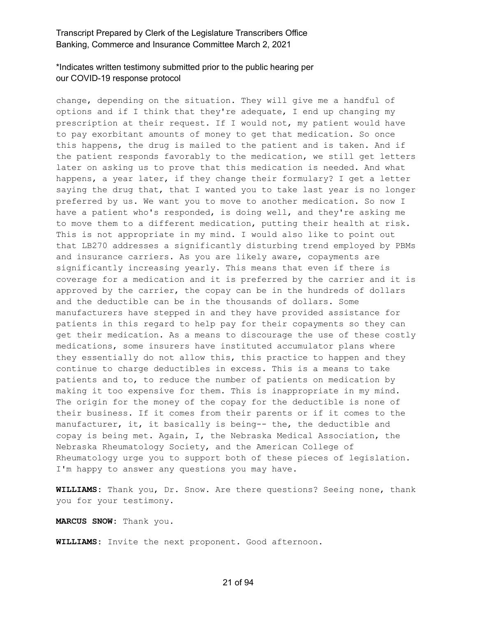# \*Indicates written testimony submitted prior to the public hearing per our COVID-19 response protocol

change, depending on the situation. They will give me a handful of options and if I think that they're adequate, I end up changing my prescription at their request. If I would not, my patient would have to pay exorbitant amounts of money to get that medication. So once this happens, the drug is mailed to the patient and is taken. And if the patient responds favorably to the medication, we still get letters later on asking us to prove that this medication is needed. And what happens, a year later, if they change their formulary? I get a letter saying the drug that, that I wanted you to take last year is no longer preferred by us. We want you to move to another medication. So now I have a patient who's responded, is doing well, and they're asking me to move them to a different medication, putting their health at risk. This is not appropriate in my mind. I would also like to point out that LB270 addresses a significantly disturbing trend employed by PBMs and insurance carriers. As you are likely aware, copayments are significantly increasing yearly. This means that even if there is coverage for a medication and it is preferred by the carrier and it is approved by the carrier, the copay can be in the hundreds of dollars and the deductible can be in the thousands of dollars. Some manufacturers have stepped in and they have provided assistance for patients in this regard to help pay for their copayments so they can get their medication. As a means to discourage the use of these costly medications, some insurers have instituted accumulator plans where they essentially do not allow this, this practice to happen and they continue to charge deductibles in excess. This is a means to take patients and to, to reduce the number of patients on medication by making it too expensive for them. This is inappropriate in my mind. The origin for the money of the copay for the deductible is none of their business. If it comes from their parents or if it comes to the manufacturer, it, it basically is being-- the, the deductible and copay is being met. Again, I, the Nebraska Medical Association, the Nebraska Rheumatology Society, and the American College of Rheumatology urge you to support both of these pieces of legislation. I'm happy to answer any questions you may have.

**WILLIAMS:** Thank you, Dr. Snow. Are there questions? Seeing none, thank you for your testimony.

**MARCUS SNOW:** Thank you.

**WILLIAMS:** Invite the next proponent. Good afternoon.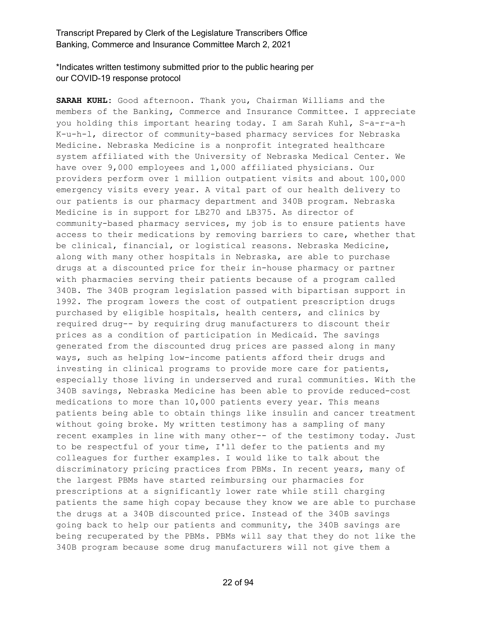\*Indicates written testimony submitted prior to the public hearing per our COVID-19 response protocol

**SARAH KUHL:** Good afternoon. Thank you, Chairman Williams and the members of the Banking, Commerce and Insurance Committee. I appreciate you holding this important hearing today. I am Sarah Kuhl, S-a-r-a-h K-u-h-l, director of community-based pharmacy services for Nebraska Medicine. Nebraska Medicine is a nonprofit integrated healthcare system affiliated with the University of Nebraska Medical Center. We have over 9,000 employees and 1,000 affiliated physicians. Our providers perform over 1 million outpatient visits and about 100,000 emergency visits every year. A vital part of our health delivery to our patients is our pharmacy department and 340B program. Nebraska Medicine is in support for LB270 and LB375. As director of community-based pharmacy services, my job is to ensure patients have access to their medications by removing barriers to care, whether that be clinical, financial, or logistical reasons. Nebraska Medicine, along with many other hospitals in Nebraska, are able to purchase drugs at a discounted price for their in-house pharmacy or partner with pharmacies serving their patients because of a program called 340B. The 340B program legislation passed with bipartisan support in 1992. The program lowers the cost of outpatient prescription drugs purchased by eligible hospitals, health centers, and clinics by required drug-- by requiring drug manufacturers to discount their prices as a condition of participation in Medicaid. The savings generated from the discounted drug prices are passed along in many ways, such as helping low-income patients afford their drugs and investing in clinical programs to provide more care for patients, especially those living in underserved and rural communities. With the 340B savings, Nebraska Medicine has been able to provide reduced-cost medications to more than 10,000 patients every year. This means patients being able to obtain things like insulin and cancer treatment without going broke. My written testimony has a sampling of many recent examples in line with many other-- of the testimony today. Just to be respectful of your time, I'll defer to the patients and my colleagues for further examples. I would like to talk about the discriminatory pricing practices from PBMs. In recent years, many of the largest PBMs have started reimbursing our pharmacies for prescriptions at a significantly lower rate while still charging patients the same high copay because they know we are able to purchase the drugs at a 340B discounted price. Instead of the 340B savings going back to help our patients and community, the 340B savings are being recuperated by the PBMs. PBMs will say that they do not like the 340B program because some drug manufacturers will not give them a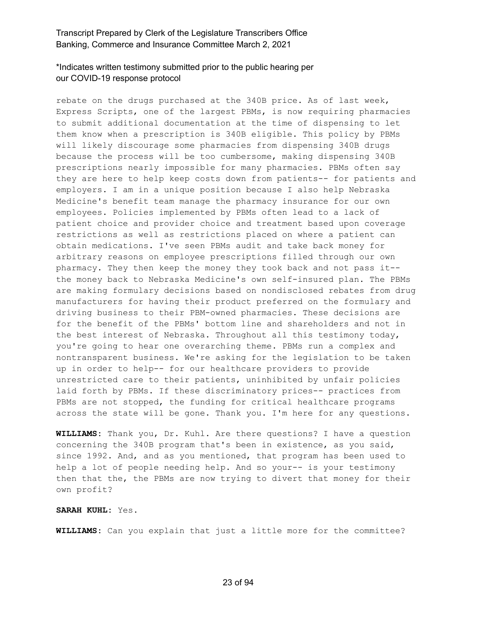# \*Indicates written testimony submitted prior to the public hearing per our COVID-19 response protocol

rebate on the drugs purchased at the 340B price. As of last week, Express Scripts, one of the largest PBMs, is now requiring pharmacies to submit additional documentation at the time of dispensing to let them know when a prescription is 340B eligible. This policy by PBMs will likely discourage some pharmacies from dispensing 340B drugs because the process will be too cumbersome, making dispensing 340B prescriptions nearly impossible for many pharmacies. PBMs often say they are here to help keep costs down from patients-- for patients and employers. I am in a unique position because I also help Nebraska Medicine's benefit team manage the pharmacy insurance for our own employees. Policies implemented by PBMs often lead to a lack of patient choice and provider choice and treatment based upon coverage restrictions as well as restrictions placed on where a patient can obtain medications. I've seen PBMs audit and take back money for arbitrary reasons on employee prescriptions filled through our own pharmacy. They then keep the money they took back and not pass it- the money back to Nebraska Medicine's own self-insured plan. The PBMs are making formulary decisions based on nondisclosed rebates from drug manufacturers for having their product preferred on the formulary and driving business to their PBM-owned pharmacies. These decisions are for the benefit of the PBMs' bottom line and shareholders and not in the best interest of Nebraska. Throughout all this testimony today, you're going to hear one overarching theme. PBMs run a complex and nontransparent business. We're asking for the legislation to be taken up in order to help-- for our healthcare providers to provide unrestricted care to their patients, uninhibited by unfair policies laid forth by PBMs. If these discriminatory prices-- practices from PBMs are not stopped, the funding for critical healthcare programs across the state will be gone. Thank you. I'm here for any questions.

**WILLIAMS:** Thank you, Dr. Kuhl. Are there questions? I have a question concerning the 340B program that's been in existence, as you said, since 1992. And, and as you mentioned, that program has been used to help a lot of people needing help. And so your-- is your testimony then that the, the PBMs are now trying to divert that money for their own profit?

#### **SARAH KUHL:** Yes.

**WILLIAMS:** Can you explain that just a little more for the committee?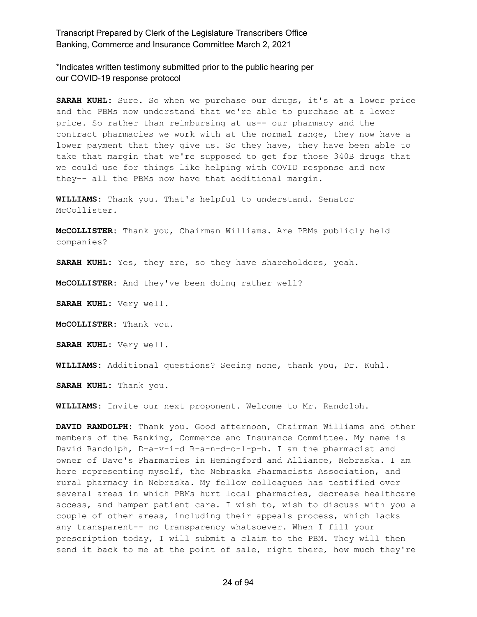\*Indicates written testimony submitted prior to the public hearing per our COVID-19 response protocol

**SARAH KUHL:** Sure. So when we purchase our drugs, it's at a lower price and the PBMs now understand that we're able to purchase at a lower price. So rather than reimbursing at us-- our pharmacy and the contract pharmacies we work with at the normal range, they now have a lower payment that they give us. So they have, they have been able to take that margin that we're supposed to get for those 340B drugs that we could use for things like helping with COVID response and now they-- all the PBMs now have that additional margin.

**WILLIAMS:** Thank you. That's helpful to understand. Senator McCollister.

**McCOLLISTER:** Thank you, Chairman Williams. Are PBMs publicly held companies?

**SARAH KUHL:** Yes, they are, so they have shareholders, yeah.

**McCOLLISTER:** And they've been doing rather well?

**SARAH KUHL:** Very well.

**McCOLLISTER:** Thank you.

**SARAH KUHL:** Very well.

**WILLIAMS:** Additional questions? Seeing none, thank you, Dr. Kuhl.

**SARAH KUHL:** Thank you.

**WILLIAMS:** Invite our next proponent. Welcome to Mr. Randolph.

**DAVID RANDOLPH:** Thank you. Good afternoon, Chairman Williams and other members of the Banking, Commerce and Insurance Committee. My name is David Randolph, D-a-v-i-d R-a-n-d-o-l-p-h. I am the pharmacist and owner of Dave's Pharmacies in Hemingford and Alliance, Nebraska. I am here representing myself, the Nebraska Pharmacists Association, and rural pharmacy in Nebraska. My fellow colleagues has testified over several areas in which PBMs hurt local pharmacies, decrease healthcare access, and hamper patient care. I wish to, wish to discuss with you a couple of other areas, including their appeals process, which lacks any transparent-- no transparency whatsoever. When I fill your prescription today, I will submit a claim to the PBM. They will then send it back to me at the point of sale, right there, how much they're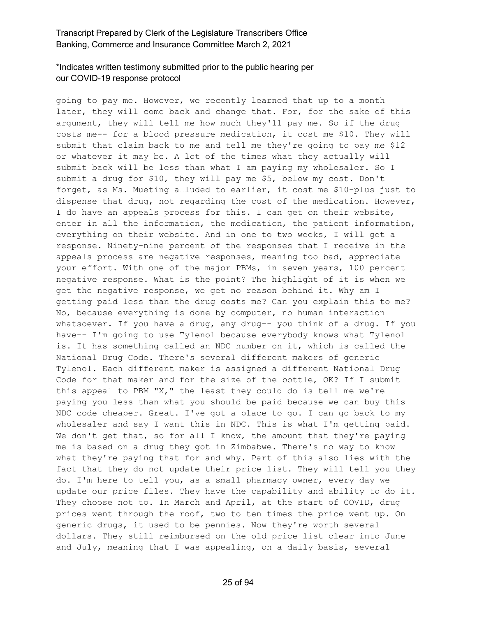# \*Indicates written testimony submitted prior to the public hearing per our COVID-19 response protocol

going to pay me. However, we recently learned that up to a month later, they will come back and change that. For, for the sake of this argument, they will tell me how much they'll pay me. So if the drug costs me-- for a blood pressure medication, it cost me \$10. They will submit that claim back to me and tell me they're going to pay me \$12 or whatever it may be. A lot of the times what they actually will submit back will be less than what I am paying my wholesaler. So I submit a drug for \$10, they will pay me \$5, below my cost. Don't forget, as Ms. Mueting alluded to earlier, it cost me \$10-plus just to dispense that drug, not regarding the cost of the medication. However, I do have an appeals process for this. I can get on their website, enter in all the information, the medication, the patient information, everything on their website. And in one to two weeks, I will get a response. Ninety-nine percent of the responses that I receive in the appeals process are negative responses, meaning too bad, appreciate your effort. With one of the major PBMs, in seven years, 100 percent negative response. What is the point? The highlight of it is when we get the negative response, we get no reason behind it. Why am I getting paid less than the drug costs me? Can you explain this to me? No, because everything is done by computer, no human interaction whatsoever. If you have a drug, any drug-- you think of a drug. If you have-- I'm going to use Tylenol because everybody knows what Tylenol is. It has something called an NDC number on it, which is called the National Drug Code. There's several different makers of generic Tylenol. Each different maker is assigned a different National Drug Code for that maker and for the size of the bottle, OK? If I submit this appeal to PBM "X," the least they could do is tell me we're paying you less than what you should be paid because we can buy this NDC code cheaper. Great. I've got a place to go. I can go back to my wholesaler and say I want this in NDC. This is what I'm getting paid. We don't get that, so for all I know, the amount that they're paying me is based on a drug they got in Zimbabwe. There's no way to know what they're paying that for and why. Part of this also lies with the fact that they do not update their price list. They will tell you they do. I'm here to tell you, as a small pharmacy owner, every day we update our price files. They have the capability and ability to do it. They choose not to. In March and April, at the start of COVID, drug prices went through the roof, two to ten times the price went up. On generic drugs, it used to be pennies. Now they're worth several dollars. They still reimbursed on the old price list clear into June and July, meaning that I was appealing, on a daily basis, several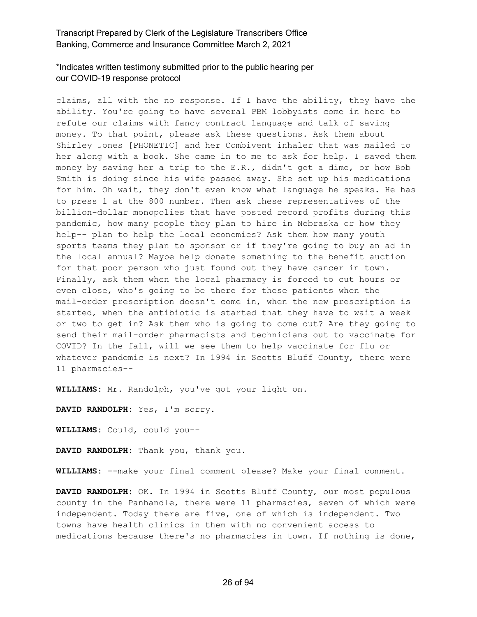# \*Indicates written testimony submitted prior to the public hearing per our COVID-19 response protocol

claims, all with the no response. If I have the ability, they have the ability. You're going to have several PBM lobbyists come in here to refute our claims with fancy contract language and talk of saving money. To that point, please ask these questions. Ask them about Shirley Jones [PHONETIC] and her Combivent inhaler that was mailed to her along with a book. She came in to me to ask for help. I saved them money by saving her a trip to the E.R., didn't get a dime, or how Bob Smith is doing since his wife passed away. She set up his medications for him. Oh wait, they don't even know what language he speaks. He has to press 1 at the 800 number. Then ask these representatives of the billion-dollar monopolies that have posted record profits during this pandemic, how many people they plan to hire in Nebraska or how they help-- plan to help the local economies? Ask them how many youth sports teams they plan to sponsor or if they're going to buy an ad in the local annual? Maybe help donate something to the benefit auction for that poor person who just found out they have cancer in town. Finally, ask them when the local pharmacy is forced to cut hours or even close, who's going to be there for these patients when the mail-order prescription doesn't come in, when the new prescription is started, when the antibiotic is started that they have to wait a week or two to get in? Ask them who is going to come out? Are they going to send their mail-order pharmacists and technicians out to vaccinate for COVID? In the fall, will we see them to help vaccinate for flu or whatever pandemic is next? In 1994 in Scotts Bluff County, there were 11 pharmacies--

**WILLIAMS:** Mr. Randolph, you've got your light on.

**DAVID RANDOLPH:** Yes, I'm sorry.

**WILLIAMS:** Could, could you--

**DAVID RANDOLPH:** Thank you, thank you.

**WILLIAMS:** --make your final comment please? Make your final comment.

**DAVID RANDOLPH:** OK. In 1994 in Scotts Bluff County, our most populous county in the Panhandle, there were 11 pharmacies, seven of which were independent. Today there are five, one of which is independent. Two towns have health clinics in them with no convenient access to medications because there's no pharmacies in town. If nothing is done,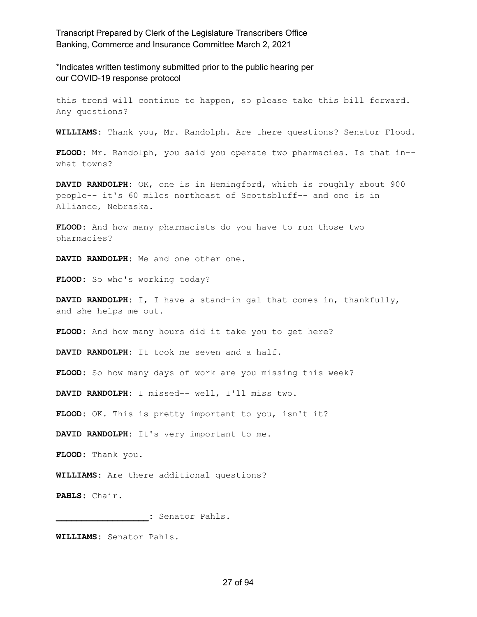\*Indicates written testimony submitted prior to the public hearing per our COVID-19 response protocol

this trend will continue to happen, so please take this bill forward. Any questions?

**WILLIAMS:** Thank you, Mr. Randolph. Are there questions? Senator Flood.

**FLOOD:** Mr. Randolph, you said you operate two pharmacies. Is that in- what towns?

**DAVID RANDOLPH:** OK, one is in Hemingford, which is roughly about 900 people-- it's 60 miles northeast of Scottsbluff-- and one is in Alliance, Nebraska.

FLOOD: And how many pharmacists do you have to run those two pharmacies?

**DAVID RANDOLPH:** Me and one other one.

FLOOD: So who's working today?

**DAVID RANDOLPH:** I, I have a stand-in gal that comes in, thankfully, and she helps me out.

FLOOD: And how many hours did it take you to get here?

**DAVID RANDOLPH:** It took me seven and a half.

**FLOOD:** So how many days of work are you missing this week?

**DAVID RANDOLPH:** I missed-- well, I'll miss two.

FLOOD: OK. This is pretty important to you, isn't it?

**DAVID RANDOLPH:** It's very important to me.

**FLOOD:** Thank you.

**WILLIAMS:** Are there additional questions?

**PAHLS:** Chair.

**\_\_\_\_\_\_\_\_\_\_\_\_\_\_\_\_\_\_:** Senator Pahls.

**WILLIAMS:** Senator Pahls.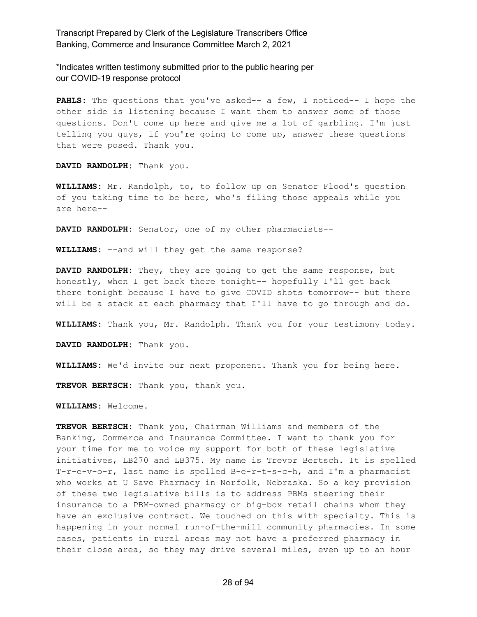\*Indicates written testimony submitted prior to the public hearing per our COVID-19 response protocol

**PAHLS:** The questions that you've asked-- a few, I noticed-- I hope the other side is listening because I want them to answer some of those questions. Don't come up here and give me a lot of garbling. I'm just telling you guys, if you're going to come up, answer these questions that were posed. Thank you.

**DAVID RANDOLPH:** Thank you.

**WILLIAMS:** Mr. Randolph, to, to follow up on Senator Flood's question of you taking time to be here, who's filing those appeals while you are here--

**DAVID RANDOLPH:** Senator, one of my other pharmacists--

**WILLIAMS:** --and will they get the same response?

**DAVID RANDOLPH:** They, they are going to get the same response, but honestly, when I get back there tonight-- hopefully I'll get back there tonight because I have to give COVID shots tomorrow-- but there will be a stack at each pharmacy that I'll have to go through and do.

**WILLIAMS:** Thank you, Mr. Randolph. Thank you for your testimony today.

**DAVID RANDOLPH:** Thank you.

**WILLIAMS:** We'd invite our next proponent. Thank you for being here.

**TREVOR BERTSCH:** Thank you, thank you.

**WILLIAMS:** Welcome.

**TREVOR BERTSCH:** Thank you, Chairman Williams and members of the Banking, Commerce and Insurance Committee. I want to thank you for your time for me to voice my support for both of these legislative initiatives, LB270 and LB375. My name is Trevor Bertsch. It is spelled T-r-e-v-o-r, last name is spelled B-e-r-t-s-c-h, and I'm a pharmacist who works at U Save Pharmacy in Norfolk, Nebraska. So a key provision of these two legislative bills is to address PBMs steering their insurance to a PBM-owned pharmacy or big-box retail chains whom they have an exclusive contract. We touched on this with specialty. This is happening in your normal run-of-the-mill community pharmacies. In some cases, patients in rural areas may not have a preferred pharmacy in their close area, so they may drive several miles, even up to an hour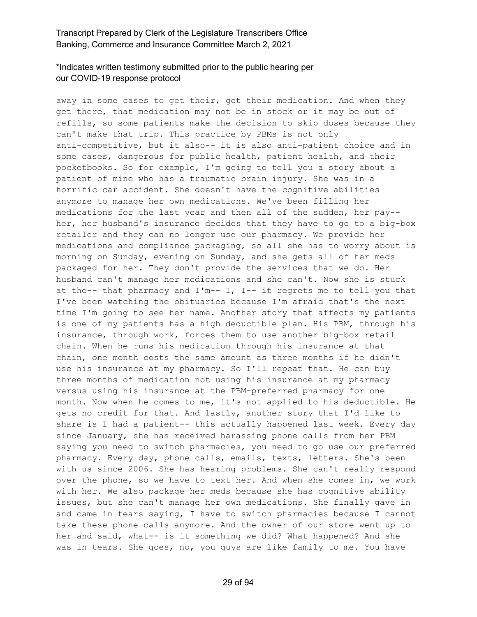# \*Indicates written testimony submitted prior to the public hearing per our COVID-19 response protocol

away in some cases to get their, get their medication. And when they get there, that medication may not be in stock or it may be out of refills, so some patients make the decision to skip doses because they can't make that trip. This practice by PBMs is not only anti-competitive, but it also-- it is also anti-patient choice and in some cases, dangerous for public health, patient health, and their pocketbooks. So for example, I'm going to tell you a story about a patient of mine who has a traumatic brain injury. She was in a horrific car accident. She doesn't have the cognitive abilities anymore to manage her own medications. We've been filling her medications for the last year and then all of the sudden, her pay- her, her husband's insurance decides that they have to go to a big-box retailer and they can no longer use our pharmacy. We provide her medications and compliance packaging, so all she has to worry about is morning on Sunday, evening on Sunday, and she gets all of her meds packaged for her. They don't provide the services that we do. Her husband can't manage her medications and she can't. Now she is stuck at the-- that pharmacy and  $I'm-- I$ ,  $I--$  it regrets me to tell you that I've been watching the obituaries because I'm afraid that's the next time I'm going to see her name. Another story that affects my patients is one of my patients has a high deductible plan. His PBM, through his insurance, through work, forces them to use another big-box retail chain. When he runs his medication through his insurance at that chain, one month costs the same amount as three months if he didn't use his insurance at my pharmacy. So I'll repeat that. He can buy three months of medication not using his insurance at my pharmacy versus using his insurance at the PBM-preferred pharmacy for one month. Now when he comes to me, it's not applied to his deductible. He gets no credit for that. And lastly, another story that I'd like to share is I had a patient-- this actually happened last week. Every day since January, she has received harassing phone calls from her PBM saying you need to switch pharmacies, you need to go use our preferred pharmacy. Every day, phone calls, emails, texts, letters. She's been with us since 2006. She has hearing problems. She can't really respond over the phone, so we have to text her. And when she comes in, we work with her. We also package her meds because she has cognitive ability issues, but she can't manage her own medications. She finally gave in and came in tears saying, I have to switch pharmacies because I cannot take these phone calls anymore. And the owner of our store went up to her and said, what-- is it something we did? What happened? And she was in tears. She goes, no, you guys are like family to me. You have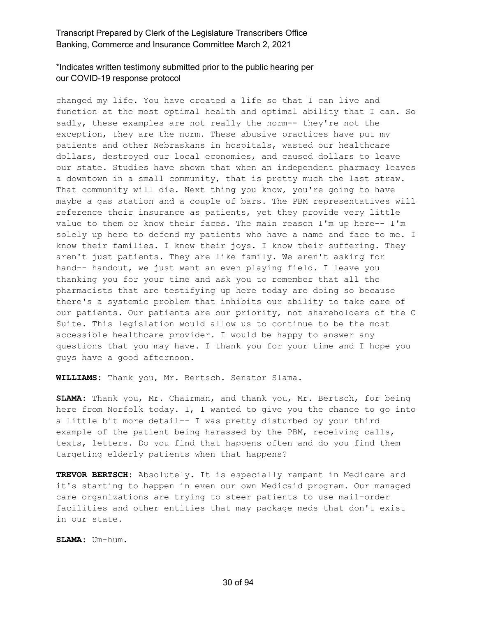# \*Indicates written testimony submitted prior to the public hearing per our COVID-19 response protocol

changed my life. You have created a life so that I can live and function at the most optimal health and optimal ability that I can. So sadly, these examples are not really the norm-- they're not the exception, they are the norm. These abusive practices have put my patients and other Nebraskans in hospitals, wasted our healthcare dollars, destroyed our local economies, and caused dollars to leave our state. Studies have shown that when an independent pharmacy leaves a downtown in a small community, that is pretty much the last straw. That community will die. Next thing you know, you're going to have maybe a gas station and a couple of bars. The PBM representatives will reference their insurance as patients, yet they provide very little value to them or know their faces. The main reason I'm up here-- I'm solely up here to defend my patients who have a name and face to me. I know their families. I know their joys. I know their suffering. They aren't just patients. They are like family. We aren't asking for hand-- handout, we just want an even playing field. I leave you thanking you for your time and ask you to remember that all the pharmacists that are testifying up here today are doing so because there's a systemic problem that inhibits our ability to take care of our patients. Our patients are our priority, not shareholders of the C Suite. This legislation would allow us to continue to be the most accessible healthcare provider. I would be happy to answer any questions that you may have. I thank you for your time and I hope you guys have a good afternoon.

**WILLIAMS:** Thank you, Mr. Bertsch. Senator Slama.

**SLAMA:** Thank you, Mr. Chairman, and thank you, Mr. Bertsch, for being here from Norfolk today. I, I wanted to give you the chance to go into a little bit more detail-- I was pretty disturbed by your third example of the patient being harassed by the PBM, receiving calls, texts, letters. Do you find that happens often and do you find them targeting elderly patients when that happens?

**TREVOR BERTSCH:** Absolutely. It is especially rampant in Medicare and it's starting to happen in even our own Medicaid program. Our managed care organizations are trying to steer patients to use mail-order facilities and other entities that may package meds that don't exist in our state.

**SLAMA:** Um-hum.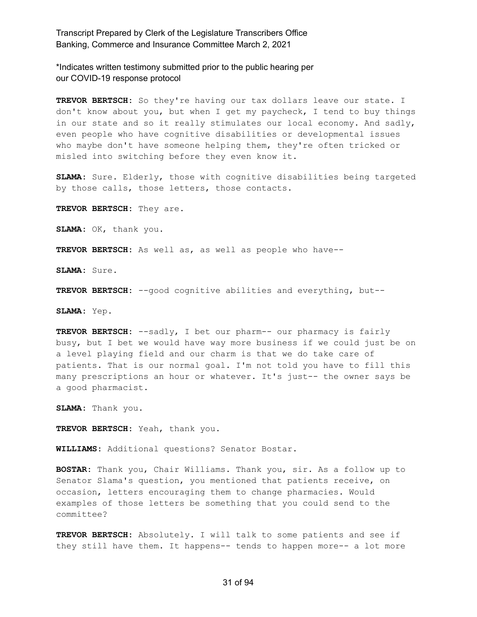\*Indicates written testimony submitted prior to the public hearing per our COVID-19 response protocol

**TREVOR BERTSCH:** So they're having our tax dollars leave our state. I don't know about you, but when I get my paycheck, I tend to buy things in our state and so it really stimulates our local economy. And sadly, even people who have cognitive disabilities or developmental issues who maybe don't have someone helping them, they're often tricked or misled into switching before they even know it.

**SLAMA:** Sure. Elderly, those with cognitive disabilities being targeted by those calls, those letters, those contacts.

**TREVOR BERTSCH:** They are.

**SLAMA:** OK, thank you.

**TREVOR BERTSCH:** As well as, as well as people who have--

**SLAMA:** Sure.

**TREVOR BERTSCH:** --good cognitive abilities and everything, but--

**SLAMA:** Yep.

**TREVOR BERTSCH:** --sadly, I bet our pharm-- our pharmacy is fairly busy, but I bet we would have way more business if we could just be on a level playing field and our charm is that we do take care of patients. That is our normal goal. I'm not told you have to fill this many prescriptions an hour or whatever. It's just-- the owner says be a good pharmacist.

**SLAMA:** Thank you.

**TREVOR BERTSCH:** Yeah, thank you.

**WILLIAMS:** Additional questions? Senator Bostar.

**BOSTAR:** Thank you, Chair Williams. Thank you, sir. As a follow up to Senator Slama's question, you mentioned that patients receive, on occasion, letters encouraging them to change pharmacies. Would examples of those letters be something that you could send to the committee?

**TREVOR BERTSCH:** Absolutely. I will talk to some patients and see if they still have them. It happens-- tends to happen more-- a lot more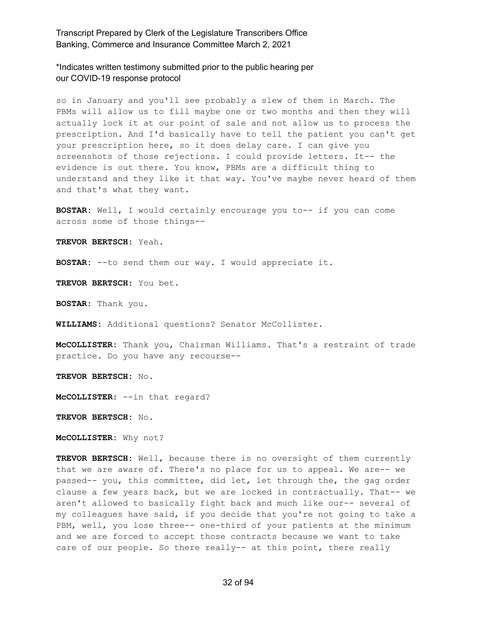\*Indicates written testimony submitted prior to the public hearing per our COVID-19 response protocol

so in January and you'll see probably a slew of them in March. The PBMs will allow us to fill maybe one or two months and then they will actually lock it at our point of sale and not allow us to process the prescription. And I'd basically have to tell the patient you can't get your prescription here, so it does delay care. I can give you screenshots of those rejections. I could provide letters. It-- the evidence is out there. You know, PBMs are a difficult thing to understand and they like it that way. You've maybe never heard of them and that's what they want.

**BOSTAR:** Well, I would certainly encourage you to-- if you can come across some of those things--

**TREVOR BERTSCH:** Yeah.

**BOSTAR:** --to send them our way. I would appreciate it.

**TREVOR BERTSCH:** You bet.

**BOSTAR:** Thank you.

**WILLIAMS:** Additional questions? Senator McCollister.

**McCOLLISTER:** Thank you, Chairman Williams. That's a restraint of trade practice. Do you have any recourse--

**TREVOR BERTSCH:** No.

**McCOLLISTER:** --in that regard?

**TREVOR BERTSCH:** No.

**McCOLLISTER:** Why not?

**TREVOR BERTSCH:** Well, because there is no oversight of them currently that we are aware of. There's no place for us to appeal. We are-- we passed-- you, this committee, did let, let through the, the gag order clause a few years back, but we are locked in contractually. That-- we aren't allowed to basically fight back and much like our-- several of my colleagues have said, if you decide that you're not going to take a PBM, well, you lose three-- one-third of your patients at the minimum and we are forced to accept those contracts because we want to take care of our people. So there really-- at this point, there really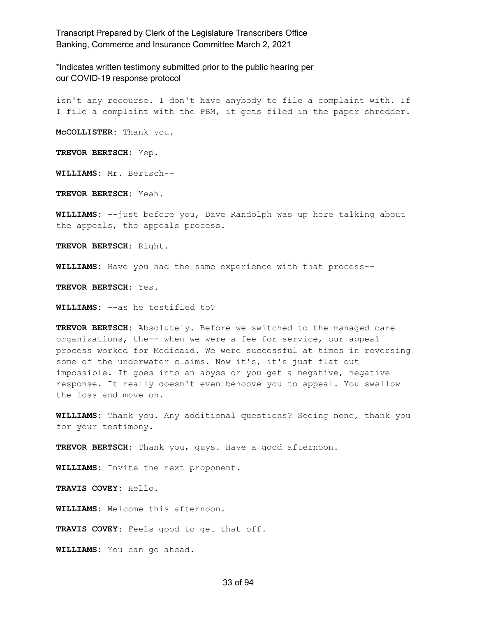\*Indicates written testimony submitted prior to the public hearing per our COVID-19 response protocol

isn't any recourse. I don't have anybody to file a complaint with. If I file a complaint with the PBM, it gets filed in the paper shredder.

**McCOLLISTER:** Thank you.

**TREVOR BERTSCH:** Yep.

**WILLIAMS:** Mr. Bertsch--

**TREVOR BERTSCH:** Yeah.

**WILLIAMS:** --just before you, Dave Randolph was up here talking about the appeals, the appeals process.

**TREVOR BERTSCH:** Right.

**WILLIAMS:** Have you had the same experience with that process--

**TREVOR BERTSCH:** Yes.

**WILLIAMS:** --as he testified to?

**TREVOR BERTSCH:** Absolutely. Before we switched to the managed care organizations, the-- when we were a fee for service, our appeal process worked for Medicaid. We were successful at times in reversing some of the underwater claims. Now it's, it's just flat out impossible. It goes into an abyss or you get a negative, negative response. It really doesn't even behoove you to appeal. You swallow the loss and move on.

**WILLIAMS:** Thank you. Any additional questions? Seeing none, thank you for your testimony.

**TREVOR BERTSCH:** Thank you, guys. Have a good afternoon.

**WILLIAMS:** Invite the next proponent.

**TRAVIS COVEY:** Hello.

**WILLIAMS:** Welcome this afternoon.

**TRAVIS COVEY:** Feels good to get that off.

**WILLIAMS:** You can go ahead.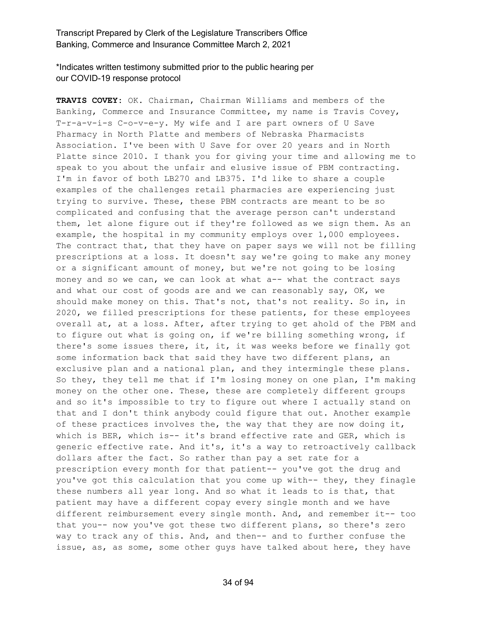\*Indicates written testimony submitted prior to the public hearing per our COVID-19 response protocol

**TRAVIS COVEY:** OK. Chairman, Chairman Williams and members of the Banking, Commerce and Insurance Committee, my name is Travis Covey, T-r-a-v-i-s C-o-v-e-y. My wife and I are part owners of U Save Pharmacy in North Platte and members of Nebraska Pharmacists Association. I've been with U Save for over 20 years and in North Platte since 2010. I thank you for giving your time and allowing me to speak to you about the unfair and elusive issue of PBM contracting. I'm in favor of both LB270 and LB375. I'd like to share a couple examples of the challenges retail pharmacies are experiencing just trying to survive. These, these PBM contracts are meant to be so complicated and confusing that the average person can't understand them, let alone figure out if they're followed as we sign them. As an example, the hospital in my community employs over 1,000 employees. The contract that, that they have on paper says we will not be filling prescriptions at a loss. It doesn't say we're going to make any money or a significant amount of money, but we're not going to be losing money and so we can, we can look at what a-- what the contract says and what our cost of goods are and we can reasonably say, OK, we should make money on this. That's not, that's not reality. So in, in 2020, we filled prescriptions for these patients, for these employees overall at, at a loss. After, after trying to get ahold of the PBM and to figure out what is going on, if we're billing something wrong, if there's some issues there, it, it, it was weeks before we finally got some information back that said they have two different plans, an exclusive plan and a national plan, and they intermingle these plans. So they, they tell me that if I'm losing money on one plan, I'm making money on the other one. These, these are completely different groups and so it's impossible to try to figure out where I actually stand on that and I don't think anybody could figure that out. Another example of these practices involves the, the way that they are now doing it, which is BER, which is-- it's brand effective rate and GER, which is generic effective rate. And it's, it's a way to retroactively callback dollars after the fact. So rather than pay a set rate for a prescription every month for that patient-- you've got the drug and you've got this calculation that you come up with-- they, they finagle these numbers all year long. And so what it leads to is that, that patient may have a different copay every single month and we have different reimbursement every single month. And, and remember it-- too that you-- now you've got these two different plans, so there's zero way to track any of this. And, and then-- and to further confuse the issue, as, as some, some other guys have talked about here, they have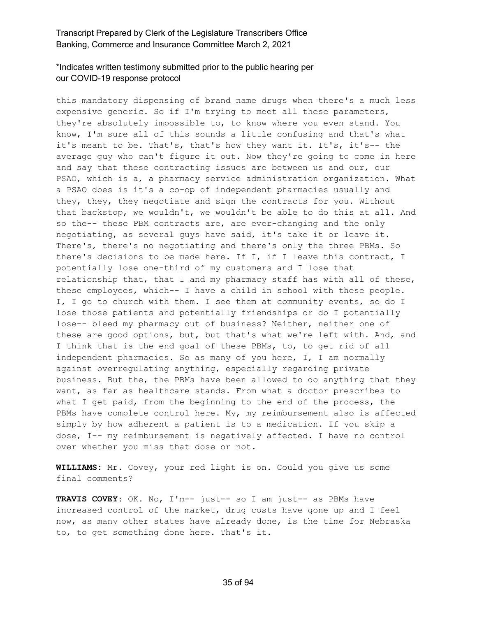# \*Indicates written testimony submitted prior to the public hearing per our COVID-19 response protocol

this mandatory dispensing of brand name drugs when there's a much less expensive generic. So if I'm trying to meet all these parameters, they're absolutely impossible to, to know where you even stand. You know, I'm sure all of this sounds a little confusing and that's what it's meant to be. That's, that's how they want it. It's, it's-- the average guy who can't figure it out. Now they're going to come in here and say that these contracting issues are between us and our, our PSAO, which is a, a pharmacy service administration organization. What a PSAO does is it's a co-op of independent pharmacies usually and they, they, they negotiate and sign the contracts for you. Without that backstop, we wouldn't, we wouldn't be able to do this at all. And so the-- these PBM contracts are, are ever-changing and the only negotiating, as several guys have said, it's take it or leave it. There's, there's no negotiating and there's only the three PBMs. So there's decisions to be made here. If I, if I leave this contract, I potentially lose one-third of my customers and I lose that relationship that, that I and my pharmacy staff has with all of these, these employees, which-- I have a child in school with these people. I, I go to church with them. I see them at community events, so do I lose those patients and potentially friendships or do I potentially lose-- bleed my pharmacy out of business? Neither, neither one of these are good options, but, but that's what we're left with. And, and I think that is the end goal of these PBMs, to, to get rid of all independent pharmacies. So as many of you here, I, I am normally against overregulating anything, especially regarding private business. But the, the PBMs have been allowed to do anything that they want, as far as healthcare stands. From what a doctor prescribes to what I get paid, from the beginning to the end of the process, the PBMs have complete control here. My, my reimbursement also is affected simply by how adherent a patient is to a medication. If you skip a dose, I-- my reimbursement is negatively affected. I have no control over whether you miss that dose or not.

**WILLIAMS:** Mr. Covey, your red light is on. Could you give us some final comments?

**TRAVIS COVEY:** OK. No, I'm-- just-- so I am just-- as PBMs have increased control of the market, drug costs have gone up and I feel now, as many other states have already done, is the time for Nebraska to, to get something done here. That's it.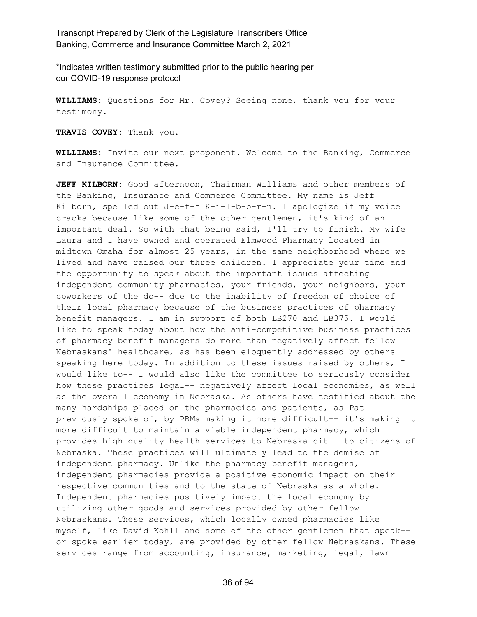\*Indicates written testimony submitted prior to the public hearing per our COVID-19 response protocol

**WILLIAMS:** Questions for Mr. Covey? Seeing none, thank you for your testimony.

**TRAVIS COVEY:** Thank you.

**WILLIAMS:** Invite our next proponent. Welcome to the Banking, Commerce and Insurance Committee.

**JEFF KILBORN:** Good afternoon, Chairman Williams and other members of the Banking, Insurance and Commerce Committee. My name is Jeff Kilborn, spelled out J-e-f-f K-i-l-b-o-r-n. I apologize if my voice cracks because like some of the other gentlemen, it's kind of an important deal. So with that being said, I'll try to finish. My wife Laura and I have owned and operated Elmwood Pharmacy located in midtown Omaha for almost 25 years, in the same neighborhood where we lived and have raised our three children. I appreciate your time and the opportunity to speak about the important issues affecting independent community pharmacies, your friends, your neighbors, your coworkers of the do-- due to the inability of freedom of choice of their local pharmacy because of the business practices of pharmacy benefit managers. I am in support of both LB270 and LB375. I would like to speak today about how the anti-competitive business practices of pharmacy benefit managers do more than negatively affect fellow Nebraskans' healthcare, as has been eloquently addressed by others speaking here today. In addition to these issues raised by others, I would like to-- I would also like the committee to seriously consider how these practices legal-- negatively affect local economies, as well as the overall economy in Nebraska. As others have testified about the many hardships placed on the pharmacies and patients, as Pat previously spoke of, by PBMs making it more difficult-- it's making it more difficult to maintain a viable independent pharmacy, which provides high-quality health services to Nebraska cit-- to citizens of Nebraska. These practices will ultimately lead to the demise of independent pharmacy. Unlike the pharmacy benefit managers, independent pharmacies provide a positive economic impact on their respective communities and to the state of Nebraska as a whole. Independent pharmacies positively impact the local economy by utilizing other goods and services provided by other fellow Nebraskans. These services, which locally owned pharmacies like myself, like David Kohll and some of the other gentlemen that speak- or spoke earlier today, are provided by other fellow Nebraskans. These services range from accounting, insurance, marketing, legal, lawn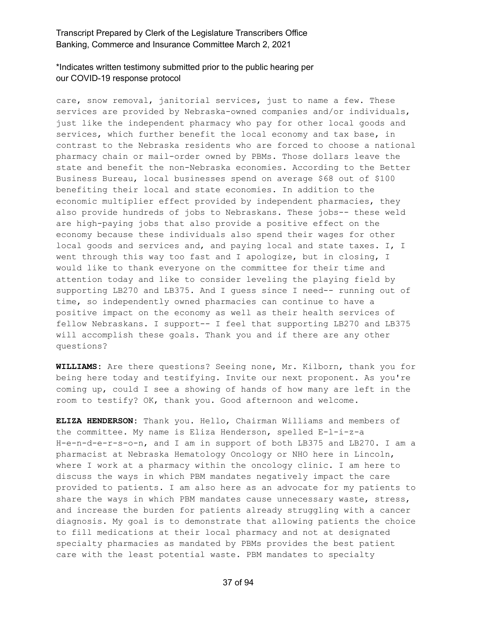#### \*Indicates written testimony submitted prior to the public hearing per our COVID-19 response protocol

care, snow removal, janitorial services, just to name a few. These services are provided by Nebraska-owned companies and/or individuals, just like the independent pharmacy who pay for other local goods and services, which further benefit the local economy and tax base, in contrast to the Nebraska residents who are forced to choose a national pharmacy chain or mail-order owned by PBMs. Those dollars leave the state and benefit the non-Nebraska economies. According to the Better Business Bureau, local businesses spend on average \$68 out of \$100 benefiting their local and state economies. In addition to the economic multiplier effect provided by independent pharmacies, they also provide hundreds of jobs to Nebraskans. These jobs-- these weld are high-paying jobs that also provide a positive effect on the economy because these individuals also spend their wages for other local goods and services and, and paying local and state taxes. I, I went through this way too fast and I apologize, but in closing, I would like to thank everyone on the committee for their time and attention today and like to consider leveling the playing field by supporting LB270 and LB375. And I guess since I need-- running out of time, so independently owned pharmacies can continue to have a positive impact on the economy as well as their health services of fellow Nebraskans. I support-- I feel that supporting LB270 and LB375 will accomplish these goals. Thank you and if there are any other questions?

**WILLIAMS:** Are there questions? Seeing none, Mr. Kilborn, thank you for being here today and testifying. Invite our next proponent. As you're coming up, could I see a showing of hands of how many are left in the room to testify? OK, thank you. Good afternoon and welcome.

**ELIZA HENDERSON:** Thank you. Hello, Chairman Williams and members of the committee. My name is Eliza Henderson, spelled E-l-i-z-a H-e-n-d-e-r-s-o-n, and I am in support of both LB375 and LB270. I am a pharmacist at Nebraska Hematology Oncology or NHO here in Lincoln, where I work at a pharmacy within the oncology clinic. I am here to discuss the ways in which PBM mandates negatively impact the care provided to patients. I am also here as an advocate for my patients to share the ways in which PBM mandates cause unnecessary waste, stress, and increase the burden for patients already struggling with a cancer diagnosis. My goal is to demonstrate that allowing patients the choice to fill medications at their local pharmacy and not at designated specialty pharmacies as mandated by PBMs provides the best patient care with the least potential waste. PBM mandates to specialty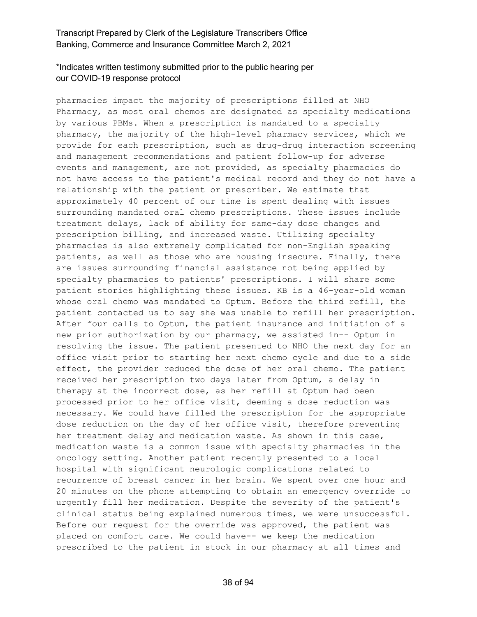### \*Indicates written testimony submitted prior to the public hearing per our COVID-19 response protocol

pharmacies impact the majority of prescriptions filled at NHO Pharmacy, as most oral chemos are designated as specialty medications by various PBMs. When a prescription is mandated to a specialty pharmacy, the majority of the high-level pharmacy services, which we provide for each prescription, such as drug-drug interaction screening and management recommendations and patient follow-up for adverse events and management, are not provided, as specialty pharmacies do not have access to the patient's medical record and they do not have a relationship with the patient or prescriber. We estimate that approximately 40 percent of our time is spent dealing with issues surrounding mandated oral chemo prescriptions. These issues include treatment delays, lack of ability for same-day dose changes and prescription billing, and increased waste. Utilizing specialty pharmacies is also extremely complicated for non-English speaking patients, as well as those who are housing insecure. Finally, there are issues surrounding financial assistance not being applied by specialty pharmacies to patients' prescriptions. I will share some patient stories highlighting these issues. KB is a 46-year-old woman whose oral chemo was mandated to Optum. Before the third refill, the patient contacted us to say she was unable to refill her prescription. After four calls to Optum, the patient insurance and initiation of a new prior authorization by our pharmacy, we assisted in-- Optum in resolving the issue. The patient presented to NHO the next day for an office visit prior to starting her next chemo cycle and due to a side effect, the provider reduced the dose of her oral chemo. The patient received her prescription two days later from Optum, a delay in therapy at the incorrect dose, as her refill at Optum had been processed prior to her office visit, deeming a dose reduction was necessary. We could have filled the prescription for the appropriate dose reduction on the day of her office visit, therefore preventing her treatment delay and medication waste. As shown in this case, medication waste is a common issue with specialty pharmacies in the oncology setting. Another patient recently presented to a local hospital with significant neurologic complications related to recurrence of breast cancer in her brain. We spent over one hour and 20 minutes on the phone attempting to obtain an emergency override to urgently fill her medication. Despite the severity of the patient's clinical status being explained numerous times, we were unsuccessful. Before our request for the override was approved, the patient was placed on comfort care. We could have-- we keep the medication prescribed to the patient in stock in our pharmacy at all times and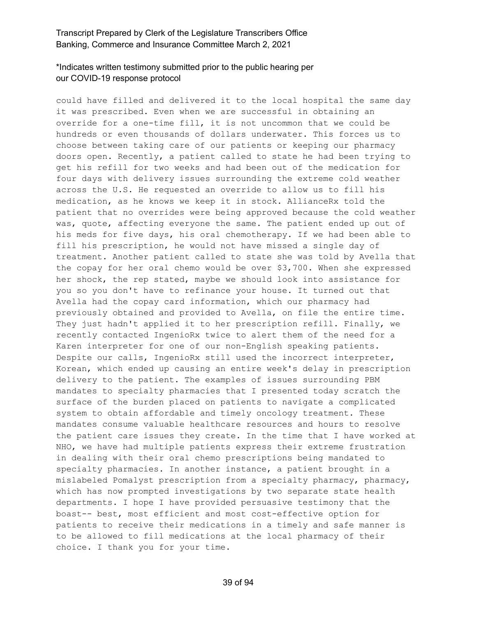# \*Indicates written testimony submitted prior to the public hearing per our COVID-19 response protocol

could have filled and delivered it to the local hospital the same day it was prescribed. Even when we are successful in obtaining an override for a one-time fill, it is not uncommon that we could be hundreds or even thousands of dollars underwater. This forces us to choose between taking care of our patients or keeping our pharmacy doors open. Recently, a patient called to state he had been trying to get his refill for two weeks and had been out of the medication for four days with delivery issues surrounding the extreme cold weather across the U.S. He requested an override to allow us to fill his medication, as he knows we keep it in stock. AllianceRx told the patient that no overrides were being approved because the cold weather was, quote, affecting everyone the same. The patient ended up out of his meds for five days, his oral chemotherapy. If we had been able to fill his prescription, he would not have missed a single day of treatment. Another patient called to state she was told by Avella that the copay for her oral chemo would be over \$3,700. When she expressed her shock, the rep stated, maybe we should look into assistance for you so you don't have to refinance your house. It turned out that Avella had the copay card information, which our pharmacy had previously obtained and provided to Avella, on file the entire time. They just hadn't applied it to her prescription refill. Finally, we recently contacted IngenioRx twice to alert them of the need for a Karen interpreter for one of our non-English speaking patients. Despite our calls, IngenioRx still used the incorrect interpreter, Korean, which ended up causing an entire week's delay in prescription delivery to the patient. The examples of issues surrounding PBM mandates to specialty pharmacies that I presented today scratch the surface of the burden placed on patients to navigate a complicated system to obtain affordable and timely oncology treatment. These mandates consume valuable healthcare resources and hours to resolve the patient care issues they create. In the time that I have worked at NHO, we have had multiple patients express their extreme frustration in dealing with their oral chemo prescriptions being mandated to specialty pharmacies. In another instance, a patient brought in a mislabeled Pomalyst prescription from a specialty pharmacy, pharmacy, which has now prompted investigations by two separate state health departments. I hope I have provided persuasive testimony that the boast-- best, most efficient and most cost-effective option for patients to receive their medications in a timely and safe manner is to be allowed to fill medications at the local pharmacy of their choice. I thank you for your time.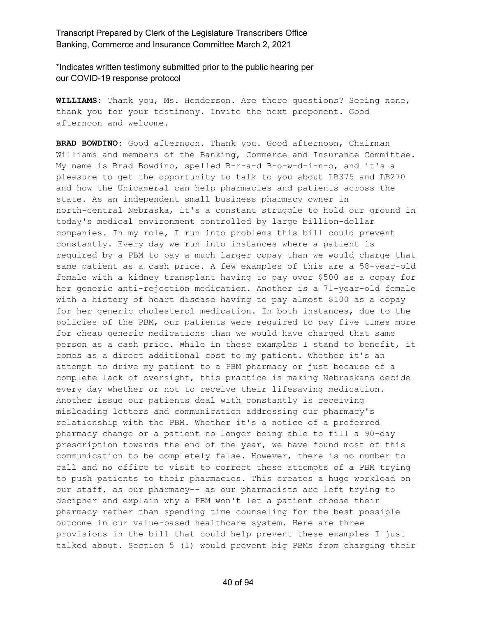\*Indicates written testimony submitted prior to the public hearing per our COVID-19 response protocol

**WILLIAMS:** Thank you, Ms. Henderson. Are there questions? Seeing none, thank you for your testimony. Invite the next proponent. Good afternoon and welcome.

**BRAD BOWDINO:** Good afternoon. Thank you. Good afternoon, Chairman Williams and members of the Banking, Commerce and Insurance Committee. My name is Brad Bowdino, spelled B-r-a-d B-o-w-d-i-n-o, and it's a pleasure to get the opportunity to talk to you about LB375 and LB270 and how the Unicameral can help pharmacies and patients across the state. As an independent small business pharmacy owner in north-central Nebraska, it's a constant struggle to hold our ground in today's medical environment controlled by large billion-dollar companies. In my role, I run into problems this bill could prevent constantly. Every day we run into instances where a patient is required by a PBM to pay a much larger copay than we would charge that same patient as a cash price. A few examples of this are a 58-year-old female with a kidney transplant having to pay over \$500 as a copay for her generic anti-rejection medication. Another is a 71-year-old female with a history of heart disease having to pay almost \$100 as a copay for her generic cholesterol medication. In both instances, due to the policies of the PBM, our patients were required to pay five times more for cheap generic medications than we would have charged that same person as a cash price. While in these examples I stand to benefit, it comes as a direct additional cost to my patient. Whether it's an attempt to drive my patient to a PBM pharmacy or just because of a complete lack of oversight, this practice is making Nebraskans decide every day whether or not to receive their lifesaving medication. Another issue our patients deal with constantly is receiving misleading letters and communication addressing our pharmacy's relationship with the PBM. Whether it's a notice of a preferred pharmacy change or a patient no longer being able to fill a 90-day prescription towards the end of the year, we have found most of this communication to be completely false. However, there is no number to call and no office to visit to correct these attempts of a PBM trying to push patients to their pharmacies. This creates a huge workload on our staff, as our pharmacy-- as our pharmacists are left trying to decipher and explain why a PBM won't let a patient choose their pharmacy rather than spending time counseling for the best possible outcome in our value-based healthcare system. Here are three provisions in the bill that could help prevent these examples I just talked about. Section 5 (1) would prevent big PBMs from charging their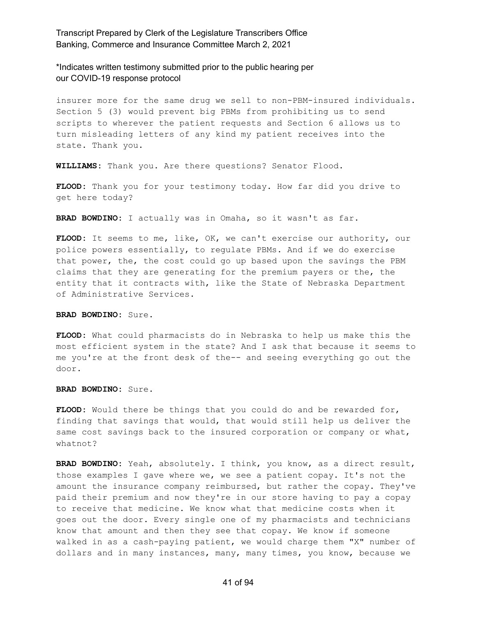\*Indicates written testimony submitted prior to the public hearing per our COVID-19 response protocol

insurer more for the same drug we sell to non-PBM-insured individuals. Section 5 (3) would prevent big PBMs from prohibiting us to send scripts to wherever the patient requests and Section 6 allows us to turn misleading letters of any kind my patient receives into the state. Thank you.

**WILLIAMS:** Thank you. Are there questions? Senator Flood.

**FLOOD:** Thank you for your testimony today. How far did you drive to get here today?

**BRAD BOWDINO:** I actually was in Omaha, so it wasn't as far.

FLOOD: It seems to me, like, OK, we can't exercise our authority, our police powers essentially, to regulate PBMs. And if we do exercise that power, the, the cost could go up based upon the savings the PBM claims that they are generating for the premium payers or the, the entity that it contracts with, like the State of Nebraska Department of Administrative Services.

#### **BRAD BOWDINO:** Sure.

**FLOOD:** What could pharmacists do in Nebraska to help us make this the most efficient system in the state? And I ask that because it seems to me you're at the front desk of the-- and seeing everything go out the door.

**BRAD BOWDINO:** Sure.

**FLOOD:** Would there be things that you could do and be rewarded for, finding that savings that would, that would still help us deliver the same cost savings back to the insured corporation or company or what, whatnot?

**BRAD BOWDINO:** Yeah, absolutely. I think, you know, as a direct result, those examples I gave where we, we see a patient copay. It's not the amount the insurance company reimbursed, but rather the copay. They've paid their premium and now they're in our store having to pay a copay to receive that medicine. We know what that medicine costs when it goes out the door. Every single one of my pharmacists and technicians know that amount and then they see that copay. We know if someone walked in as a cash-paying patient, we would charge them "X" number of dollars and in many instances, many, many times, you know, because we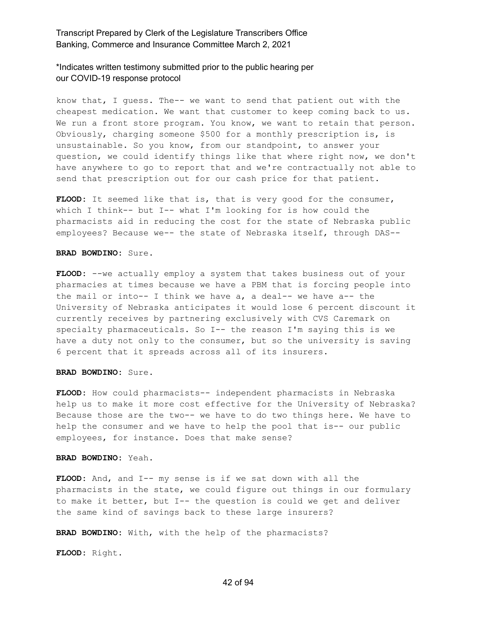#### \*Indicates written testimony submitted prior to the public hearing per our COVID-19 response protocol

know that, I guess. The-- we want to send that patient out with the cheapest medication. We want that customer to keep coming back to us. We run a front store program. You know, we want to retain that person. Obviously, charging someone \$500 for a monthly prescription is, is unsustainable. So you know, from our standpoint, to answer your question, we could identify things like that where right now, we don't have anywhere to go to report that and we're contractually not able to send that prescription out for our cash price for that patient.

FLOOD: It seemed like that is, that is very good for the consumer, which I think-- but I-- what I'm looking for is how could the pharmacists aid in reducing the cost for the state of Nebraska public employees? Because we-- the state of Nebraska itself, through DAS--

#### **BRAD BOWDINO:** Sure.

**FLOOD:** --we actually employ a system that takes business out of your pharmacies at times because we have a PBM that is forcing people into the mail or into-- I think we have a, a deal-- we have a-- the University of Nebraska anticipates it would lose 6 percent discount it currently receives by partnering exclusively with CVS Caremark on specialty pharmaceuticals. So I-- the reason I'm saying this is we have a duty not only to the consumer, but so the university is saving 6 percent that it spreads across all of its insurers.

#### **BRAD BOWDINO:** Sure.

**FLOOD:** How could pharmacists-- independent pharmacists in Nebraska help us to make it more cost effective for the University of Nebraska? Because those are the two-- we have to do two things here. We have to help the consumer and we have to help the pool that is-- our public employees, for instance. Does that make sense?

**BRAD BOWDINO:** Yeah.

**FLOOD:** And, and I-- my sense is if we sat down with all the pharmacists in the state, we could figure out things in our formulary to make it better, but I-- the question is could we get and deliver the same kind of savings back to these large insurers?

**BRAD BOWDINO:** With, with the help of the pharmacists?

**FLOOD:** Right.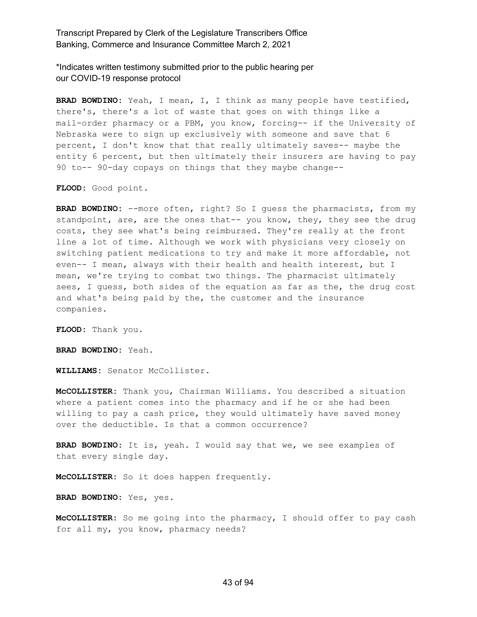\*Indicates written testimony submitted prior to the public hearing per our COVID-19 response protocol

**BRAD BOWDINO:** Yeah, I mean, I, I think as many people have testified, there's, there's a lot of waste that goes on with things like a mail-order pharmacy or a PBM, you know, forcing-- if the University of Nebraska were to sign up exclusively with someone and save that 6 percent, I don't know that that really ultimately saves-- maybe the entity 6 percent, but then ultimately their insurers are having to pay 90 to-- 90-day copays on things that they maybe change--

**FLOOD:** Good point.

**BRAD BOWDINO:** --more often, right? So I guess the pharmacists, from my standpoint, are, are the ones that-- you know, they, they see the drug costs, they see what's being reimbursed. They're really at the front line a lot of time. Although we work with physicians very closely on switching patient medications to try and make it more affordable, not even-- I mean, always with their health and health interest, but I mean, we're trying to combat two things. The pharmacist ultimately sees, I guess, both sides of the equation as far as the, the drug cost and what's being paid by the, the customer and the insurance companies.

**FLOOD:** Thank you.

**BRAD BOWDINO:** Yeah.

**WILLIAMS:** Senator McCollister.

**McCOLLISTER:** Thank you, Chairman Williams. You described a situation where a patient comes into the pharmacy and if he or she had been willing to pay a cash price, they would ultimately have saved money over the deductible. Is that a common occurrence?

**BRAD BOWDINO:** It is, yeah. I would say that we, we see examples of that every single day.

**McCOLLISTER:** So it does happen frequently.

**BRAD BOWDINO:** Yes, yes.

**McCOLLISTER:** So me going into the pharmacy, I should offer to pay cash for all my, you know, pharmacy needs?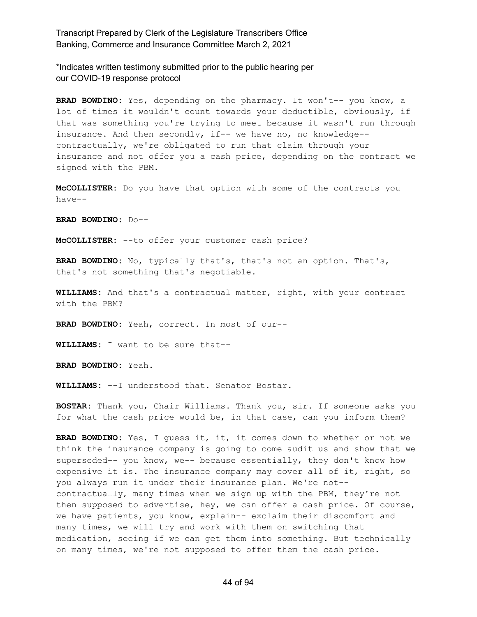\*Indicates written testimony submitted prior to the public hearing per our COVID-19 response protocol

**BRAD BOWDINO:** Yes, depending on the pharmacy. It won't-- you know, a lot of times it wouldn't count towards your deductible, obviously, if that was something you're trying to meet because it wasn't run through insurance. And then secondly, if-- we have no, no knowledge- contractually, we're obligated to run that claim through your insurance and not offer you a cash price, depending on the contract we signed with the PBM.

**McCOLLISTER:** Do you have that option with some of the contracts you have--

**BRAD BOWDINO:** Do--

**McCOLLISTER:** --to offer your customer cash price?

**BRAD BOWDINO:** No, typically that's, that's not an option. That's, that's not something that's negotiable.

**WILLIAMS:** And that's a contractual matter, right, with your contract with the PBM?

**BRAD BOWDINO:** Yeah, correct. In most of our--

**WILLIAMS:** I want to be sure that--

**BRAD BOWDINO:** Yeah.

**WILLIAMS:** --I understood that. Senator Bostar.

**BOSTAR:** Thank you, Chair Williams. Thank you, sir. If someone asks you for what the cash price would be, in that case, can you inform them?

**BRAD BOWDINO:** Yes, I guess it, it, it comes down to whether or not we think the insurance company is going to come audit us and show that we superseded-- you know, we-- because essentially, they don't know how expensive it is. The insurance company may cover all of it, right, so you always run it under their insurance plan. We're not- contractually, many times when we sign up with the PBM, they're not then supposed to advertise, hey, we can offer a cash price. Of course, we have patients, you know, explain-- exclaim their discomfort and many times, we will try and work with them on switching that medication, seeing if we can get them into something. But technically on many times, we're not supposed to offer them the cash price.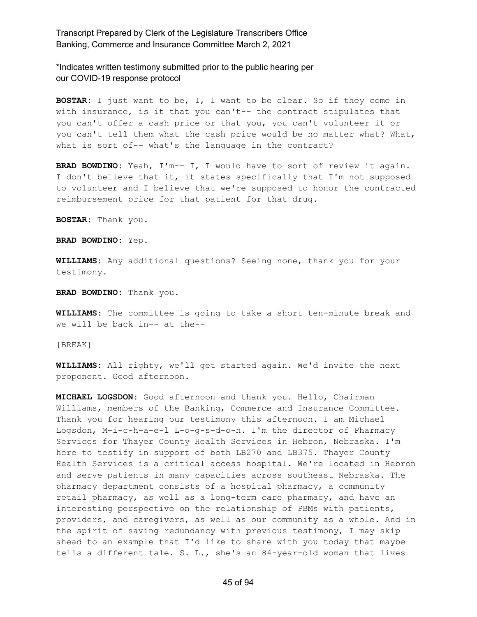\*Indicates written testimony submitted prior to the public hearing per our COVID-19 response protocol

**BOSTAR:** I just want to be, I, I want to be clear. So if they come in with insurance, is it that you can't-- the contract stipulates that you can't offer a cash price or that you, you can't volunteer it or you can't tell them what the cash price would be no matter what? What, what is sort of-- what's the language in the contract?

**BRAD BOWDINO:** Yeah, I'm-- I, I would have to sort of review it again. I don't believe that it, it states specifically that I'm not supposed to volunteer and I believe that we're supposed to honor the contracted reimbursement price for that patient for that drug.

**BOSTAR:** Thank you.

**BRAD BOWDINO:** Yep.

**WILLIAMS:** Any additional questions? Seeing none, thank you for your testimony.

**BRAD BOWDINO:** Thank you.

**WILLIAMS:** The committee is going to take a short ten-minute break and we will be back in-- at the--

[BREAK]

**WILLIAMS:** All righty, we'll get started again. We'd invite the next proponent. Good afternoon.

**MICHAEL LOGSDON:** Good afternoon and thank you. Hello, Chairman Williams, members of the Banking, Commerce and Insurance Committee. Thank you for hearing our testimony this afternoon. I am Michael Logsdon, M-i-c-h-a-e-l L-o-g-s-d-o-n. I'm the director of Pharmacy Services for Thayer County Health Services in Hebron, Nebraska. I'm here to testify in support of both LB270 and LB375. Thayer County Health Services is a critical access hospital. We're located in Hebron and serve patients in many capacities across southeast Nebraska. The pharmacy department consists of a hospital pharmacy, a community retail pharmacy, as well as a long-term care pharmacy, and have an interesting perspective on the relationship of PBMs with patients, providers, and caregivers, as well as our community as a whole. And in the spirit of saving redundancy with previous testimony, I may skip ahead to an example that I'd like to share with you today that maybe tells a different tale. S. L., she's an 84-year-old woman that lives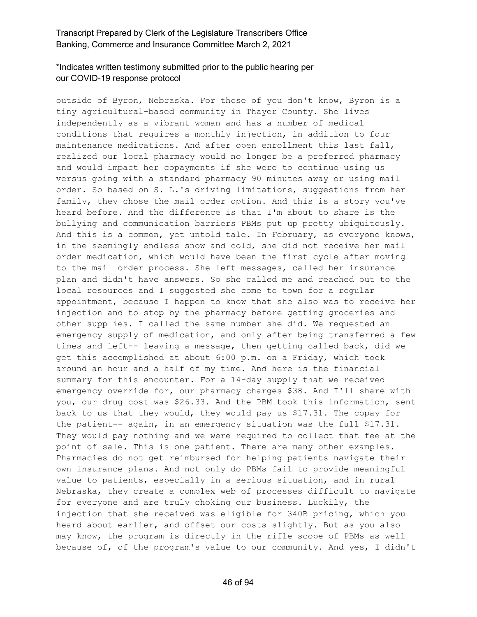### \*Indicates written testimony submitted prior to the public hearing per our COVID-19 response protocol

outside of Byron, Nebraska. For those of you don't know, Byron is a tiny agricultural-based community in Thayer County. She lives independently as a vibrant woman and has a number of medical conditions that requires a monthly injection, in addition to four maintenance medications. And after open enrollment this last fall, realized our local pharmacy would no longer be a preferred pharmacy and would impact her copayments if she were to continue using us versus going with a standard pharmacy 90 minutes away or using mail order. So based on S. L.'s driving limitations, suggestions from her family, they chose the mail order option. And this is a story you've heard before. And the difference is that I'm about to share is the bullying and communication barriers PBMs put up pretty ubiquitously. And this is a common, yet untold tale. In February, as everyone knows, in the seemingly endless snow and cold, she did not receive her mail order medication, which would have been the first cycle after moving to the mail order process. She left messages, called her insurance plan and didn't have answers. So she called me and reached out to the local resources and I suggested she come to town for a regular appointment, because I happen to know that she also was to receive her injection and to stop by the pharmacy before getting groceries and other supplies. I called the same number she did. We requested an emergency supply of medication, and only after being transferred a few times and left-- leaving a message, then getting called back, did we get this accomplished at about 6:00 p.m. on a Friday, which took around an hour and a half of my time. And here is the financial summary for this encounter. For a 14-day supply that we received emergency override for, our pharmacy charges \$38. And I'll share with you, our drug cost was \$26.33. And the PBM took this information, sent back to us that they would, they would pay us \$17.31. The copay for the patient-- again, in an emergency situation was the full \$17.31. They would pay nothing and we were required to collect that fee at the point of sale. This is one patient. There are many other examples. Pharmacies do not get reimbursed for helping patients navigate their own insurance plans. And not only do PBMs fail to provide meaningful value to patients, especially in a serious situation, and in rural Nebraska, they create a complex web of processes difficult to navigate for everyone and are truly choking our business. Luckily, the injection that she received was eligible for 340B pricing, which you heard about earlier, and offset our costs slightly. But as you also may know, the program is directly in the rifle scope of PBMs as well because of, of the program's value to our community. And yes, I didn't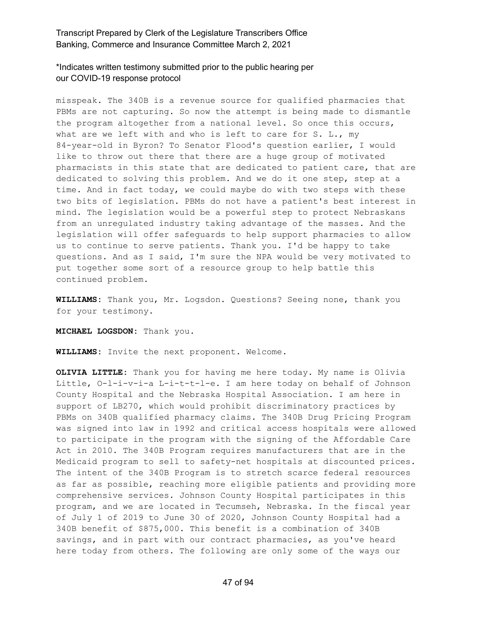\*Indicates written testimony submitted prior to the public hearing per our COVID-19 response protocol

misspeak. The 340B is a revenue source for qualified pharmacies that PBMs are not capturing. So now the attempt is being made to dismantle the program altogether from a national level. So once this occurs, what are we left with and who is left to care for S. L., my 84-year-old in Byron? To Senator Flood's question earlier, I would like to throw out there that there are a huge group of motivated pharmacists in this state that are dedicated to patient care, that are dedicated to solving this problem. And we do it one step, step at a time. And in fact today, we could maybe do with two steps with these two bits of legislation. PBMs do not have a patient's best interest in mind. The legislation would be a powerful step to protect Nebraskans from an unregulated industry taking advantage of the masses. And the legislation will offer safeguards to help support pharmacies to allow us to continue to serve patients. Thank you. I'd be happy to take questions. And as I said, I'm sure the NPA would be very motivated to put together some sort of a resource group to help battle this continued problem.

**WILLIAMS:** Thank you, Mr. Logsdon. Questions? Seeing none, thank you for your testimony.

**MICHAEL LOGSDON:** Thank you.

**WILLIAMS:** Invite the next proponent. Welcome.

**OLIVIA LITTLE:** Thank you for having me here today. My name is Olivia Little, O-l-i-v-i-a L-i-t-t-l-e. I am here today on behalf of Johnson County Hospital and the Nebraska Hospital Association. I am here in support of LB270, which would prohibit discriminatory practices by PBMs on 340B qualified pharmacy claims. The 340B Drug Pricing Program was signed into law in 1992 and critical access hospitals were allowed to participate in the program with the signing of the Affordable Care Act in 2010. The 340B Program requires manufacturers that are in the Medicaid program to sell to safety-net hospitals at discounted prices. The intent of the 340B Program is to stretch scarce federal resources as far as possible, reaching more eligible patients and providing more comprehensive services. Johnson County Hospital participates in this program, and we are located in Tecumseh, Nebraska. In the fiscal year of July 1 of 2019 to June 30 of 2020, Johnson County Hospital had a 340B benefit of \$875,000. This benefit is a combination of 340B savings, and in part with our contract pharmacies, as you've heard here today from others. The following are only some of the ways our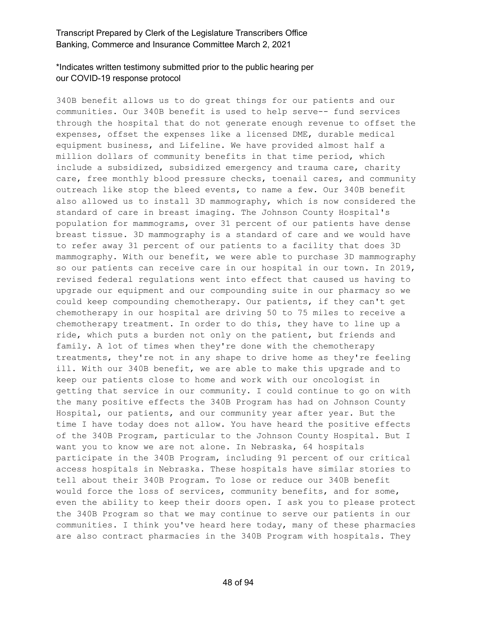# \*Indicates written testimony submitted prior to the public hearing per our COVID-19 response protocol

340B benefit allows us to do great things for our patients and our communities. Our 340B benefit is used to help serve-- fund services through the hospital that do not generate enough revenue to offset the expenses, offset the expenses like a licensed DME, durable medical equipment business, and Lifeline. We have provided almost half a million dollars of community benefits in that time period, which include a subsidized, subsidized emergency and trauma care, charity care, free monthly blood pressure checks, toenail cares, and community outreach like stop the bleed events, to name a few. Our 340B benefit also allowed us to install 3D mammography, which is now considered the standard of care in breast imaging. The Johnson County Hospital's population for mammograms, over 31 percent of our patients have dense breast tissue. 3D mammography is a standard of care and we would have to refer away 31 percent of our patients to a facility that does 3D mammography. With our benefit, we were able to purchase 3D mammography so our patients can receive care in our hospital in our town. In 2019, revised federal regulations went into effect that caused us having to upgrade our equipment and our compounding suite in our pharmacy so we could keep compounding chemotherapy. Our patients, if they can't get chemotherapy in our hospital are driving 50 to 75 miles to receive a chemotherapy treatment. In order to do this, they have to line up a ride, which puts a burden not only on the patient, but friends and family. A lot of times when they're done with the chemotherapy treatments, they're not in any shape to drive home as they're feeling ill. With our 340B benefit, we are able to make this upgrade and to keep our patients close to home and work with our oncologist in getting that service in our community. I could continue to go on with the many positive effects the 340B Program has had on Johnson County Hospital, our patients, and our community year after year. But the time I have today does not allow. You have heard the positive effects of the 340B Program, particular to the Johnson County Hospital. But I want you to know we are not alone. In Nebraska, 64 hospitals participate in the 340B Program, including 91 percent of our critical access hospitals in Nebraska. These hospitals have similar stories to tell about their 340B Program. To lose or reduce our 340B benefit would force the loss of services, community benefits, and for some, even the ability to keep their doors open. I ask you to please protect the 340B Program so that we may continue to serve our patients in our communities. I think you've heard here today, many of these pharmacies are also contract pharmacies in the 340B Program with hospitals. They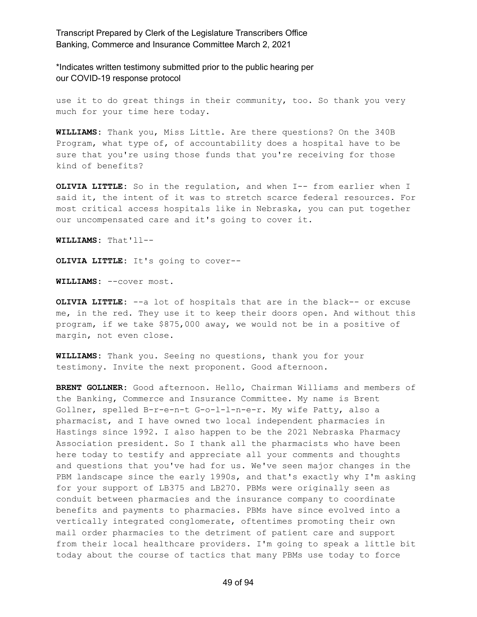\*Indicates written testimony submitted prior to the public hearing per our COVID-19 response protocol

use it to do great things in their community, too. So thank you very much for your time here today.

**WILLIAMS:** Thank you, Miss Little. Are there questions? On the 340B Program, what type of, of accountability does a hospital have to be sure that you're using those funds that you're receiving for those kind of benefits?

**OLIVIA LITTLE:** So in the regulation, and when I-- from earlier when I said it, the intent of it was to stretch scarce federal resources. For most critical access hospitals like in Nebraska, you can put together our uncompensated care and it's going to cover it.

**WILLIAMS:** That'll--

**OLIVIA LITTLE:** It's going to cover--

**WILLIAMS:** --cover most.

**OLIVIA LITTLE:** --a lot of hospitals that are in the black-- or excuse me, in the red. They use it to keep their doors open. And without this program, if we take \$875,000 away, we would not be in a positive of margin, not even close.

**WILLIAMS:** Thank you. Seeing no questions, thank you for your testimony. Invite the next proponent. Good afternoon.

**BRENT GOLLNER:** Good afternoon. Hello, Chairman Williams and members of the Banking, Commerce and Insurance Committee. My name is Brent Gollner, spelled B-r-e-n-t G-o-l-l-n-e-r. My wife Patty, also a pharmacist, and I have owned two local independent pharmacies in Hastings since 1992. I also happen to be the 2021 Nebraska Pharmacy Association president. So I thank all the pharmacists who have been here today to testify and appreciate all your comments and thoughts and questions that you've had for us. We've seen major changes in the PBM landscape since the early 1990s, and that's exactly why I'm asking for your support of LB375 and LB270. PBMs were originally seen as conduit between pharmacies and the insurance company to coordinate benefits and payments to pharmacies. PBMs have since evolved into a vertically integrated conglomerate, oftentimes promoting their own mail order pharmacies to the detriment of patient care and support from their local healthcare providers. I'm going to speak a little bit today about the course of tactics that many PBMs use today to force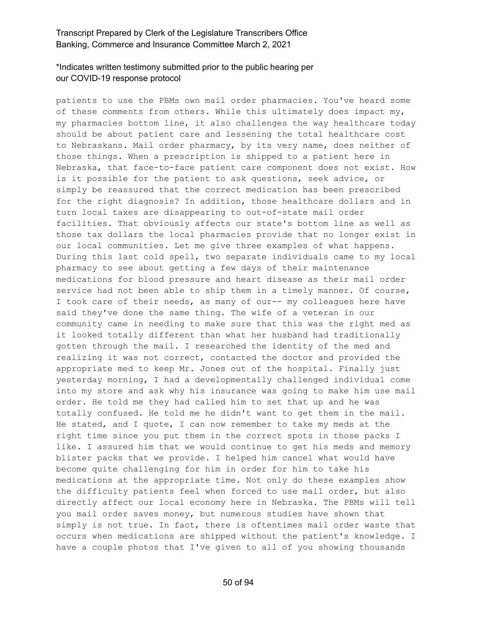# \*Indicates written testimony submitted prior to the public hearing per our COVID-19 response protocol

patients to use the PBMs own mail order pharmacies. You've heard some of these comments from others. While this ultimately does impact my, my pharmacies bottom line, it also challenges the way healthcare today should be about patient care and lessening the total healthcare cost to Nebraskans. Mail order pharmacy, by its very name, does neither of those things. When a prescription is shipped to a patient here in Nebraska, that face-to-face patient care component does not exist. How is it possible for the patient to ask questions, seek advice, or simply be reassured that the correct medication has been prescribed for the right diagnosis? In addition, those healthcare dollars and in turn local taxes are disappearing to out-of-state mail order facilities. That obviously affects our state's bottom line as well as those tax dollars the local pharmacies provide that no longer exist in our local communities. Let me give three examples of what happens. During this last cold spell, two separate individuals came to my local pharmacy to see about getting a few days of their maintenance medications for blood pressure and heart disease as their mail order service had not been able to ship them in a timely manner. Of course, I took care of their needs, as many of our-- my colleagues here have said they've done the same thing. The wife of a veteran in our community came in needing to make sure that this was the right med as it looked totally different than what her husband had traditionally gotten through the mail. I researched the identity of the med and realizing it was not correct, contacted the doctor and provided the appropriate med to keep Mr. Jones out of the hospital. Finally just yesterday morning, I had a developmentally challenged individual come into my store and ask why his insurance was going to make him use mail order. He told me they had called him to set that up and he was totally confused. He told me he didn't want to get them in the mail. He stated, and I quote, I can now remember to take my meds at the right time since you put them in the correct spots in those packs I like. I assured him that we would continue to get his meds and memory blister packs that we provide. I helped him cancel what would have become quite challenging for him in order for him to take his medications at the appropriate time. Not only do these examples show the difficulty patients feel when forced to use mail order, but also directly affect our local economy here in Nebraska. The PBMs will tell you mail order saves money, but numerous studies have shown that simply is not true. In fact, there is oftentimes mail order waste that occurs when medications are shipped without the patient's knowledge. I have a couple photos that I've given to all of you showing thousands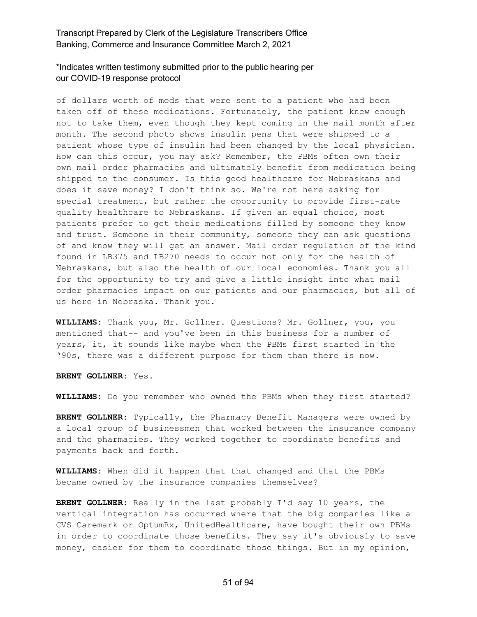\*Indicates written testimony submitted prior to the public hearing per our COVID-19 response protocol

of dollars worth of meds that were sent to a patient who had been taken off of these medications. Fortunately, the patient knew enough not to take them, even though they kept coming in the mail month after month. The second photo shows insulin pens that were shipped to a patient whose type of insulin had been changed by the local physician. How can this occur, you may ask? Remember, the PBMs often own their own mail order pharmacies and ultimately benefit from medication being shipped to the consumer. Is this good healthcare for Nebraskans and does it save money? I don't think so. We're not here asking for special treatment, but rather the opportunity to provide first-rate quality healthcare to Nebraskans. If given an equal choice, most patients prefer to get their medications filled by someone they know and trust. Someone in their community, someone they can ask questions of and know they will get an answer. Mail order regulation of the kind found in LB375 and LB270 needs to occur not only for the health of Nebraskans, but also the health of our local economies. Thank you all for the opportunity to try and give a little insight into what mail order pharmacies impact on our patients and our pharmacies, but all of us here in Nebraska. Thank you.

**WILLIAMS:** Thank you, Mr. Gollner. Questions? Mr. Gollner, you, you mentioned that-- and you've been in this business for a number of years, it, it sounds like maybe when the PBMs first started in the '90s, there was a different purpose for them than there is now.

**BRENT GOLLNER:** Yes.

**WILLIAMS:** Do you remember who owned the PBMs when they first started?

**BRENT GOLLNER:** Typically, the Pharmacy Benefit Managers were owned by a local group of businessmen that worked between the insurance company and the pharmacies. They worked together to coordinate benefits and payments back and forth.

**WILLIAMS:** When did it happen that that changed and that the PBMs became owned by the insurance companies themselves?

**BRENT GOLLNER:** Really in the last probably I'd say 10 years, the vertical integration has occurred where that the big companies like a CVS Caremark or OptumRx, UnitedHealthcare, have bought their own PBMs in order to coordinate those benefits. They say it's obviously to save money, easier for them to coordinate those things. But in my opinion,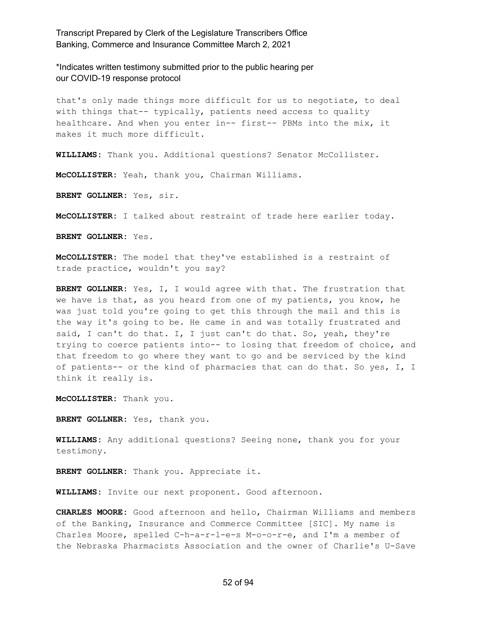\*Indicates written testimony submitted prior to the public hearing per our COVID-19 response protocol

that's only made things more difficult for us to negotiate, to deal with things that-- typically, patients need access to quality healthcare. And when you enter in-- first-- PBMs into the mix, it makes it much more difficult.

**WILLIAMS:** Thank you. Additional questions? Senator McCollister.

**McCOLLISTER:** Yeah, thank you, Chairman Williams.

**BRENT GOLLNER:** Yes, sir.

**McCOLLISTER:** I talked about restraint of trade here earlier today.

**BRENT GOLLNER:** Yes.

**McCOLLISTER:** The model that they've established is a restraint of trade practice, wouldn't you say?

**BRENT GOLLNER:** Yes, I, I would agree with that. The frustration that we have is that, as you heard from one of my patients, you know, he was just told you're going to get this through the mail and this is the way it's going to be. He came in and was totally frustrated and said, I can't do that. I, I just can't do that. So, yeah, they're trying to coerce patients into-- to losing that freedom of choice, and that freedom to go where they want to go and be serviced by the kind of patients-- or the kind of pharmacies that can do that. So yes, I, I think it really is.

**McCOLLISTER:** Thank you.

**BRENT GOLLNER:** Yes, thank you.

**WILLIAMS:** Any additional questions? Seeing none, thank you for your testimony.

**BRENT GOLLNER:** Thank you. Appreciate it.

**WILLIAMS:** Invite our next proponent. Good afternoon.

**CHARLES MOORE:** Good afternoon and hello, Chairman Williams and members of the Banking, Insurance and Commerce Committee [SIC]. My name is Charles Moore, spelled C-h-a-r-l-e-s M-o-o-r-e, and I'm a member of the Nebraska Pharmacists Association and the owner of Charlie's U-Save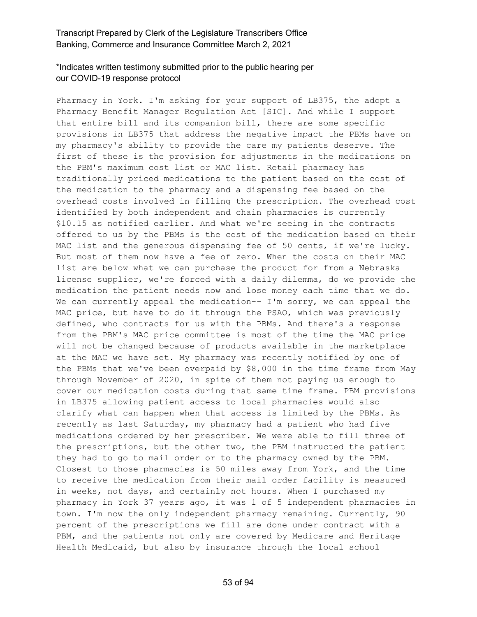# \*Indicates written testimony submitted prior to the public hearing per our COVID-19 response protocol

Pharmacy in York. I'm asking for your support of LB375, the adopt a Pharmacy Benefit Manager Regulation Act [SIC]. And while I support that entire bill and its companion bill, there are some specific provisions in LB375 that address the negative impact the PBMs have on my pharmacy's ability to provide the care my patients deserve. The first of these is the provision for adjustments in the medications on the PBM's maximum cost list or MAC list. Retail pharmacy has traditionally priced medications to the patient based on the cost of the medication to the pharmacy and a dispensing fee based on the overhead costs involved in filling the prescription. The overhead cost identified by both independent and chain pharmacies is currently \$10.15 as notified earlier. And what we're seeing in the contracts offered to us by the PBMs is the cost of the medication based on their MAC list and the generous dispensing fee of 50 cents, if we're lucky. But most of them now have a fee of zero. When the costs on their MAC list are below what we can purchase the product for from a Nebraska license supplier, we're forced with a daily dilemma, do we provide the medication the patient needs now and lose money each time that we do. We can currently appeal the medication--  $I'm$  sorry, we can appeal the MAC price, but have to do it through the PSAO, which was previously defined, who contracts for us with the PBMs. And there's a response from the PBM's MAC price committee is most of the time the MAC price will not be changed because of products available in the marketplace at the MAC we have set. My pharmacy was recently notified by one of the PBMs that we've been overpaid by \$8,000 in the time frame from May through November of 2020, in spite of them not paying us enough to cover our medication costs during that same time frame. PBM provisions in LB375 allowing patient access to local pharmacies would also clarify what can happen when that access is limited by the PBMs. As recently as last Saturday, my pharmacy had a patient who had five medications ordered by her prescriber. We were able to fill three of the prescriptions, but the other two, the PBM instructed the patient they had to go to mail order or to the pharmacy owned by the PBM. Closest to those pharmacies is 50 miles away from York, and the time to receive the medication from their mail order facility is measured in weeks, not days, and certainly not hours. When I purchased my pharmacy in York 37 years ago, it was 1 of 5 independent pharmacies in town. I'm now the only independent pharmacy remaining. Currently, 90 percent of the prescriptions we fill are done under contract with a PBM, and the patients not only are covered by Medicare and Heritage Health Medicaid, but also by insurance through the local school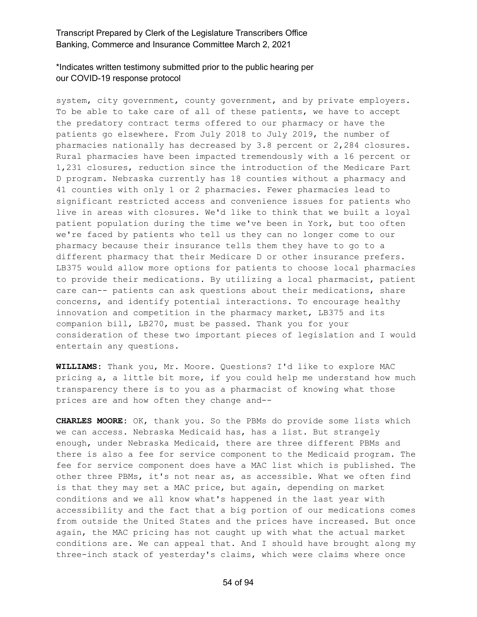\*Indicates written testimony submitted prior to the public hearing per our COVID-19 response protocol

system, city government, county government, and by private employers. To be able to take care of all of these patients, we have to accept the predatory contract terms offered to our pharmacy or have the patients go elsewhere. From July 2018 to July 2019, the number of pharmacies nationally has decreased by 3.8 percent or 2,284 closures. Rural pharmacies have been impacted tremendously with a 16 percent or 1,231 closures, reduction since the introduction of the Medicare Part D program. Nebraska currently has 18 counties without a pharmacy and 41 counties with only 1 or 2 pharmacies. Fewer pharmacies lead to significant restricted access and convenience issues for patients who live in areas with closures. We'd like to think that we built a loyal patient population during the time we've been in York, but too often we're faced by patients who tell us they can no longer come to our pharmacy because their insurance tells them they have to go to a different pharmacy that their Medicare D or other insurance prefers. LB375 would allow more options for patients to choose local pharmacies to provide their medications. By utilizing a local pharmacist, patient care can-- patients can ask questions about their medications, share concerns, and identify potential interactions. To encourage healthy innovation and competition in the pharmacy market, LB375 and its companion bill, LB270, must be passed. Thank you for your consideration of these two important pieces of legislation and I would entertain any questions.

**WILLIAMS:** Thank you, Mr. Moore. Questions? I'd like to explore MAC pricing a, a little bit more, if you could help me understand how much transparency there is to you as a pharmacist of knowing what those prices are and how often they change and--

**CHARLES MOORE:** OK, thank you. So the PBMs do provide some lists which we can access. Nebraska Medicaid has, has a list. But strangely enough, under Nebraska Medicaid, there are three different PBMs and there is also a fee for service component to the Medicaid program. The fee for service component does have a MAC list which is published. The other three PBMs, it's not near as, as accessible. What we often find is that they may set a MAC price, but again, depending on market conditions and we all know what's happened in the last year with accessibility and the fact that a big portion of our medications comes from outside the United States and the prices have increased. But once again, the MAC pricing has not caught up with what the actual market conditions are. We can appeal that. And I should have brought along my three-inch stack of yesterday's claims, which were claims where once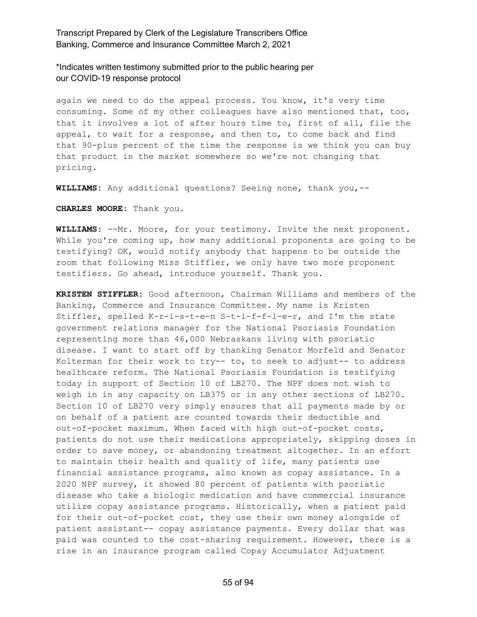\*Indicates written testimony submitted prior to the public hearing per our COVID-19 response protocol

again we need to do the appeal process. You know, it's very time consuming. Some of my other colleagues have also mentioned that, too, that it involves a lot of after hours time to, first of all, file the appeal, to wait for a response, and then to, to come back and find that 90-plus percent of the time the response is we think you can buy that product in the market somewhere so we're not changing that pricing.

**WILLIAMS:** Any additional questions? Seeing none, thank you,--

**CHARLES MOORE:** Thank you.

**WILLIAMS:** --Mr. Moore, for your testimony. Invite the next proponent. While you're coming up, how many additional proponents are going to be testifying? OK, would notify anybody that happens to be outside the room that following Miss Stiffler, we only have two more proponent testifiers. Go ahead, introduce yourself. Thank you.

**KRISTEN STIFFLER:** Good afternoon, Chairman Williams and members of the Banking, Commerce and Insurance Committee. My name is Kristen Stiffler, spelled K-r-i-s-t-e-n S-t-i-f-f-l-e-r, and I'm the state government relations manager for the National Psoriasis Foundation representing more than 46,000 Nebraskans living with psoriatic disease. I want to start off by thanking Senator Morfeld and Senator Kolterman for their work to try-- to, to seek to adjust-- to address healthcare reform. The National Psoriasis Foundation is testifying today in support of Section 10 of LB270. The NPF does not wish to weigh in in any capacity on LB375 or in any other sections of LB270. Section 10 of LB270 very simply ensures that all payments made by or on behalf of a patient are counted towards their deductible and out-of-pocket maximum. When faced with high out-of-pocket costs, patients do not use their medications appropriately, skipping doses in order to save money, or abandoning treatment altogether. In an effort to maintain their health and quality of life, many patients use financial assistance programs, also known as copay assistance. In a 2020 NPF survey, it showed 80 percent of patients with psoriatic disease who take a biologic medication and have commercial insurance utilize copay assistance programs. Historically, when a patient paid for their out-of-pocket cost, they use their own money alongside of patient assistant-- copay assistance payments. Every dollar that was paid was counted to the cost-sharing requirement. However, there is a rise in an insurance program called Copay Accumulator Adjustment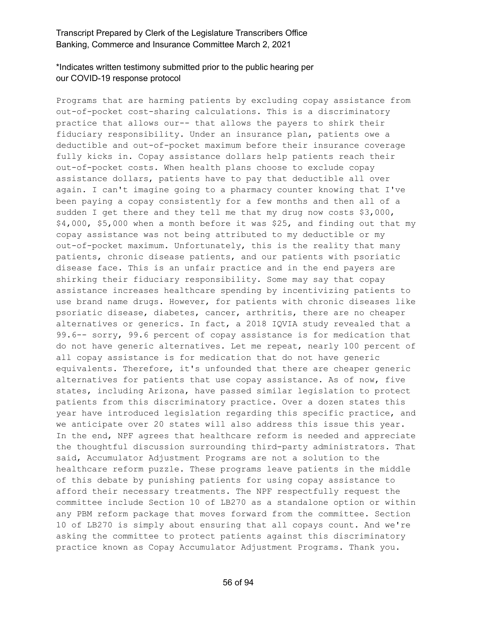# \*Indicates written testimony submitted prior to the public hearing per our COVID-19 response protocol

Programs that are harming patients by excluding copay assistance from out-of-pocket cost-sharing calculations. This is a discriminatory practice that allows our-- that allows the payers to shirk their fiduciary responsibility. Under an insurance plan, patients owe a deductible and out-of-pocket maximum before their insurance coverage fully kicks in. Copay assistance dollars help patients reach their out-of-pocket costs. When health plans choose to exclude copay assistance dollars, patients have to pay that deductible all over again. I can't imagine going to a pharmacy counter knowing that I've been paying a copay consistently for a few months and then all of a sudden I get there and they tell me that my drug now costs \$3,000, \$4,000, \$5,000 when a month before it was \$25, and finding out that my copay assistance was not being attributed to my deductible or my out-of-pocket maximum. Unfortunately, this is the reality that many patients, chronic disease patients, and our patients with psoriatic disease face. This is an unfair practice and in the end payers are shirking their fiduciary responsibility. Some may say that copay assistance increases healthcare spending by incentivizing patients to use brand name drugs. However, for patients with chronic diseases like psoriatic disease, diabetes, cancer, arthritis, there are no cheaper alternatives or generics. In fact, a 2018 IQVIA study revealed that a 99.6-- sorry, 99.6 percent of copay assistance is for medication that do not have generic alternatives. Let me repeat, nearly 100 percent of all copay assistance is for medication that do not have generic equivalents. Therefore, it's unfounded that there are cheaper generic alternatives for patients that use copay assistance. As of now, five states, including Arizona, have passed similar legislation to protect patients from this discriminatory practice. Over a dozen states this year have introduced legislation regarding this specific practice, and we anticipate over 20 states will also address this issue this year. In the end, NPF agrees that healthcare reform is needed and appreciate the thoughtful discussion surrounding third-party administrators. That said, Accumulator Adjustment Programs are not a solution to the healthcare reform puzzle. These programs leave patients in the middle of this debate by punishing patients for using copay assistance to afford their necessary treatments. The NPF respectfully request the committee include Section 10 of LB270 as a standalone option or within any PBM reform package that moves forward from the committee. Section 10 of LB270 is simply about ensuring that all copays count. And we're asking the committee to protect patients against this discriminatory practice known as Copay Accumulator Adjustment Programs. Thank you.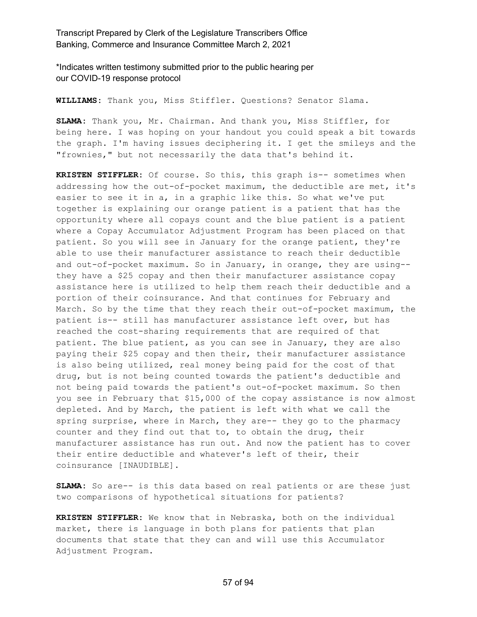\*Indicates written testimony submitted prior to the public hearing per our COVID-19 response protocol

**WILLIAMS:** Thank you, Miss Stiffler. Questions? Senator Slama.

**SLAMA:** Thank you, Mr. Chairman. And thank you, Miss Stiffler, for being here. I was hoping on your handout you could speak a bit towards the graph. I'm having issues deciphering it. I get the smileys and the "frownies," but not necessarily the data that's behind it.

**KRISTEN STIFFLER:** Of course. So this, this graph is-- sometimes when addressing how the out-of-pocket maximum, the deductible are met, it's easier to see it in a, in a graphic like this. So what we've put together is explaining our orange patient is a patient that has the opportunity where all copays count and the blue patient is a patient where a Copay Accumulator Adjustment Program has been placed on that patient. So you will see in January for the orange patient, they're able to use their manufacturer assistance to reach their deductible and out-of-pocket maximum. So in January, in orange, they are using- they have a \$25 copay and then their manufacturer assistance copay assistance here is utilized to help them reach their deductible and a portion of their coinsurance. And that continues for February and March. So by the time that they reach their out-of-pocket maximum, the patient is-- still has manufacturer assistance left over, but has reached the cost-sharing requirements that are required of that patient. The blue patient, as you can see in January, they are also paying their \$25 copay and then their, their manufacturer assistance is also being utilized, real money being paid for the cost of that drug, but is not being counted towards the patient's deductible and not being paid towards the patient's out-of-pocket maximum. So then you see in February that \$15,000 of the copay assistance is now almost depleted. And by March, the patient is left with what we call the spring surprise, where in March, they are-- they go to the pharmacy counter and they find out that to, to obtain the drug, their manufacturer assistance has run out. And now the patient has to cover their entire deductible and whatever's left of their, their coinsurance [INAUDIBLE].

**SLAMA:** So are-- is this data based on real patients or are these just two comparisons of hypothetical situations for patients?

**KRISTEN STIFFLER:** We know that in Nebraska, both on the individual market, there is language in both plans for patients that plan documents that state that they can and will use this Accumulator Adjustment Program.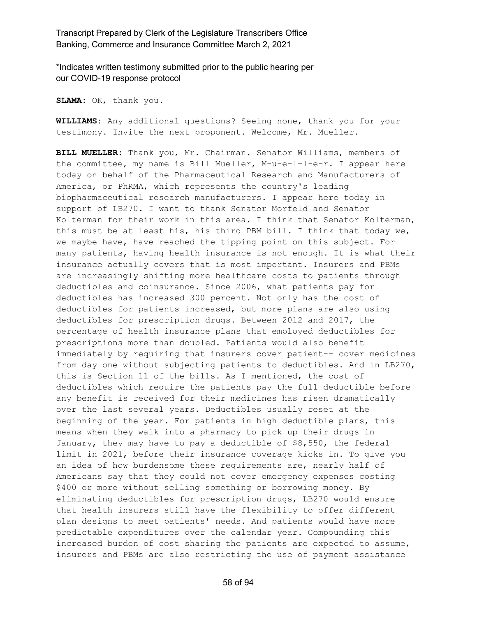\*Indicates written testimony submitted prior to the public hearing per our COVID-19 response protocol

**SLAMA:** OK, thank you.

**WILLIAMS:** Any additional questions? Seeing none, thank you for your testimony. Invite the next proponent. Welcome, Mr. Mueller.

**BILL MUELLER:** Thank you, Mr. Chairman. Senator Williams, members of the committee, my name is Bill Mueller, M-u-e-l-l-e-r. I appear here today on behalf of the Pharmaceutical Research and Manufacturers of America, or PhRMA, which represents the country's leading biopharmaceutical research manufacturers. I appear here today in support of LB270. I want to thank Senator Morfeld and Senator Kolterman for their work in this area. I think that Senator Kolterman, this must be at least his, his third PBM bill. I think that today we, we maybe have, have reached the tipping point on this subject. For many patients, having health insurance is not enough. It is what their insurance actually covers that is most important. Insurers and PBMs are increasingly shifting more healthcare costs to patients through deductibles and coinsurance. Since 2006, what patients pay for deductibles has increased 300 percent. Not only has the cost of deductibles for patients increased, but more plans are also using deductibles for prescription drugs. Between 2012 and 2017, the percentage of health insurance plans that employed deductibles for prescriptions more than doubled. Patients would also benefit immediately by requiring that insurers cover patient-- cover medicines from day one without subjecting patients to deductibles. And in LB270, this is Section 11 of the bills. As I mentioned, the cost of deductibles which require the patients pay the full deductible before any benefit is received for their medicines has risen dramatically over the last several years. Deductibles usually reset at the beginning of the year. For patients in high deductible plans, this means when they walk into a pharmacy to pick up their drugs in January, they may have to pay a deductible of \$8,550, the federal limit in 2021, before their insurance coverage kicks in. To give you an idea of how burdensome these requirements are, nearly half of Americans say that they could not cover emergency expenses costing \$400 or more without selling something or borrowing money. By eliminating deductibles for prescription drugs, LB270 would ensure that health insurers still have the flexibility to offer different plan designs to meet patients' needs. And patients would have more predictable expenditures over the calendar year. Compounding this increased burden of cost sharing the patients are expected to assume, insurers and PBMs are also restricting the use of payment assistance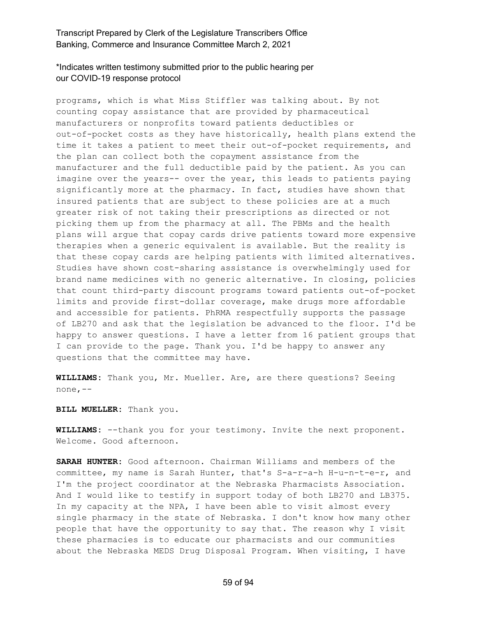#### \*Indicates written testimony submitted prior to the public hearing per our COVID-19 response protocol

programs, which is what Miss Stiffler was talking about. By not counting copay assistance that are provided by pharmaceutical manufacturers or nonprofits toward patients deductibles or out-of-pocket costs as they have historically, health plans extend the time it takes a patient to meet their out-of-pocket requirements, and the plan can collect both the copayment assistance from the manufacturer and the full deductible paid by the patient. As you can imagine over the years-- over the year, this leads to patients paying significantly more at the pharmacy. In fact, studies have shown that insured patients that are subject to these policies are at a much greater risk of not taking their prescriptions as directed or not picking them up from the pharmacy at all. The PBMs and the health plans will argue that copay cards drive patients toward more expensive therapies when a generic equivalent is available. But the reality is that these copay cards are helping patients with limited alternatives. Studies have shown cost-sharing assistance is overwhelmingly used for brand name medicines with no generic alternative. In closing, policies that count third-party discount programs toward patients out-of-pocket limits and provide first-dollar coverage, make drugs more affordable and accessible for patients. PhRMA respectfully supports the passage of LB270 and ask that the legislation be advanced to the floor. I'd be happy to answer questions. I have a letter from 16 patient groups that I can provide to the page. Thank you. I'd be happy to answer any questions that the committee may have.

**WILLIAMS:** Thank you, Mr. Mueller. Are, are there questions? Seeing none,--

**BILL MUELLER:** Thank you.

**WILLIAMS:** --thank you for your testimony. Invite the next proponent. Welcome. Good afternoon.

**SARAH HUNTER:** Good afternoon. Chairman Williams and members of the committee, my name is Sarah Hunter, that's S-a-r-a-h H-u-n-t-e-r, and I'm the project coordinator at the Nebraska Pharmacists Association. And I would like to testify in support today of both LB270 and LB375. In my capacity at the NPA, I have been able to visit almost every single pharmacy in the state of Nebraska. I don't know how many other people that have the opportunity to say that. The reason why I visit these pharmacies is to educate our pharmacists and our communities about the Nebraska MEDS Drug Disposal Program. When visiting, I have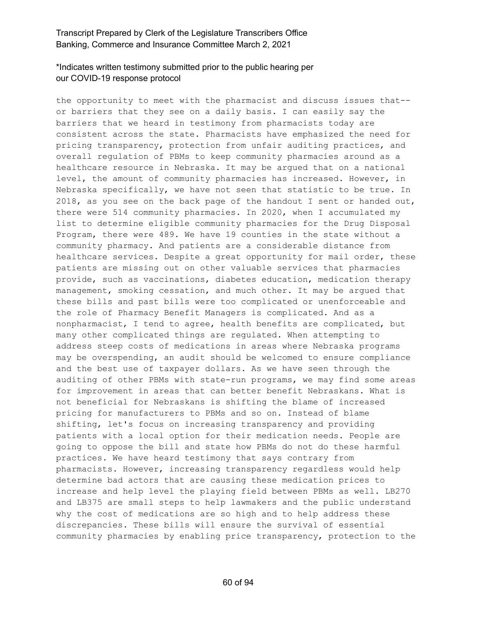# \*Indicates written testimony submitted prior to the public hearing per our COVID-19 response protocol

the opportunity to meet with the pharmacist and discuss issues that- or barriers that they see on a daily basis. I can easily say the barriers that we heard in testimony from pharmacists today are consistent across the state. Pharmacists have emphasized the need for pricing transparency, protection from unfair auditing practices, and overall regulation of PBMs to keep community pharmacies around as a healthcare resource in Nebraska. It may be argued that on a national level, the amount of community pharmacies has increased. However, in Nebraska specifically, we have not seen that statistic to be true. In 2018, as you see on the back page of the handout I sent or handed out, there were 514 community pharmacies. In 2020, when I accumulated my list to determine eligible community pharmacies for the Drug Disposal Program, there were 489. We have 19 counties in the state without a community pharmacy. And patients are a considerable distance from healthcare services. Despite a great opportunity for mail order, these patients are missing out on other valuable services that pharmacies provide, such as vaccinations, diabetes education, medication therapy management, smoking cessation, and much other. It may be argued that these bills and past bills were too complicated or unenforceable and the role of Pharmacy Benefit Managers is complicated. And as a nonpharmacist, I tend to agree, health benefits are complicated, but many other complicated things are regulated. When attempting to address steep costs of medications in areas where Nebraska programs may be overspending, an audit should be welcomed to ensure compliance and the best use of taxpayer dollars. As we have seen through the auditing of other PBMs with state-run programs, we may find some areas for improvement in areas that can better benefit Nebraskans. What is not beneficial for Nebraskans is shifting the blame of increased pricing for manufacturers to PBMs and so on. Instead of blame shifting, let's focus on increasing transparency and providing patients with a local option for their medication needs. People are going to oppose the bill and state how PBMs do not do these harmful practices. We have heard testimony that says contrary from pharmacists. However, increasing transparency regardless would help determine bad actors that are causing these medication prices to increase and help level the playing field between PBMs as well. LB270 and LB375 are small steps to help lawmakers and the public understand why the cost of medications are so high and to help address these discrepancies. These bills will ensure the survival of essential community pharmacies by enabling price transparency, protection to the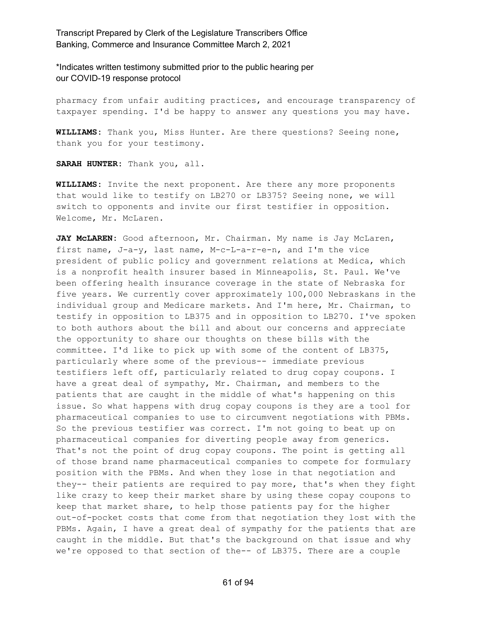\*Indicates written testimony submitted prior to the public hearing per our COVID-19 response protocol

pharmacy from unfair auditing practices, and encourage transparency of taxpayer spending. I'd be happy to answer any questions you may have.

**WILLIAMS:** Thank you, Miss Hunter. Are there questions? Seeing none, thank you for your testimony.

**SARAH HUNTER:** Thank you, all.

**WILLIAMS:** Invite the next proponent. Are there any more proponents that would like to testify on LB270 or LB375? Seeing none, we will switch to opponents and invite our first testifier in opposition. Welcome, Mr. McLaren.

**JAY McLAREN:** Good afternoon, Mr. Chairman. My name is Jay McLaren, first name, J-a-y, last name, M-c-L-a-r-e-n, and I'm the vice president of public policy and government relations at Medica, which is a nonprofit health insurer based in Minneapolis, St. Paul. We've been offering health insurance coverage in the state of Nebraska for five years. We currently cover approximately 100,000 Nebraskans in the individual group and Medicare markets. And I'm here, Mr. Chairman, to testify in opposition to LB375 and in opposition to LB270. I've spoken to both authors about the bill and about our concerns and appreciate the opportunity to share our thoughts on these bills with the committee. I'd like to pick up with some of the content of LB375, particularly where some of the previous-- immediate previous testifiers left off, particularly related to drug copay coupons. I have a great deal of sympathy, Mr. Chairman, and members to the patients that are caught in the middle of what's happening on this issue. So what happens with drug copay coupons is they are a tool for pharmaceutical companies to use to circumvent negotiations with PBMs. So the previous testifier was correct. I'm not going to beat up on pharmaceutical companies for diverting people away from generics. That's not the point of drug copay coupons. The point is getting all of those brand name pharmaceutical companies to compete for formulary position with the PBMs. And when they lose in that negotiation and they-- their patients are required to pay more, that's when they fight like crazy to keep their market share by using these copay coupons to keep that market share, to help those patients pay for the higher out-of-pocket costs that come from that negotiation they lost with the PBMs. Again, I have a great deal of sympathy for the patients that are caught in the middle. But that's the background on that issue and why we're opposed to that section of the-- of LB375. There are a couple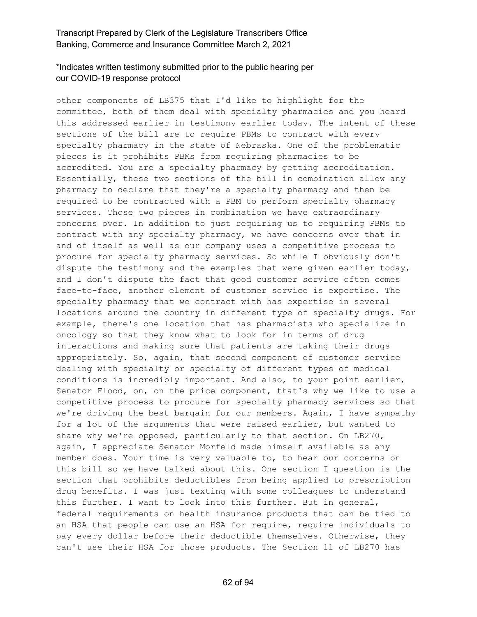# \*Indicates written testimony submitted prior to the public hearing per our COVID-19 response protocol

other components of LB375 that I'd like to highlight for the committee, both of them deal with specialty pharmacies and you heard this addressed earlier in testimony earlier today. The intent of these sections of the bill are to require PBMs to contract with every specialty pharmacy in the state of Nebraska. One of the problematic pieces is it prohibits PBMs from requiring pharmacies to be accredited. You are a specialty pharmacy by getting accreditation. Essentially, these two sections of the bill in combination allow any pharmacy to declare that they're a specialty pharmacy and then be required to be contracted with a PBM to perform specialty pharmacy services. Those two pieces in combination we have extraordinary concerns over. In addition to just requiring us to requiring PBMs to contract with any specialty pharmacy, we have concerns over that in and of itself as well as our company uses a competitive process to procure for specialty pharmacy services. So while I obviously don't dispute the testimony and the examples that were given earlier today, and I don't dispute the fact that good customer service often comes face-to-face, another element of customer service is expertise. The specialty pharmacy that we contract with has expertise in several locations around the country in different type of specialty drugs. For example, there's one location that has pharmacists who specialize in oncology so that they know what to look for in terms of drug interactions and making sure that patients are taking their drugs appropriately. So, again, that second component of customer service dealing with specialty or specialty of different types of medical conditions is incredibly important. And also, to your point earlier, Senator Flood, on, on the price component, that's why we like to use a competitive process to procure for specialty pharmacy services so that we're driving the best bargain for our members. Again, I have sympathy for a lot of the arguments that were raised earlier, but wanted to share why we're opposed, particularly to that section. On LB270, again, I appreciate Senator Morfeld made himself available as any member does. Your time is very valuable to, to hear our concerns on this bill so we have talked about this. One section I question is the section that prohibits deductibles from being applied to prescription drug benefits. I was just texting with some colleagues to understand this further. I want to look into this further. But in general, federal requirements on health insurance products that can be tied to an HSA that people can use an HSA for require, require individuals to pay every dollar before their deductible themselves. Otherwise, they can't use their HSA for those products. The Section 11 of LB270 has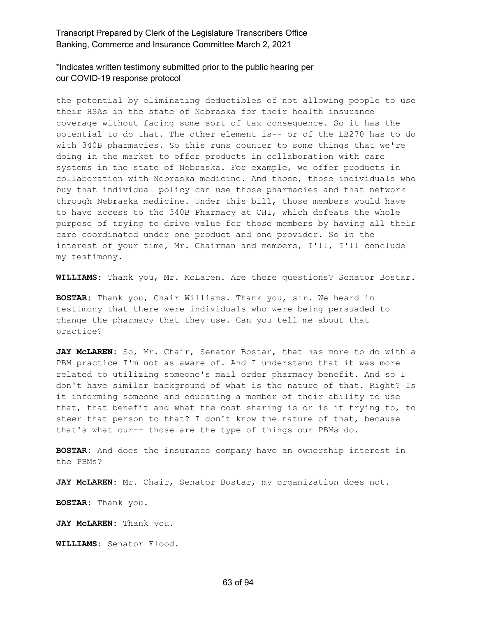\*Indicates written testimony submitted prior to the public hearing per our COVID-19 response protocol

the potential by eliminating deductibles of not allowing people to use their HSAs in the state of Nebraska for their health insurance coverage without facing some sort of tax consequence. So it has the potential to do that. The other element is-- or of the LB270 has to do with 340B pharmacies. So this runs counter to some things that we're doing in the market to offer products in collaboration with care systems in the state of Nebraska. For example, we offer products in collaboration with Nebraska medicine. And those, those individuals who buy that individual policy can use those pharmacies and that network through Nebraska medicine. Under this bill, those members would have to have access to the 340B Pharmacy at CHI, which defeats the whole purpose of trying to drive value for those members by having all their care coordinated under one product and one provider. So in the interest of your time, Mr. Chairman and members, I'll, I'll conclude my testimony.

**WILLIAMS:** Thank you, Mr. McLaren. Are there questions? Senator Bostar.

**BOSTAR:** Thank you, Chair Williams. Thank you, sir. We heard in testimony that there were individuals who were being persuaded to change the pharmacy that they use. Can you tell me about that practice?

**JAY McLAREN:** So, Mr. Chair, Senator Bostar, that has more to do with a PBM practice I'm not as aware of. And I understand that it was more related to utilizing someone's mail order pharmacy benefit. And so I don't have similar background of what is the nature of that. Right? Is it informing someone and educating a member of their ability to use that, that benefit and what the cost sharing is or is it trying to, to steer that person to that? I don't know the nature of that, because that's what our-- those are the type of things our PBMs do.

**BOSTAR:** And does the insurance company have an ownership interest in the PBMs?

**JAY McLAREN:** Mr. Chair, Senator Bostar, my organization does not.

**BOSTAR:** Thank you.

**JAY McLAREN:** Thank you.

**WILLIAMS:** Senator Flood.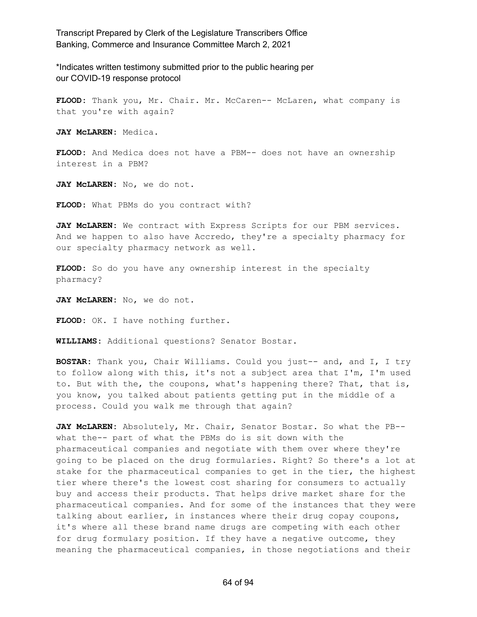\*Indicates written testimony submitted prior to the public hearing per our COVID-19 response protocol

**FLOOD:** Thank you, Mr. Chair. Mr. McCaren-- McLaren, what company is that you're with again?

**JAY McLAREN:** Medica.

**FLOOD:** And Medica does not have a PBM-- does not have an ownership interest in a PBM?

**JAY McLAREN:** No, we do not.

**FLOOD:** What PBMs do you contract with?

**JAY McLAREN:** We contract with Express Scripts for our PBM services. And we happen to also have Accredo, they're a specialty pharmacy for our specialty pharmacy network as well.

**FLOOD:** So do you have any ownership interest in the specialty pharmacy?

**JAY McLAREN:** No, we do not.

**FLOOD:** OK. I have nothing further.

**WILLIAMS:** Additional questions? Senator Bostar.

**BOSTAR:** Thank you, Chair Williams. Could you just-- and, and I, I try to follow along with this, it's not a subject area that I'm, I'm used to. But with the, the coupons, what's happening there? That, that is, you know, you talked about patients getting put in the middle of a process. Could you walk me through that again?

**JAY McLAREN:** Absolutely, Mr. Chair, Senator Bostar. So what the PB- what the-- part of what the PBMs do is sit down with the pharmaceutical companies and negotiate with them over where they're going to be placed on the drug formularies. Right? So there's a lot at stake for the pharmaceutical companies to get in the tier, the highest tier where there's the lowest cost sharing for consumers to actually buy and access their products. That helps drive market share for the pharmaceutical companies. And for some of the instances that they were talking about earlier, in instances where their drug copay coupons, it's where all these brand name drugs are competing with each other for drug formulary position. If they have a negative outcome, they meaning the pharmaceutical companies, in those negotiations and their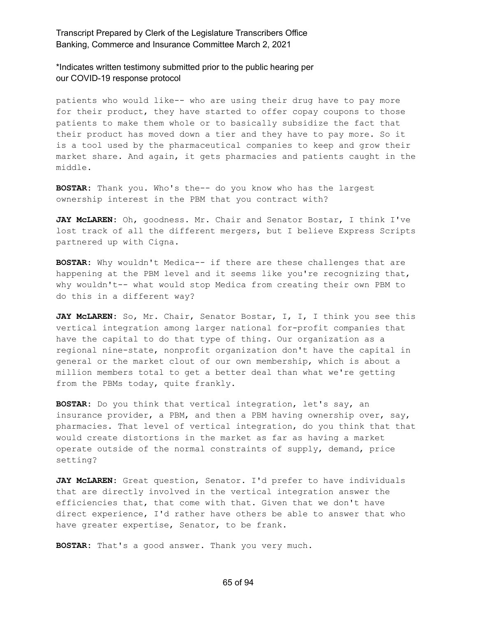\*Indicates written testimony submitted prior to the public hearing per our COVID-19 response protocol

patients who would like-- who are using their drug have to pay more for their product, they have started to offer copay coupons to those patients to make them whole or to basically subsidize the fact that their product has moved down a tier and they have to pay more. So it is a tool used by the pharmaceutical companies to keep and grow their market share. And again, it gets pharmacies and patients caught in the middle.

**BOSTAR:** Thank you. Who's the-- do you know who has the largest ownership interest in the PBM that you contract with?

**JAY McLAREN:** Oh, goodness. Mr. Chair and Senator Bostar, I think I've lost track of all the different mergers, but I believe Express Scripts partnered up with Cigna.

**BOSTAR:** Why wouldn't Medica-- if there are these challenges that are happening at the PBM level and it seems like you're recognizing that, why wouldn't-- what would stop Medica from creating their own PBM to do this in a different way?

**JAY McLAREN:** So, Mr. Chair, Senator Bostar, I, I, I think you see this vertical integration among larger national for-profit companies that have the capital to do that type of thing. Our organization as a regional nine-state, nonprofit organization don't have the capital in general or the market clout of our own membership, which is about a million members total to get a better deal than what we're getting from the PBMs today, quite frankly.

**BOSTAR:** Do you think that vertical integration, let's say, an insurance provider, a PBM, and then a PBM having ownership over, say, pharmacies. That level of vertical integration, do you think that that would create distortions in the market as far as having a market operate outside of the normal constraints of supply, demand, price setting?

**JAY McLAREN:** Great question, Senator. I'd prefer to have individuals that are directly involved in the vertical integration answer the efficiencies that, that come with that. Given that we don't have direct experience, I'd rather have others be able to answer that who have greater expertise, Senator, to be frank.

**BOSTAR:** That's a good answer. Thank you very much.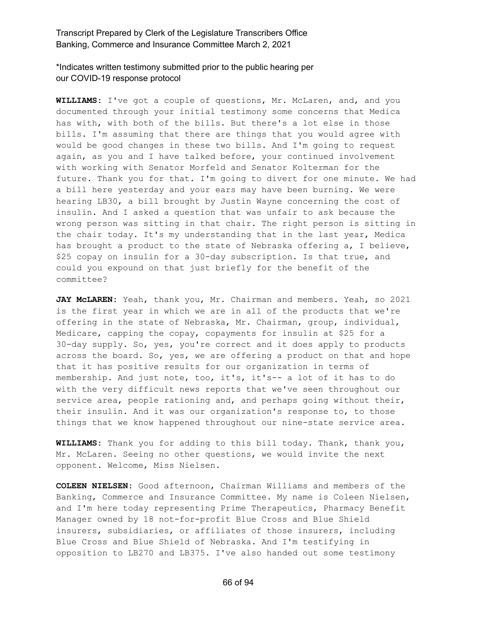\*Indicates written testimony submitted prior to the public hearing per our COVID-19 response protocol

**WILLIAMS:** I've got a couple of questions, Mr. McLaren, and, and you documented through your initial testimony some concerns that Medica has with, with both of the bills. But there's a lot else in those bills. I'm assuming that there are things that you would agree with would be good changes in these two bills. And I'm going to request again, as you and I have talked before, your continued involvement with working with Senator Morfeld and Senator Kolterman for the future. Thank you for that. I'm going to divert for one minute. We had a bill here yesterday and your ears may have been burning. We were hearing LB30, a bill brought by Justin Wayne concerning the cost of insulin. And I asked a question that was unfair to ask because the wrong person was sitting in that chair. The right person is sitting in the chair today. It's my understanding that in the last year, Medica has brought a product to the state of Nebraska offering a, I believe, \$25 copay on insulin for a 30-day subscription. Is that true, and could you expound on that just briefly for the benefit of the committee?

**JAY McLAREN:** Yeah, thank you, Mr. Chairman and members. Yeah, so 2021 is the first year in which we are in all of the products that we're offering in the state of Nebraska, Mr. Chairman, group, individual, Medicare, capping the copay, copayments for insulin at \$25 for a 30-day supply. So, yes, you're correct and it does apply to products across the board. So, yes, we are offering a product on that and hope that it has positive results for our organization in terms of membership. And just note, too, it's, it's-- a lot of it has to do with the very difficult news reports that we've seen throughout our service area, people rationing and, and perhaps going without their, their insulin. And it was our organization's response to, to those things that we know happened throughout our nine-state service area.

**WILLIAMS:** Thank you for adding to this bill today. Thank, thank you, Mr. McLaren. Seeing no other questions, we would invite the next opponent. Welcome, Miss Nielsen.

**COLEEN NIELSEN:** Good afternoon, Chairman Williams and members of the Banking, Commerce and Insurance Committee. My name is Coleen Nielsen, and I'm here today representing Prime Therapeutics, Pharmacy Benefit Manager owned by 18 not-for-profit Blue Cross and Blue Shield insurers, subsidiaries, or affiliates of those insurers, including Blue Cross and Blue Shield of Nebraska. And I'm testifying in opposition to LB270 and LB375. I've also handed out some testimony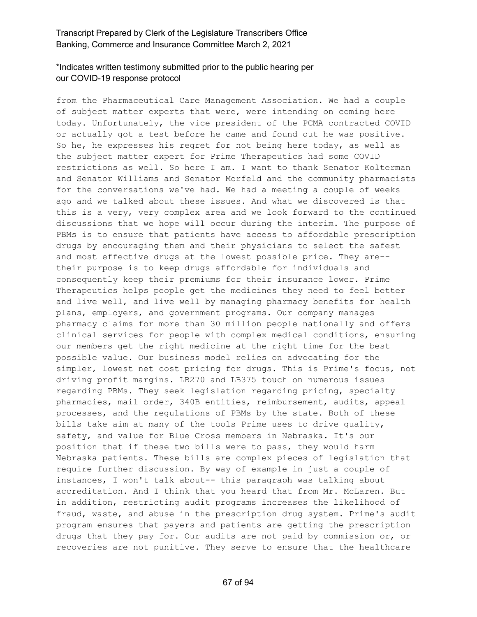# \*Indicates written testimony submitted prior to the public hearing per our COVID-19 response protocol

from the Pharmaceutical Care Management Association. We had a couple of subject matter experts that were, were intending on coming here today. Unfortunately, the vice president of the PCMA contracted COVID or actually got a test before he came and found out he was positive. So he, he expresses his regret for not being here today, as well as the subject matter expert for Prime Therapeutics had some COVID restrictions as well. So here I am. I want to thank Senator Kolterman and Senator Williams and Senator Morfeld and the community pharmacists for the conversations we've had. We had a meeting a couple of weeks ago and we talked about these issues. And what we discovered is that this is a very, very complex area and we look forward to the continued discussions that we hope will occur during the interim. The purpose of PBMs is to ensure that patients have access to affordable prescription drugs by encouraging them and their physicians to select the safest and most effective drugs at the lowest possible price. They are- their purpose is to keep drugs affordable for individuals and consequently keep their premiums for their insurance lower. Prime Therapeutics helps people get the medicines they need to feel better and live well, and live well by managing pharmacy benefits for health plans, employers, and government programs. Our company manages pharmacy claims for more than 30 million people nationally and offers clinical services for people with complex medical conditions, ensuring our members get the right medicine at the right time for the best possible value. Our business model relies on advocating for the simpler, lowest net cost pricing for drugs. This is Prime's focus, not driving profit margins. LB270 and LB375 touch on numerous issues regarding PBMs. They seek legislation regarding pricing, specialty pharmacies, mail order, 340B entities, reimbursement, audits, appeal processes, and the regulations of PBMs by the state. Both of these bills take aim at many of the tools Prime uses to drive quality, safety, and value for Blue Cross members in Nebraska. It's our position that if these two bills were to pass, they would harm Nebraska patients. These bills are complex pieces of legislation that require further discussion. By way of example in just a couple of instances, I won't talk about-- this paragraph was talking about accreditation. And I think that you heard that from Mr. McLaren. But in addition, restricting audit programs increases the likelihood of fraud, waste, and abuse in the prescription drug system. Prime's audit program ensures that payers and patients are getting the prescription drugs that they pay for. Our audits are not paid by commission or, or recoveries are not punitive. They serve to ensure that the healthcare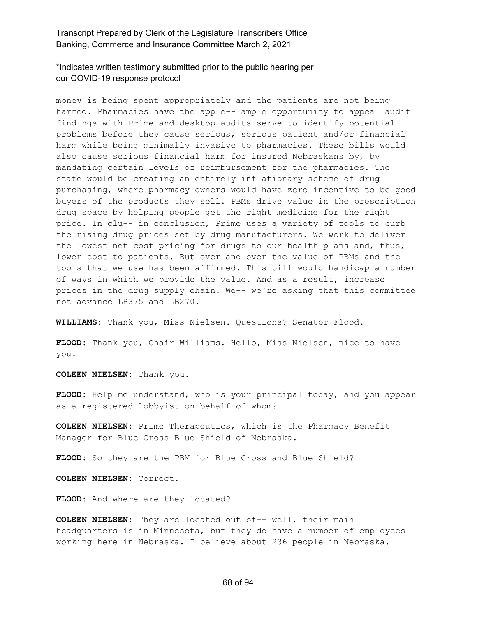\*Indicates written testimony submitted prior to the public hearing per our COVID-19 response protocol

money is being spent appropriately and the patients are not being harmed. Pharmacies have the apple-- ample opportunity to appeal audit findings with Prime and desktop audits serve to identify potential problems before they cause serious, serious patient and/or financial harm while being minimally invasive to pharmacies. These bills would also cause serious financial harm for insured Nebraskans by, by mandating certain levels of reimbursement for the pharmacies. The state would be creating an entirely inflationary scheme of drug purchasing, where pharmacy owners would have zero incentive to be good buyers of the products they sell. PBMs drive value in the prescription drug space by helping people get the right medicine for the right price. In clu-- in conclusion, Prime uses a variety of tools to curb the rising drug prices set by drug manufacturers. We work to deliver the lowest net cost pricing for drugs to our health plans and, thus, lower cost to patients. But over and over the value of PBMs and the tools that we use has been affirmed. This bill would handicap a number of ways in which we provide the value. And as a result, increase prices in the drug supply chain. We-- we're asking that this committee not advance LB375 and LB270.

**WILLIAMS:** Thank you, Miss Nielsen. Questions? Senator Flood.

**FLOOD:** Thank you, Chair Williams. Hello, Miss Nielsen, nice to have you.

**COLEEN NIELSEN:** Thank you.

**FLOOD:** Help me understand, who is your principal today, and you appear as a registered lobbyist on behalf of whom?

**COLEEN NIELSEN:** Prime Therapeutics, which is the Pharmacy Benefit Manager for Blue Cross Blue Shield of Nebraska.

**FLOOD:** So they are the PBM for Blue Cross and Blue Shield?

**COLEEN NIELSEN:** Correct.

**FLOOD:** And where are they located?

**COLEEN NIELSEN:** They are located out of-- well, their main headquarters is in Minnesota, but they do have a number of employees working here in Nebraska. I believe about 236 people in Nebraska.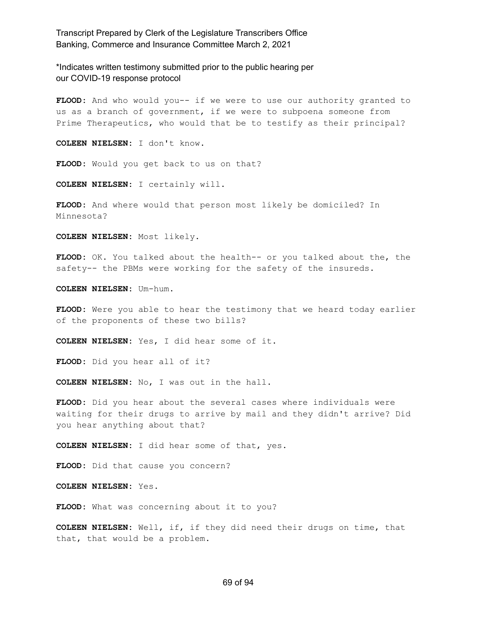\*Indicates written testimony submitted prior to the public hearing per our COVID-19 response protocol

**FLOOD:** And who would you-- if we were to use our authority granted to us as a branch of government, if we were to subpoena someone from Prime Therapeutics, who would that be to testify as their principal?

**COLEEN NIELSEN:** I don't know.

**FLOOD:** Would you get back to us on that?

**COLEEN NIELSEN:** I certainly will.

**FLOOD:** And where would that person most likely be domiciled? In Minnesota?

**COLEEN NIELSEN:** Most likely.

**FLOOD:** OK. You talked about the health-- or you talked about the, the safety-- the PBMs were working for the safety of the insureds.

**COLEEN NIELSEN:** Um-hum.

**FLOOD:** Were you able to hear the testimony that we heard today earlier of the proponents of these two bills?

**COLEEN NIELSEN:** Yes, I did hear some of it.

**FLOOD:** Did you hear all of it?

**COLEEN NIELSEN:** No, I was out in the hall.

**FLOOD:** Did you hear about the several cases where individuals were waiting for their drugs to arrive by mail and they didn't arrive? Did you hear anything about that?

**COLEEN NIELSEN:** I did hear some of that, yes.

**FLOOD:** Did that cause you concern?

**COLEEN NIELSEN:** Yes.

**FLOOD:** What was concerning about it to you?

**COLEEN NIELSEN:** Well, if, if they did need their drugs on time, that that, that would be a problem.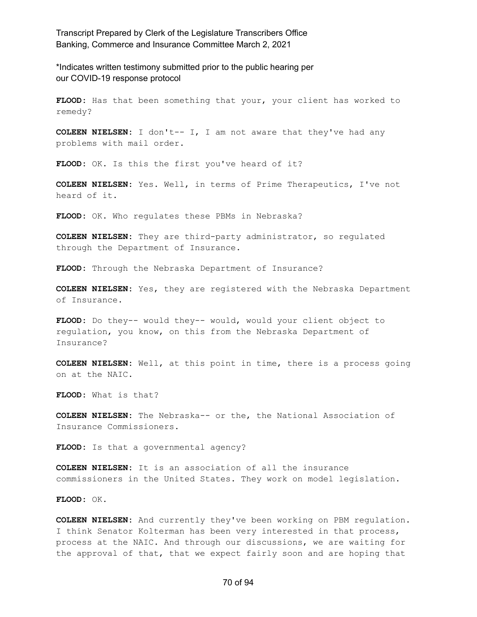\*Indicates written testimony submitted prior to the public hearing per our COVID-19 response protocol

**FLOOD:** Has that been something that your, your client has worked to remedy?

**COLEEN NIELSEN:** I don't-- I, I am not aware that they've had any problems with mail order.

**FLOOD:** OK. Is this the first you've heard of it?

**COLEEN NIELSEN:** Yes. Well, in terms of Prime Therapeutics, I've not heard of it.

**FLOOD:** OK. Who regulates these PBMs in Nebraska?

**COLEEN NIELSEN:** They are third-party administrator, so regulated through the Department of Insurance.

**FLOOD:** Through the Nebraska Department of Insurance?

**COLEEN NIELSEN:** Yes, they are registered with the Nebraska Department of Insurance.

**FLOOD:** Do they-- would they-- would, would your client object to regulation, you know, on this from the Nebraska Department of Insurance?

**COLEEN NIELSEN:** Well, at this point in time, there is a process going on at the NAIC.

**FLOOD:** What is that?

**COLEEN NIELSEN:** The Nebraska-- or the, the National Association of Insurance Commissioners.

FLOOD: Is that a governmental agency?

**COLEEN NIELSEN:** It is an association of all the insurance commissioners in the United States. They work on model legislation.

**FLOOD:** OK.

**COLEEN NIELSEN:** And currently they've been working on PBM regulation. I think Senator Kolterman has been very interested in that process, process at the NAIC. And through our discussions, we are waiting for the approval of that, that we expect fairly soon and are hoping that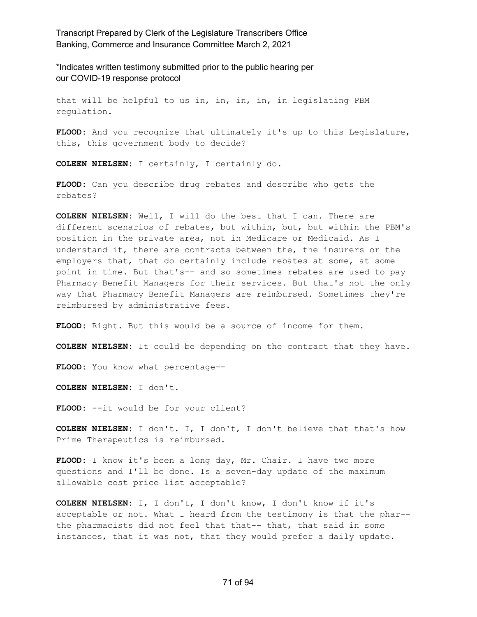\*Indicates written testimony submitted prior to the public hearing per our COVID-19 response protocol

that will be helpful to us in, in, in, in, in legislating PBM regulation.

**FLOOD:** And you recognize that ultimately it's up to this Legislature, this, this government body to decide?

**COLEEN NIELSEN:** I certainly, I certainly do.

**FLOOD:** Can you describe drug rebates and describe who gets the rebates?

**COLEEN NIELSEN:** Well, I will do the best that I can. There are different scenarios of rebates, but within, but, but within the PBM's position in the private area, not in Medicare or Medicaid. As I understand it, there are contracts between the, the insurers or the employers that, that do certainly include rebates at some, at some point in time. But that's-- and so sometimes rebates are used to pay Pharmacy Benefit Managers for their services. But that's not the only way that Pharmacy Benefit Managers are reimbursed. Sometimes they're reimbursed by administrative fees.

**FLOOD:** Right. But this would be a source of income for them.

**COLEEN NIELSEN:** It could be depending on the contract that they have.

**FLOOD:** You know what percentage--

**COLEEN NIELSEN:** I don't.

**FLOOD:** --it would be for your client?

**COLEEN NIELSEN:** I don't. I, I don't, I don't believe that that's how Prime Therapeutics is reimbursed.

**FLOOD:** I know it's been a long day, Mr. Chair. I have two more questions and I'll be done. Is a seven-day update of the maximum allowable cost price list acceptable?

**COLEEN NIELSEN:** I, I don't, I don't know, I don't know if it's acceptable or not. What I heard from the testimony is that the phar- the pharmacists did not feel that that-- that, that said in some instances, that it was not, that they would prefer a daily update.

#### 71 of 94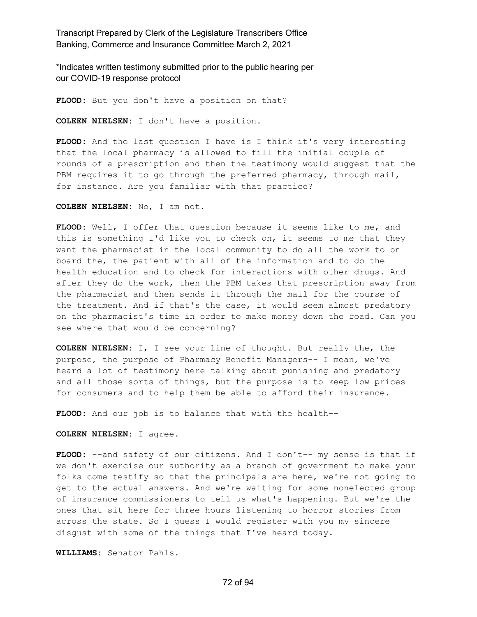\*Indicates written testimony submitted prior to the public hearing per our COVID-19 response protocol

**FLOOD:** But you don't have a position on that?

**COLEEN NIELSEN:** I don't have a position.

**FLOOD:** And the last question I have is I think it's very interesting that the local pharmacy is allowed to fill the initial couple of rounds of a prescription and then the testimony would suggest that the PBM requires it to go through the preferred pharmacy, through mail, for instance. Are you familiar with that practice?

**COLEEN NIELSEN:** No, I am not.

**FLOOD:** Well, I offer that question because it seems like to me, and this is something I'd like you to check on, it seems to me that they want the pharmacist in the local community to do all the work to on board the, the patient with all of the information and to do the health education and to check for interactions with other drugs. And after they do the work, then the PBM takes that prescription away from the pharmacist and then sends it through the mail for the course of the treatment. And if that's the case, it would seem almost predatory on the pharmacist's time in order to make money down the road. Can you see where that would be concerning?

**COLEEN NIELSEN:** I, I see your line of thought. But really the, the purpose, the purpose of Pharmacy Benefit Managers-- I mean, we've heard a lot of testimony here talking about punishing and predatory and all those sorts of things, but the purpose is to keep low prices for consumers and to help them be able to afford their insurance.

**FLOOD:** And our job is to balance that with the health--

**COLEEN NIELSEN:** I agree.

FLOOD: --and safety of our citizens. And I don't-- my sense is that if we don't exercise our authority as a branch of government to make your folks come testify so that the principals are here, we're not going to get to the actual answers. And we're waiting for some nonelected group of insurance commissioners to tell us what's happening. But we're the ones that sit here for three hours listening to horror stories from across the state. So I guess I would register with you my sincere disgust with some of the things that I've heard today.

**WILLIAMS:** Senator Pahls.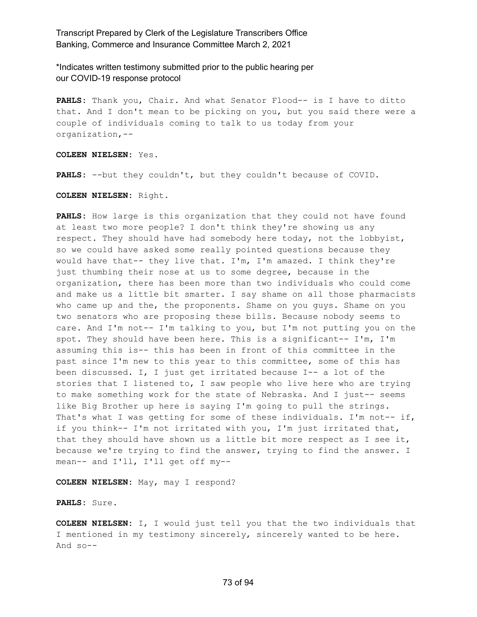\*Indicates written testimony submitted prior to the public hearing per our COVID-19 response protocol

**PAHLS:** Thank you, Chair. And what Senator Flood-- is I have to ditto that. And I don't mean to be picking on you, but you said there were a couple of individuals coming to talk to us today from your organization,--

**COLEEN NIELSEN:** Yes.

**PAHLS:** --but they couldn't, but they couldn't because of COVID.

**COLEEN NIELSEN:** Right.

**PAHLS:** How large is this organization that they could not have found at least two more people? I don't think they're showing us any respect. They should have had somebody here today, not the lobbyist, so we could have asked some really pointed questions because they would have that-- they live that. I'm, I'm amazed. I think they're just thumbing their nose at us to some degree, because in the organization, there has been more than two individuals who could come and make us a little bit smarter. I say shame on all those pharmacists who came up and the, the proponents. Shame on you guys. Shame on you two senators who are proposing these bills. Because nobody seems to care. And I'm not-- I'm talking to you, but I'm not putting you on the spot. They should have been here. This is a significant-- I'm, I'm assuming this is-- this has been in front of this committee in the past since I'm new to this year to this committee, some of this has been discussed. I, I just get irritated because I-- a lot of the stories that I listened to, I saw people who live here who are trying to make something work for the state of Nebraska. And I just-- seems like Big Brother up here is saying I'm going to pull the strings. That's what I was getting for some of these individuals. I'm not-- if, if you think-- I'm not irritated with you, I'm just irritated that, that they should have shown us a little bit more respect as I see it, because we're trying to find the answer, trying to find the answer. I mean-- and I'll, I'll get off my--

**COLEEN NIELSEN:** May, may I respond?

**PAHLS:** Sure.

**COLEEN NIELSEN:** I, I would just tell you that the two individuals that I mentioned in my testimony sincerely, sincerely wanted to be here. And so--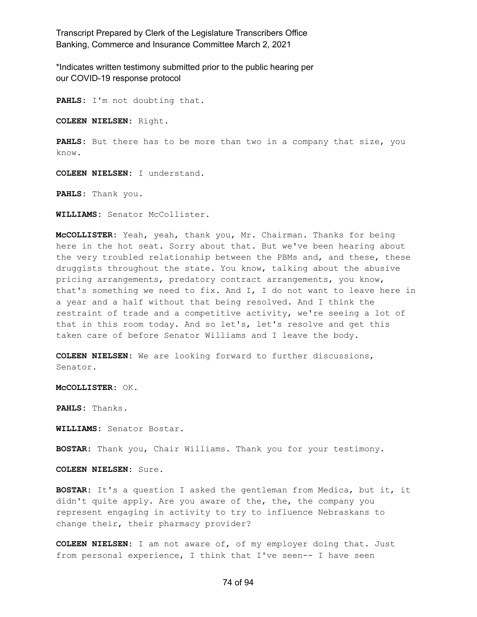\*Indicates written testimony submitted prior to the public hearing per our COVID-19 response protocol

**PAHLS:** I'm not doubting that.

**COLEEN NIELSEN:** Right.

PAHLS: But there has to be more than two in a company that size, you know.

**COLEEN NIELSEN:** I understand.

**PAHLS:** Thank you.

**WILLIAMS:** Senator McCollister.

**McCOLLISTER:** Yeah, yeah, thank you, Mr. Chairman. Thanks for being here in the hot seat. Sorry about that. But we've been hearing about the very troubled relationship between the PBMs and, and these, these druggists throughout the state. You know, talking about the abusive pricing arrangements, predatory contract arrangements, you know, that's something we need to fix. And I, I do not want to leave here in a year and a half without that being resolved. And I think the restraint of trade and a competitive activity, we're seeing a lot of that in this room today. And so let's, let's resolve and get this taken care of before Senator Williams and I leave the body.

**COLEEN NIELSEN:** We are looking forward to further discussions, Senator.

**McCOLLISTER:** OK.

**PAHLS:** Thanks.

**WILLIAMS:** Senator Bostar.

**BOSTAR:** Thank you, Chair Williams. Thank you for your testimony.

**COLEEN NIELSEN:** Sure.

**BOSTAR:** It's a question I asked the gentleman from Medica, but it, it didn't quite apply. Are you aware of the, the, the company you represent engaging in activity to try to influence Nebraskans to change their, their pharmacy provider?

**COLEEN NIELSEN:** I am not aware of, of my employer doing that. Just from personal experience, I think that I've seen-- I have seen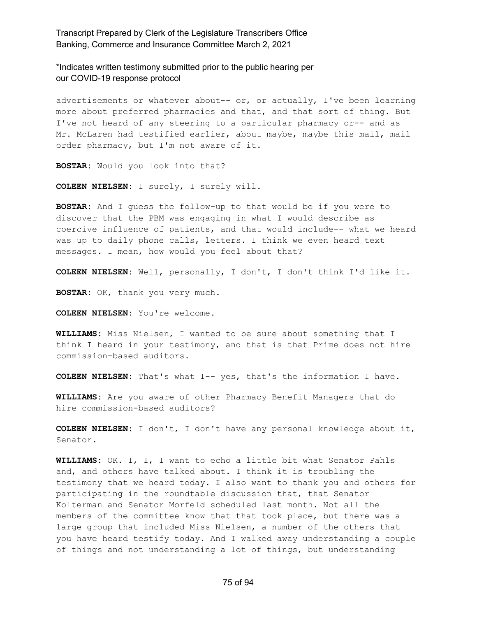\*Indicates written testimony submitted prior to the public hearing per our COVID-19 response protocol

advertisements or whatever about-- or, or actually, I've been learning more about preferred pharmacies and that, and that sort of thing. But I've not heard of any steering to a particular pharmacy or-- and as Mr. McLaren had testified earlier, about maybe, maybe this mail, mail order pharmacy, but I'm not aware of it.

**BOSTAR:** Would you look into that?

**COLEEN NIELSEN:** I surely, I surely will.

**BOSTAR:** And I guess the follow-up to that would be if you were to discover that the PBM was engaging in what I would describe as coercive influence of patients, and that would include-- what we heard was up to daily phone calls, letters. I think we even heard text messages. I mean, how would you feel about that?

**COLEEN NIELSEN:** Well, personally, I don't, I don't think I'd like it.

**BOSTAR:** OK, thank you very much.

**COLEEN NIELSEN:** You're welcome.

**WILLIAMS:** Miss Nielsen, I wanted to be sure about something that I think I heard in your testimony, and that is that Prime does not hire commission-based auditors.

**COLEEN NIELSEN:** That's what I-- yes, that's the information I have.

**WILLIAMS:** Are you aware of other Pharmacy Benefit Managers that do hire commission-based auditors?

**COLEEN NIELSEN:** I don't, I don't have any personal knowledge about it, Senator.

**WILLIAMS:** OK. I, I, I want to echo a little bit what Senator Pahls and, and others have talked about. I think it is troubling the testimony that we heard today. I also want to thank you and others for participating in the roundtable discussion that, that Senator Kolterman and Senator Morfeld scheduled last month. Not all the members of the committee know that that took place, but there was a large group that included Miss Nielsen, a number of the others that you have heard testify today. And I walked away understanding a couple of things and not understanding a lot of things, but understanding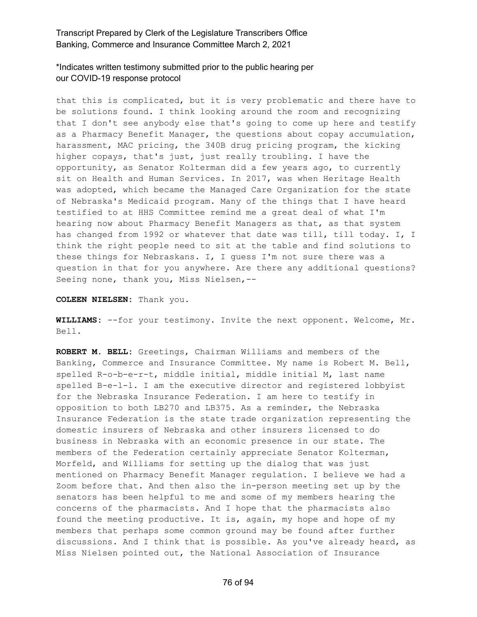\*Indicates written testimony submitted prior to the public hearing per our COVID-19 response protocol

that this is complicated, but it is very problematic and there have to be solutions found. I think looking around the room and recognizing that I don't see anybody else that's going to come up here and testify as a Pharmacy Benefit Manager, the questions about copay accumulation, harassment, MAC pricing, the 340B drug pricing program, the kicking higher copays, that's just, just really troubling. I have the opportunity, as Senator Kolterman did a few years ago, to currently sit on Health and Human Services. In 2017, was when Heritage Health was adopted, which became the Managed Care Organization for the state of Nebraska's Medicaid program. Many of the things that I have heard testified to at HHS Committee remind me a great deal of what I'm hearing now about Pharmacy Benefit Managers as that, as that system has changed from 1992 or whatever that date was till, till today. I, I think the right people need to sit at the table and find solutions to these things for Nebraskans. I, I guess I'm not sure there was a question in that for you anywhere. Are there any additional questions? Seeing none, thank you, Miss Nielsen,--

**COLEEN NIELSEN:** Thank you.

**WILLIAMS:** --for your testimony. Invite the next opponent. Welcome, Mr. Bell.

**ROBERT M. BELL:** Greetings, Chairman Williams and members of the Banking, Commerce and Insurance Committee. My name is Robert M. Bell, spelled R-o-b-e-r-t, middle initial, middle initial M, last name spelled B-e-l-l. I am the executive director and registered lobbyist for the Nebraska Insurance Federation. I am here to testify in opposition to both LB270 and LB375. As a reminder, the Nebraska Insurance Federation is the state trade organization representing the domestic insurers of Nebraska and other insurers licensed to do business in Nebraska with an economic presence in our state. The members of the Federation certainly appreciate Senator Kolterman, Morfeld, and Williams for setting up the dialog that was just mentioned on Pharmacy Benefit Manager regulation. I believe we had a Zoom before that. And then also the in-person meeting set up by the senators has been helpful to me and some of my members hearing the concerns of the pharmacists. And I hope that the pharmacists also found the meeting productive. It is, again, my hope and hope of my members that perhaps some common ground may be found after further discussions. And I think that is possible. As you've already heard, as Miss Nielsen pointed out, the National Association of Insurance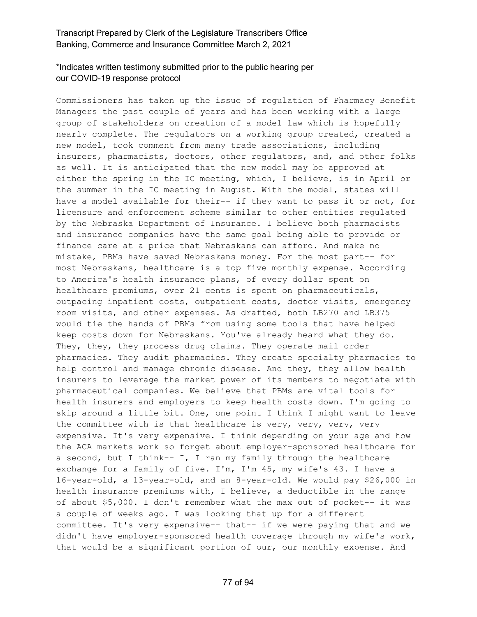# \*Indicates written testimony submitted prior to the public hearing per our COVID-19 response protocol

Commissioners has taken up the issue of regulation of Pharmacy Benefit Managers the past couple of years and has been working with a large group of stakeholders on creation of a model law which is hopefully nearly complete. The regulators on a working group created, created a new model, took comment from many trade associations, including insurers, pharmacists, doctors, other regulators, and, and other folks as well. It is anticipated that the new model may be approved at either the spring in the IC meeting, which, I believe, is in April or the summer in the IC meeting in August. With the model, states will have a model available for their-- if they want to pass it or not, for licensure and enforcement scheme similar to other entities regulated by the Nebraska Department of Insurance. I believe both pharmacists and insurance companies have the same goal being able to provide or finance care at a price that Nebraskans can afford. And make no mistake, PBMs have saved Nebraskans money. For the most part-- for most Nebraskans, healthcare is a top five monthly expense. According to America's health insurance plans, of every dollar spent on healthcare premiums, over 21 cents is spent on pharmaceuticals, outpacing inpatient costs, outpatient costs, doctor visits, emergency room visits, and other expenses. As drafted, both LB270 and LB375 would tie the hands of PBMs from using some tools that have helped keep costs down for Nebraskans. You've already heard what they do. They, they, they process drug claims. They operate mail order pharmacies. They audit pharmacies. They create specialty pharmacies to help control and manage chronic disease. And they, they allow health insurers to leverage the market power of its members to negotiate with pharmaceutical companies. We believe that PBMs are vital tools for health insurers and employers to keep health costs down. I'm going to skip around a little bit. One, one point I think I might want to leave the committee with is that healthcare is very, very, very, very expensive. It's very expensive. I think depending on your age and how the ACA markets work so forget about employer-sponsored healthcare for a second, but I think-- I, I ran my family through the healthcare exchange for a family of five. I'm, I'm 45, my wife's 43. I have a 16-year-old, a 13-year-old, and an 8-year-old. We would pay \$26,000 in health insurance premiums with, I believe, a deductible in the range of about \$5,000. I don't remember what the max out of pocket-- it was a couple of weeks ago. I was looking that up for a different committee. It's very expensive-- that-- if we were paying that and we didn't have employer-sponsored health coverage through my wife's work, that would be a significant portion of our, our monthly expense. And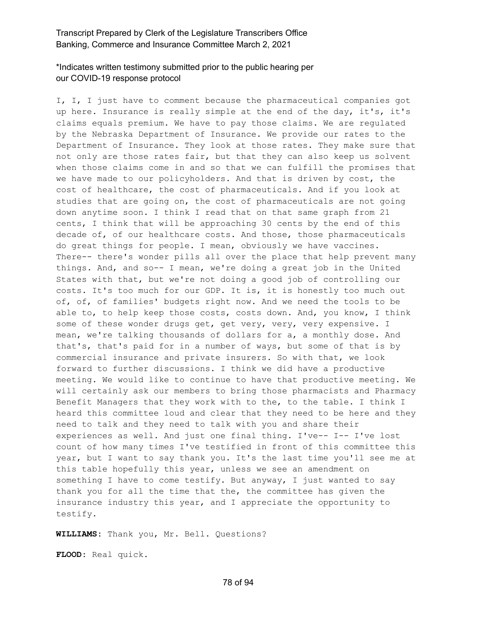## \*Indicates written testimony submitted prior to the public hearing per our COVID-19 response protocol

I, I, I just have to comment because the pharmaceutical companies got up here. Insurance is really simple at the end of the day, it's, it's claims equals premium. We have to pay those claims. We are regulated by the Nebraska Department of Insurance. We provide our rates to the Department of Insurance. They look at those rates. They make sure that not only are those rates fair, but that they can also keep us solvent when those claims come in and so that we can fulfill the promises that we have made to our policyholders. And that is driven by cost, the cost of healthcare, the cost of pharmaceuticals. And if you look at studies that are going on, the cost of pharmaceuticals are not going down anytime soon. I think I read that on that same graph from 21 cents, I think that will be approaching 30 cents by the end of this decade of, of our healthcare costs. And those, those pharmaceuticals do great things for people. I mean, obviously we have vaccines. There-- there's wonder pills all over the place that help prevent many things. And, and so-- I mean, we're doing a great job in the United States with that, but we're not doing a good job of controlling our costs. It's too much for our GDP. It is, it is honestly too much out of, of, of families' budgets right now. And we need the tools to be able to, to help keep those costs, costs down. And, you know, I think some of these wonder drugs get, get very, very, very expensive. I mean, we're talking thousands of dollars for a, a monthly dose. And that's, that's paid for in a number of ways, but some of that is by commercial insurance and private insurers. So with that, we look forward to further discussions. I think we did have a productive meeting. We would like to continue to have that productive meeting. We will certainly ask our members to bring those pharmacists and Pharmacy Benefit Managers that they work with to the, to the table. I think I heard this committee loud and clear that they need to be here and they need to talk and they need to talk with you and share their experiences as well. And just one final thing. I've-- I-- I've lost count of how many times I've testified in front of this committee this year, but I want to say thank you. It's the last time you'll see me at this table hopefully this year, unless we see an amendment on something I have to come testify. But anyway, I just wanted to say thank you for all the time that the, the committee has given the insurance industry this year, and I appreciate the opportunity to testify.

**WILLIAMS:** Thank you, Mr. Bell. Questions?

**FLOOD:** Real quick.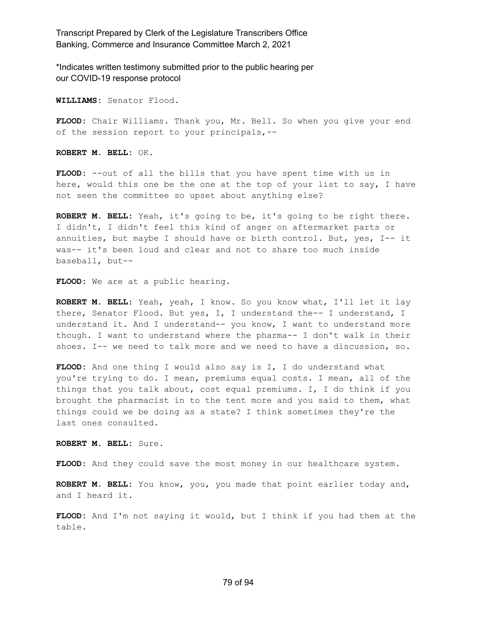\*Indicates written testimony submitted prior to the public hearing per our COVID-19 response protocol

**WILLIAMS:** Senator Flood.

**FLOOD:** Chair Williams. Thank you, Mr. Bell. So when you give your end of the session report to your principals,--

**ROBERT M. BELL:** OK.

**FLOOD:** --out of all the bills that you have spent time with us in here, would this one be the one at the top of your list to say, I have not seen the committee so upset about anything else?

**ROBERT M. BELL:** Yeah, it's going to be, it's going to be right there. I didn't, I didn't feel this kind of anger on aftermarket parts or annuities, but maybe I should have or birth control. But, yes, I-- it was-- it's been loud and clear and not to share too much inside baseball, but--

**FLOOD:** We are at a public hearing.

**ROBERT M. BELL:** Yeah, yeah, I know. So you know what, I'll let it lay there, Senator Flood. But yes, I, I understand the-- I understand, I understand it. And I understand-- you know, I want to understand more though. I want to understand where the pharma-- I don't walk in their shoes. I-- we need to talk more and we need to have a discussion, so.

**FLOOD:** And one thing I would also say is I, I do understand what you're trying to do. I mean, premiums equal costs. I mean, all of the things that you talk about, cost equal premiums. I, I do think if you brought the pharmacist in to the tent more and you said to them, what things could we be doing as a state? I think sometimes they're the last ones consulted.

**ROBERT M. BELL:** Sure.

**FLOOD:** And they could save the most money in our healthcare system.

**ROBERT M. BELL:** You know, you, you made that point earlier today and, and I heard it.

**FLOOD:** And I'm not saying it would, but I think if you had them at the table.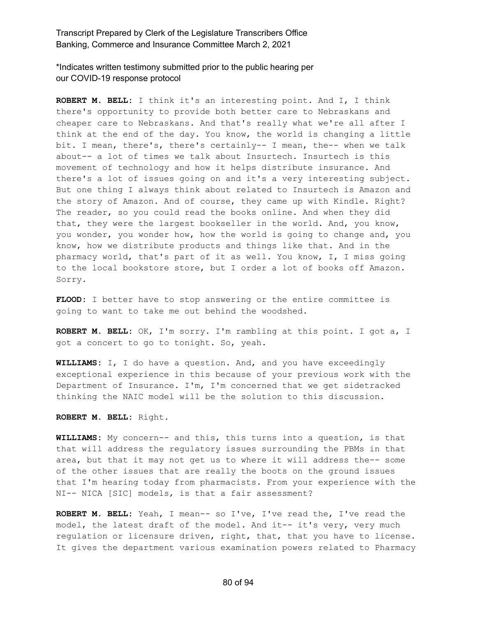\*Indicates written testimony submitted prior to the public hearing per our COVID-19 response protocol

**ROBERT M. BELL:** I think it's an interesting point. And I, I think there's opportunity to provide both better care to Nebraskans and cheaper care to Nebraskans. And that's really what we're all after I think at the end of the day. You know, the world is changing a little bit. I mean, there's, there's certainly-- I mean, the-- when we talk about-- a lot of times we talk about Insurtech. Insurtech is this movement of technology and how it helps distribute insurance. And there's a lot of issues going on and it's a very interesting subject. But one thing I always think about related to Insurtech is Amazon and the story of Amazon. And of course, they came up with Kindle. Right? The reader, so you could read the books online. And when they did that, they were the largest bookseller in the world. And, you know, you wonder, you wonder how, how the world is going to change and, you know, how we distribute products and things like that. And in the pharmacy world, that's part of it as well. You know, I, I miss going to the local bookstore store, but I order a lot of books off Amazon. Sorry.

**FLOOD:** I better have to stop answering or the entire committee is going to want to take me out behind the woodshed.

**ROBERT M. BELL:** OK, I'm sorry. I'm rambling at this point. I got a, I got a concert to go to tonight. So, yeah.

**WILLIAMS:** I, I do have a question. And, and you have exceedingly exceptional experience in this because of your previous work with the Department of Insurance. I'm, I'm concerned that we get sidetracked thinking the NAIC model will be the solution to this discussion.

**ROBERT M. BELL:** Right.

**WILLIAMS:** My concern-- and this, this turns into a question, is that that will address the regulatory issues surrounding the PBMs in that area, but that it may not get us to where it will address the-- some of the other issues that are really the boots on the ground issues that I'm hearing today from pharmacists. From your experience with the NI-- NICA [SIC] models, is that a fair assessment?

**ROBERT M. BELL:** Yeah, I mean-- so I've, I've read the, I've read the model, the latest draft of the model. And it-- it's very, very much regulation or licensure driven, right, that, that you have to license. It gives the department various examination powers related to Pharmacy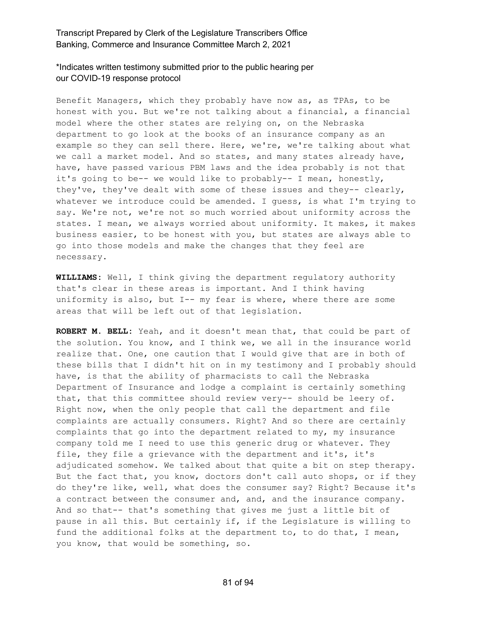### \*Indicates written testimony submitted prior to the public hearing per our COVID-19 response protocol

Benefit Managers, which they probably have now as, as TPAs, to be honest with you. But we're not talking about a financial, a financial model where the other states are relying on, on the Nebraska department to go look at the books of an insurance company as an example so they can sell there. Here, we're, we're talking about what we call a market model. And so states, and many states already have, have, have passed various PBM laws and the idea probably is not that it's going to be-- we would like to probably-- I mean, honestly, they've, they've dealt with some of these issues and they-- clearly, whatever we introduce could be amended. I guess, is what I'm trying to say. We're not, we're not so much worried about uniformity across the states. I mean, we always worried about uniformity. It makes, it makes business easier, to be honest with you, but states are always able to go into those models and make the changes that they feel are necessary.

**WILLIAMS:** Well, I think giving the department regulatory authority that's clear in these areas is important. And I think having uniformity is also, but I-- my fear is where, where there are some areas that will be left out of that legislation.

**ROBERT M. BELL:** Yeah, and it doesn't mean that, that could be part of the solution. You know, and I think we, we all in the insurance world realize that. One, one caution that I would give that are in both of these bills that I didn't hit on in my testimony and I probably should have, is that the ability of pharmacists to call the Nebraska Department of Insurance and lodge a complaint is certainly something that, that this committee should review very-- should be leery of. Right now, when the only people that call the department and file complaints are actually consumers. Right? And so there are certainly complaints that go into the department related to my, my insurance company told me I need to use this generic drug or whatever. They file, they file a grievance with the department and it's, it's adjudicated somehow. We talked about that quite a bit on step therapy. But the fact that, you know, doctors don't call auto shops, or if they do they're like, well, what does the consumer say? Right? Because it's a contract between the consumer and, and, and the insurance company. And so that-- that's something that gives me just a little bit of pause in all this. But certainly if, if the Legislature is willing to fund the additional folks at the department to, to do that, I mean, you know, that would be something, so.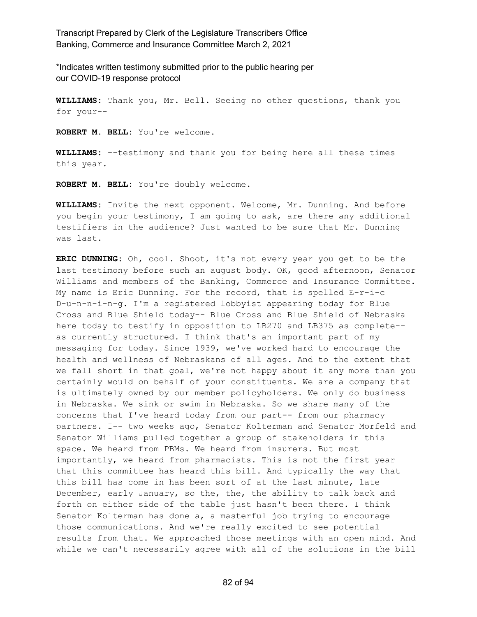\*Indicates written testimony submitted prior to the public hearing per our COVID-19 response protocol

**WILLIAMS:** Thank you, Mr. Bell. Seeing no other questions, thank you for your--

**ROBERT M. BELL:** You're welcome.

**WILLIAMS:** --testimony and thank you for being here all these times this year.

**ROBERT M. BELL:** You're doubly welcome.

**WILLIAMS:** Invite the next opponent. Welcome, Mr. Dunning. And before you begin your testimony, I am going to ask, are there any additional testifiers in the audience? Just wanted to be sure that Mr. Dunning was last.

**ERIC DUNNING:** Oh, cool. Shoot, it's not every year you get to be the last testimony before such an august body. OK, good afternoon, Senator Williams and members of the Banking, Commerce and Insurance Committee. My name is Eric Dunning. For the record, that is spelled E-r-i-c D-u-n-n-i-n-g. I'm a registered lobbyist appearing today for Blue Cross and Blue Shield today-- Blue Cross and Blue Shield of Nebraska here today to testify in opposition to LB270 and LB375 as complete- as currently structured. I think that's an important part of my messaging for today. Since 1939, we've worked hard to encourage the health and wellness of Nebraskans of all ages. And to the extent that we fall short in that goal, we're not happy about it any more than you certainly would on behalf of your constituents. We are a company that is ultimately owned by our member policyholders. We only do business in Nebraska. We sink or swim in Nebraska. So we share many of the concerns that I've heard today from our part-- from our pharmacy partners. I-- two weeks ago, Senator Kolterman and Senator Morfeld and Senator Williams pulled together a group of stakeholders in this space. We heard from PBMs. We heard from insurers. But most importantly, we heard from pharmacists. This is not the first year that this committee has heard this bill. And typically the way that this bill has come in has been sort of at the last minute, late December, early January, so the, the, the ability to talk back and forth on either side of the table just hasn't been there. I think Senator Kolterman has done a, a masterful job trying to encourage those communications. And we're really excited to see potential results from that. We approached those meetings with an open mind. And while we can't necessarily agree with all of the solutions in the bill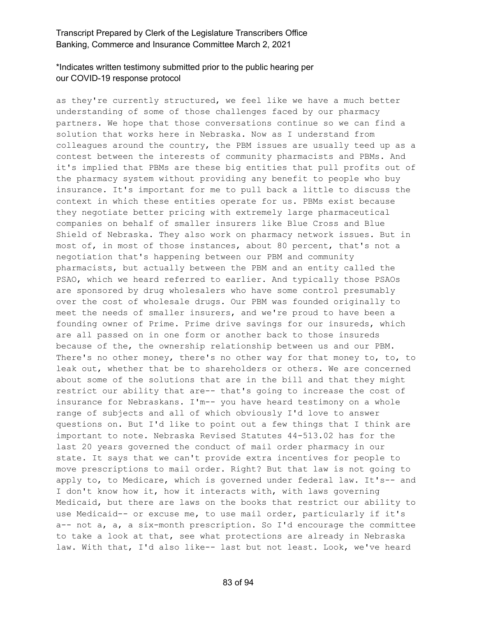## \*Indicates written testimony submitted prior to the public hearing per our COVID-19 response protocol

as they're currently structured, we feel like we have a much better understanding of some of those challenges faced by our pharmacy partners. We hope that those conversations continue so we can find a solution that works here in Nebraska. Now as I understand from colleagues around the country, the PBM issues are usually teed up as a contest between the interests of community pharmacists and PBMs. And it's implied that PBMs are these big entities that pull profits out of the pharmacy system without providing any benefit to people who buy insurance. It's important for me to pull back a little to discuss the context in which these entities operate for us. PBMs exist because they negotiate better pricing with extremely large pharmaceutical companies on behalf of smaller insurers like Blue Cross and Blue Shield of Nebraska. They also work on pharmacy network issues. But in most of, in most of those instances, about 80 percent, that's not a negotiation that's happening between our PBM and community pharmacists, but actually between the PBM and an entity called the PSAO, which we heard referred to earlier. And typically those PSAOs are sponsored by drug wholesalers who have some control presumably over the cost of wholesale drugs. Our PBM was founded originally to meet the needs of smaller insurers, and we're proud to have been a founding owner of Prime. Prime drive savings for our insureds, which are all passed on in one form or another back to those insureds because of the, the ownership relationship between us and our PBM. There's no other money, there's no other way for that money to, to, to leak out, whether that be to shareholders or others. We are concerned about some of the solutions that are in the bill and that they might restrict our ability that are-- that's going to increase the cost of insurance for Nebraskans. I'm-- you have heard testimony on a whole range of subjects and all of which obviously I'd love to answer questions on. But I'd like to point out a few things that I think are important to note. Nebraska Revised Statutes 44-513.02 has for the last 20 years governed the conduct of mail order pharmacy in our state. It says that we can't provide extra incentives for people to move prescriptions to mail order. Right? But that law is not going to apply to, to Medicare, which is governed under federal law. It's-- and I don't know how it, how it interacts with, with laws governing Medicaid, but there are laws on the books that restrict our ability to use Medicaid-- or excuse me, to use mail order, particularly if it's a-- not a, a, a six-month prescription. So I'd encourage the committee to take a look at that, see what protections are already in Nebraska law. With that, I'd also like-- last but not least. Look, we've heard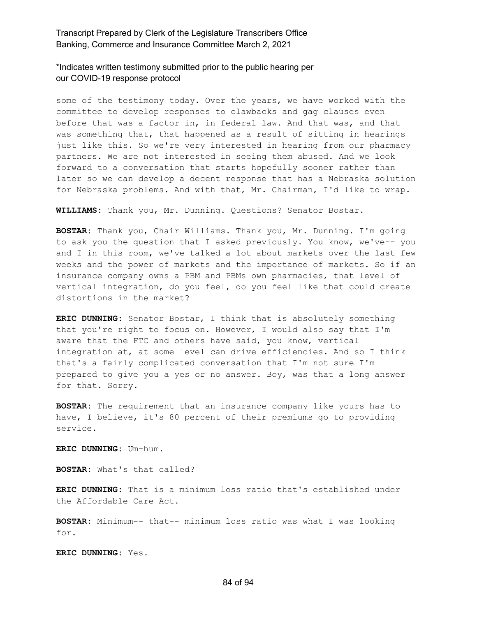\*Indicates written testimony submitted prior to the public hearing per our COVID-19 response protocol

some of the testimony today. Over the years, we have worked with the committee to develop responses to clawbacks and gag clauses even before that was a factor in, in federal law. And that was, and that was something that, that happened as a result of sitting in hearings just like this. So we're very interested in hearing from our pharmacy partners. We are not interested in seeing them abused. And we look forward to a conversation that starts hopefully sooner rather than later so we can develop a decent response that has a Nebraska solution for Nebraska problems. And with that, Mr. Chairman, I'd like to wrap.

**WILLIAMS:** Thank you, Mr. Dunning. Questions? Senator Bostar.

**BOSTAR:** Thank you, Chair Williams. Thank you, Mr. Dunning. I'm going to ask you the question that I asked previously. You know, we've-- you and I in this room, we've talked a lot about markets over the last few weeks and the power of markets and the importance of markets. So if an insurance company owns a PBM and PBMs own pharmacies, that level of vertical integration, do you feel, do you feel like that could create distortions in the market?

**ERIC DUNNING:** Senator Bostar, I think that is absolutely something that you're right to focus on. However, I would also say that I'm aware that the FTC and others have said, you know, vertical integration at, at some level can drive efficiencies. And so I think that's a fairly complicated conversation that I'm not sure I'm prepared to give you a yes or no answer. Boy, was that a long answer for that. Sorry.

**BOSTAR:** The requirement that an insurance company like yours has to have, I believe, it's 80 percent of their premiums go to providing service.

**ERIC DUNNING:** Um-hum.

**BOSTAR:** What's that called?

**ERIC DUNNING:** That is a minimum loss ratio that's established under the Affordable Care Act.

**BOSTAR:** Minimum-- that-- minimum loss ratio was what I was looking for.

**ERIC DUNNING:** Yes.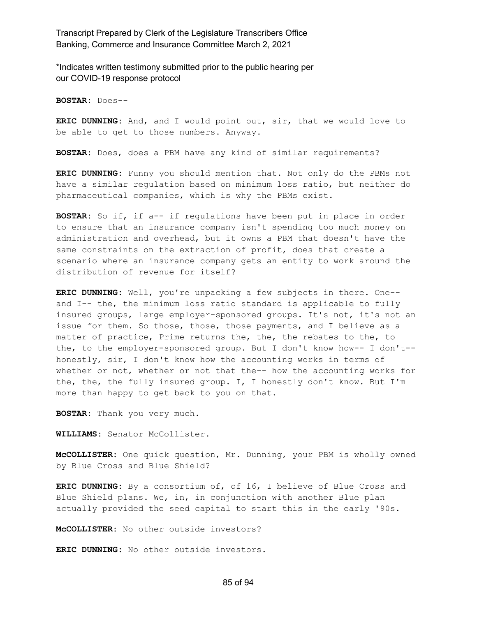\*Indicates written testimony submitted prior to the public hearing per our COVID-19 response protocol

**BOSTAR:** Does--

**ERIC DUNNING:** And, and I would point out, sir, that we would love to be able to get to those numbers. Anyway.

**BOSTAR:** Does, does a PBM have any kind of similar requirements?

**ERIC DUNNING:** Funny you should mention that. Not only do the PBMs not have a similar regulation based on minimum loss ratio, but neither do pharmaceutical companies, which is why the PBMs exist.

**BOSTAR:** So if, if a-- if regulations have been put in place in order to ensure that an insurance company isn't spending too much money on administration and overhead, but it owns a PBM that doesn't have the same constraints on the extraction of profit, does that create a scenario where an insurance company gets an entity to work around the distribution of revenue for itself?

**ERIC DUNNING:** Well, you're unpacking a few subjects in there. One- and I-- the, the minimum loss ratio standard is applicable to fully insured groups, large employer-sponsored groups. It's not, it's not an issue for them. So those, those, those payments, and I believe as a matter of practice, Prime returns the, the, the rebates to the, to the, to the employer-sponsored group. But I don't know how-- I don't- honestly, sir, I don't know how the accounting works in terms of whether or not, whether or not that the-- how the accounting works for the, the, the fully insured group. I, I honestly don't know. But I'm more than happy to get back to you on that.

**BOSTAR:** Thank you very much.

**WILLIAMS:** Senator McCollister.

**McCOLLISTER:** One quick question, Mr. Dunning, your PBM is wholly owned by Blue Cross and Blue Shield?

**ERIC DUNNING:** By a consortium of, of 16, I believe of Blue Cross and Blue Shield plans. We, in, in conjunction with another Blue plan actually provided the seed capital to start this in the early '90s.

**McCOLLISTER:** No other outside investors?

**ERIC DUNNING:** No other outside investors.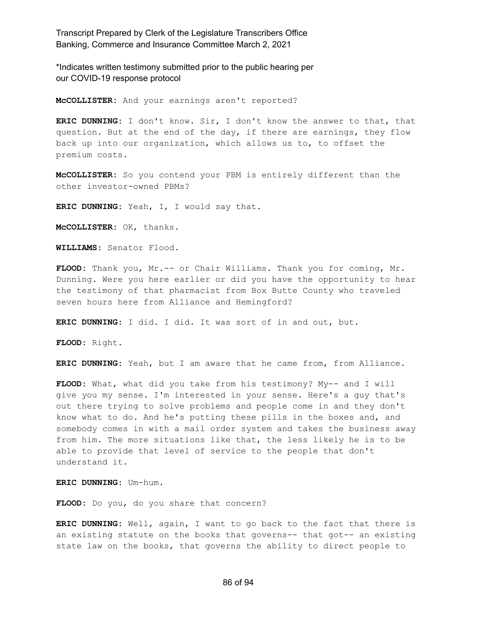\*Indicates written testimony submitted prior to the public hearing per our COVID-19 response protocol

**McCOLLISTER:** And your earnings aren't reported?

**ERIC DUNNING:** I don't know. Sir, I don't know the answer to that, that question. But at the end of the day, if there are earnings, they flow back up into our organization, which allows us to, to offset the premium costs.

**McCOLLISTER:** So you contend your PBM is entirely different than the other investor-owned PBMs?

**ERIC DUNNING:** Yeah, I, I would say that.

**McCOLLISTER:** OK, thanks.

**WILLIAMS:** Senator Flood.

**FLOOD:** Thank you, Mr.-- or Chair Williams. Thank you for coming, Mr. Dunning. Were you here earlier or did you have the opportunity to hear the testimony of that pharmacist from Box Butte County who traveled seven hours here from Alliance and Hemingford?

**ERIC DUNNING:** I did. I did. It was sort of in and out, but.

**FLOOD:** Right.

**ERIC DUNNING:** Yeah, but I am aware that he came from, from Alliance.

**FLOOD:** What, what did you take from his testimony? My-- and I will give you my sense. I'm interested in your sense. Here's a guy that's out there trying to solve problems and people come in and they don't know what to do. And he's putting these pills in the boxes and, and somebody comes in with a mail order system and takes the business away from him. The more situations like that, the less likely he is to be able to provide that level of service to the people that don't understand it.

**ERIC DUNNING:** Um-hum.

**FLOOD:** Do you, do you share that concern?

**ERIC DUNNING:** Well, again, I want to go back to the fact that there is an existing statute on the books that governs-- that got-- an existing state law on the books, that governs the ability to direct people to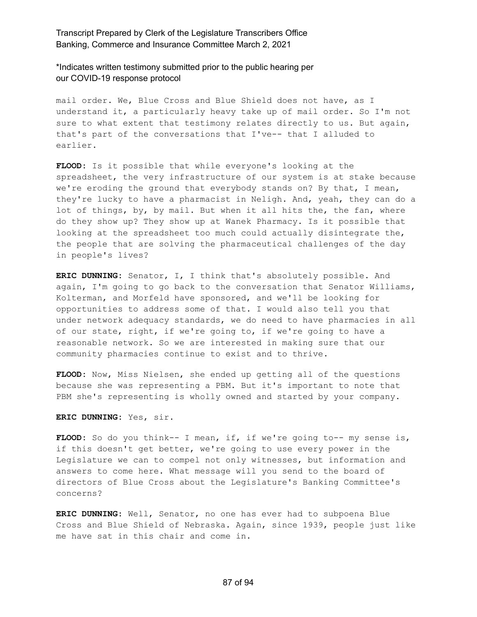\*Indicates written testimony submitted prior to the public hearing per our COVID-19 response protocol

mail order. We, Blue Cross and Blue Shield does not have, as I understand it, a particularly heavy take up of mail order. So I'm not sure to what extent that testimony relates directly to us. But again, that's part of the conversations that I've-- that I alluded to earlier.

**FLOOD:** Is it possible that while everyone's looking at the spreadsheet, the very infrastructure of our system is at stake because we're eroding the ground that everybody stands on? By that, I mean, they're lucky to have a pharmacist in Neligh. And, yeah, they can do a lot of things, by, by mail. But when it all hits the, the fan, where do they show up? They show up at Wanek Pharmacy. Is it possible that looking at the spreadsheet too much could actually disintegrate the, the people that are solving the pharmaceutical challenges of the day in people's lives?

**ERIC DUNNING:** Senator, I, I think that's absolutely possible. And again, I'm going to go back to the conversation that Senator Williams, Kolterman, and Morfeld have sponsored, and we'll be looking for opportunities to address some of that. I would also tell you that under network adequacy standards, we do need to have pharmacies in all of our state, right, if we're going to, if we're going to have a reasonable network. So we are interested in making sure that our community pharmacies continue to exist and to thrive.

**FLOOD:** Now, Miss Nielsen, she ended up getting all of the questions because she was representing a PBM. But it's important to note that PBM she's representing is wholly owned and started by your company.

**ERIC DUNNING:** Yes, sir.

**FLOOD:** So do you think-- I mean, if, if we're going to-- my sense is, if this doesn't get better, we're going to use every power in the Legislature we can to compel not only witnesses, but information and answers to come here. What message will you send to the board of directors of Blue Cross about the Legislature's Banking Committee's concerns?

**ERIC DUNNING:** Well, Senator, no one has ever had to subpoena Blue Cross and Blue Shield of Nebraska. Again, since 1939, people just like me have sat in this chair and come in.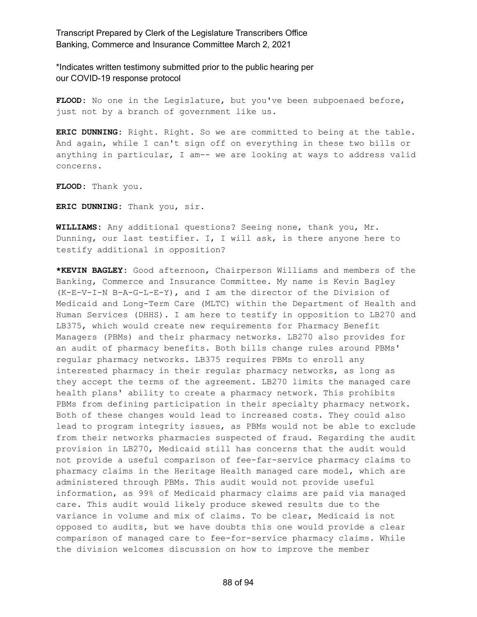\*Indicates written testimony submitted prior to the public hearing per our COVID-19 response protocol

FLOOD: No one in the Legislature, but you've been subpoenaed before, just not by a branch of government like us.

**ERIC DUNNING:** Right. Right. So we are committed to being at the table. And again, while I can't sign off on everything in these two bills or anything in particular, I am-- we are looking at ways to address valid concerns.

**FLOOD:** Thank you.

**ERIC DUNNING:** Thank you, sir.

**WILLIAMS:** Any additional questions? Seeing none, thank you, Mr. Dunning, our last testifier. I, I will ask, is there anyone here to testify additional in opposition?

**\*KEVIN BAGLEY:** Good afternoon, Chairperson Williams and members of the Banking, Commerce and Insurance Committee. My name is Kevin Bagley (K-E-V-I-N B-A-G-L-E-Y), and I am the director of the Division of Medicaid and Long-Term Care (MLTC) within the Department of Health and Human Services (DHHS). I am here to testify in opposition to LB270 and LB375, which would create new requirements for Pharmacy Benefit Managers (PBMs) and their pharmacy networks. LB270 also provides for an audit of pharmacy benefits. Both bills change rules around PBMs' regular pharmacy networks. LB375 requires PBMs to enroll any interested pharmacy in their regular pharmacy networks, as long as they accept the terms of the agreement. LB270 limits the managed care health plans' ability to create a pharmacy network. This prohibits PBMs from defining participation in their specialty pharmacy network. Both of these changes would lead to increased costs. They could also lead to program integrity issues, as PBMs would not be able to exclude from their networks pharmacies suspected of fraud. Regarding the audit provision in LB270, Medicaid still has concerns that the audit would not provide a useful comparison of fee-far-service pharmacy claims to pharmacy claims in the Heritage Health managed care model, which are administered through PBMs. This audit would not provide useful information, as 99% of Medicaid pharmacy claims are paid via managed care. This audit would likely produce skewed results due to the variance in volume and mix of claims. To be clear, Medicaid is not opposed to audits, but we have doubts this one would provide a clear comparison of managed care to fee-for-service pharmacy claims. While the division welcomes discussion on how to improve the member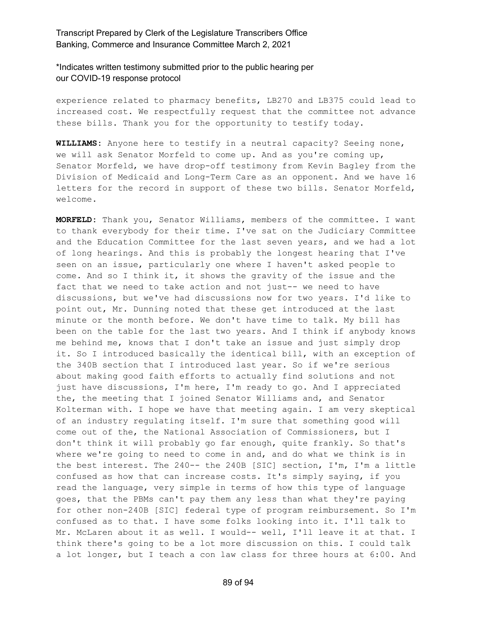\*Indicates written testimony submitted prior to the public hearing per our COVID-19 response protocol

experience related to pharmacy benefits, LB270 and LB375 could lead to increased cost. We respectfully request that the committee not advance these bills. Thank you for the opportunity to testify today.

**WILLIAMS:** Anyone here to testify in a neutral capacity? Seeing none, we will ask Senator Morfeld to come up. And as you're coming up, Senator Morfeld, we have drop-off testimony from Kevin Bagley from the Division of Medicaid and Long-Term Care as an opponent. And we have 16 letters for the record in support of these two bills. Senator Morfeld, welcome.

**MORFELD:** Thank you, Senator Williams, members of the committee. I want to thank everybody for their time. I've sat on the Judiciary Committee and the Education Committee for the last seven years, and we had a lot of long hearings. And this is probably the longest hearing that I've seen on an issue, particularly one where I haven't asked people to come. And so I think it, it shows the gravity of the issue and the fact that we need to take action and not just-- we need to have discussions, but we've had discussions now for two years. I'd like to point out, Mr. Dunning noted that these get introduced at the last minute or the month before. We don't have time to talk. My bill has been on the table for the last two years. And I think if anybody knows me behind me, knows that I don't take an issue and just simply drop it. So I introduced basically the identical bill, with an exception of the 340B section that I introduced last year. So if we're serious about making good faith efforts to actually find solutions and not just have discussions, I'm here, I'm ready to go. And I appreciated the, the meeting that I joined Senator Williams and, and Senator Kolterman with. I hope we have that meeting again. I am very skeptical of an industry regulating itself. I'm sure that something good will come out of the, the National Association of Commissioners, but I don't think it will probably go far enough, quite frankly. So that's where we're going to need to come in and, and do what we think is in the best interest. The 240-- the 240B [SIC] section, I'm, I'm a little confused as how that can increase costs. It's simply saying, if you read the language, very simple in terms of how this type of language goes, that the PBMs can't pay them any less than what they're paying for other non-240B [SIC] federal type of program reimbursement. So I'm confused as to that. I have some folks looking into it. I'll talk to Mr. McLaren about it as well. I would-- well, I'll leave it at that. I think there's going to be a lot more discussion on this. I could talk a lot longer, but I teach a con law class for three hours at 6:00. And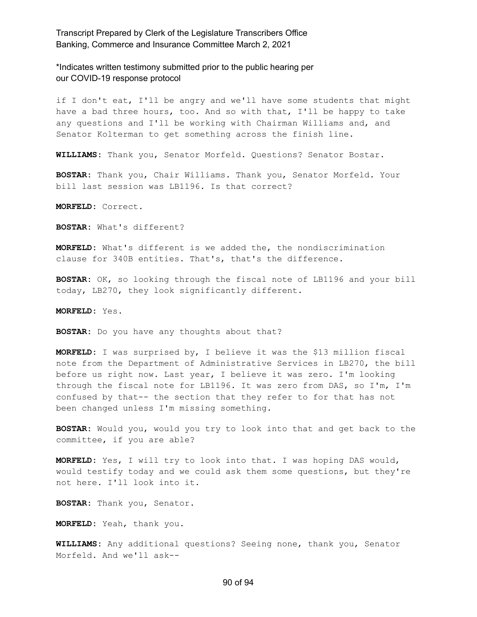\*Indicates written testimony submitted prior to the public hearing per our COVID-19 response protocol

if I don't eat, I'll be angry and we'll have some students that might have a bad three hours, too. And so with that, I'll be happy to take any questions and I'll be working with Chairman Williams and, and Senator Kolterman to get something across the finish line.

**WILLIAMS:** Thank you, Senator Morfeld. Questions? Senator Bostar.

**BOSTAR:** Thank you, Chair Williams. Thank you, Senator Morfeld. Your bill last session was LB1196. Is that correct?

**MORFELD:** Correct.

**BOSTAR:** What's different?

**MORFELD:** What's different is we added the, the nondiscrimination clause for 340B entities. That's, that's the difference.

**BOSTAR:** OK, so looking through the fiscal note of LB1196 and your bill today, LB270, they look significantly different.

**MORFELD:** Yes.

**BOSTAR:** Do you have any thoughts about that?

**MORFELD:** I was surprised by, I believe it was the \$13 million fiscal note from the Department of Administrative Services in LB270, the bill before us right now. Last year, I believe it was zero. I'm looking through the fiscal note for LB1196. It was zero from DAS, so I'm, I'm confused by that-- the section that they refer to for that has not been changed unless I'm missing something.

**BOSTAR:** Would you, would you try to look into that and get back to the committee, if you are able?

**MORFELD:** Yes, I will try to look into that. I was hoping DAS would, would testify today and we could ask them some questions, but they're not here. I'll look into it.

**BOSTAR:** Thank you, Senator.

**MORFELD:** Yeah, thank you.

**WILLIAMS:** Any additional questions? Seeing none, thank you, Senator Morfeld. And we'll ask--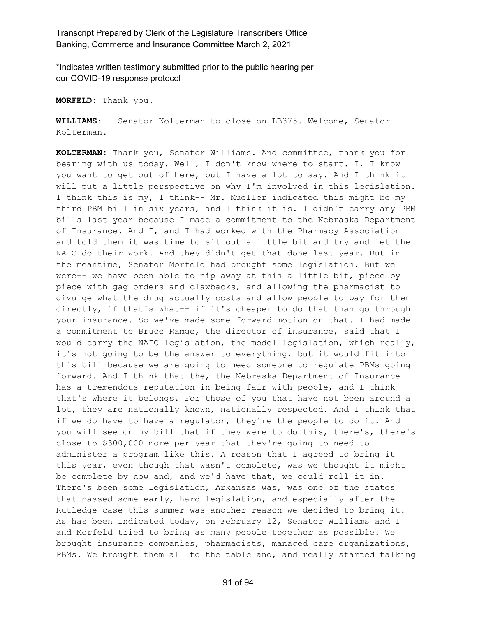\*Indicates written testimony submitted prior to the public hearing per our COVID-19 response protocol

**MORFELD:** Thank you.

**WILLIAMS:** --Senator Kolterman to close on LB375. Welcome, Senator Kolterman.

**KOLTERMAN:** Thank you, Senator Williams. And committee, thank you for bearing with us today. Well, I don't know where to start. I, I know you want to get out of here, but I have a lot to say. And I think it will put a little perspective on why I'm involved in this legislation. I think this is my, I think-- Mr. Mueller indicated this might be my third PBM bill in six years, and I think it is. I didn't carry any PBM bills last year because I made a commitment to the Nebraska Department of Insurance. And I, and I had worked with the Pharmacy Association and told them it was time to sit out a little bit and try and let the NAIC do their work. And they didn't get that done last year. But in the meantime, Senator Morfeld had brought some legislation. But we were-- we have been able to nip away at this a little bit, piece by piece with gag orders and clawbacks, and allowing the pharmacist to divulge what the drug actually costs and allow people to pay for them directly, if that's what-- if it's cheaper to do that than go through your insurance. So we've made some forward motion on that. I had made a commitment to Bruce Ramge, the director of insurance, said that I would carry the NAIC legislation, the model legislation, which really, it's not going to be the answer to everything, but it would fit into this bill because we are going to need someone to regulate PBMs going forward. And I think that the, the Nebraska Department of Insurance has a tremendous reputation in being fair with people, and I think that's where it belongs. For those of you that have not been around a lot, they are nationally known, nationally respected. And I think that if we do have to have a regulator, they're the people to do it. And you will see on my bill that if they were to do this, there's, there's close to \$300,000 more per year that they're going to need to administer a program like this. A reason that I agreed to bring it this year, even though that wasn't complete, was we thought it might be complete by now and, and we'd have that, we could roll it in. There's been some legislation, Arkansas was, was one of the states that passed some early, hard legislation, and especially after the Rutledge case this summer was another reason we decided to bring it. As has been indicated today, on February 12, Senator Williams and I and Morfeld tried to bring as many people together as possible. We brought insurance companies, pharmacists, managed care organizations, PBMs. We brought them all to the table and, and really started talking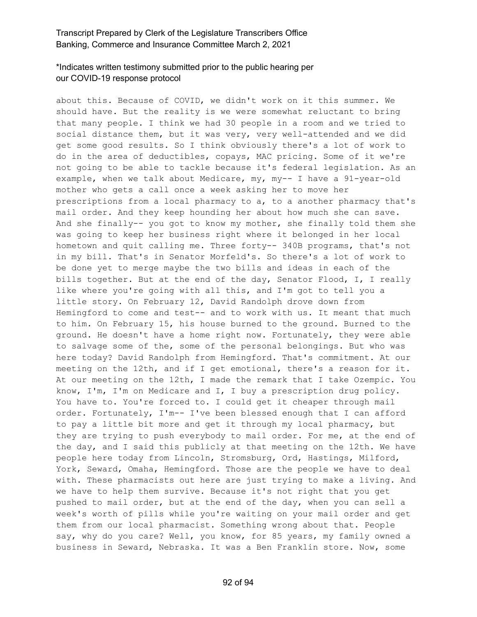# \*Indicates written testimony submitted prior to the public hearing per our COVID-19 response protocol

about this. Because of COVID, we didn't work on it this summer. We should have. But the reality is we were somewhat reluctant to bring that many people. I think we had 30 people in a room and we tried to social distance them, but it was very, very well-attended and we did get some good results. So I think obviously there's a lot of work to do in the area of deductibles, copays, MAC pricing. Some of it we're not going to be able to tackle because it's federal legislation. As an example, when we talk about Medicare, my, my-- I have a 91-year-old mother who gets a call once a week asking her to move her prescriptions from a local pharmacy to a, to a another pharmacy that's mail order. And they keep hounding her about how much she can save. And she finally-- you got to know my mother, she finally told them she was going to keep her business right where it belonged in her local hometown and quit calling me. Three forty-- 340B programs, that's not in my bill. That's in Senator Morfeld's. So there's a lot of work to be done yet to merge maybe the two bills and ideas in each of the bills together. But at the end of the day, Senator Flood, I, I really like where you're going with all this, and I'm got to tell you a little story. On February 12, David Randolph drove down from Hemingford to come and test-- and to work with us. It meant that much to him. On February 15, his house burned to the ground. Burned to the ground. He doesn't have a home right now. Fortunately, they were able to salvage some of the, some of the personal belongings. But who was here today? David Randolph from Hemingford. That's commitment. At our meeting on the 12th, and if I get emotional, there's a reason for it. At our meeting on the 12th, I made the remark that I take Ozempic. You know, I'm, I'm on Medicare and I, I buy a prescription drug policy. You have to. You're forced to. I could get it cheaper through mail order. Fortunately, I'm-- I've been blessed enough that I can afford to pay a little bit more and get it through my local pharmacy, but they are trying to push everybody to mail order. For me, at the end of the day, and I said this publicly at that meeting on the 12th. We have people here today from Lincoln, Stromsburg, Ord, Hastings, Milford, York, Seward, Omaha, Hemingford. Those are the people we have to deal with. These pharmacists out here are just trying to make a living. And we have to help them survive. Because it's not right that you get pushed to mail order, but at the end of the day, when you can sell a week's worth of pills while you're waiting on your mail order and get them from our local pharmacist. Something wrong about that. People say, why do you care? Well, you know, for 85 years, my family owned a business in Seward, Nebraska. It was a Ben Franklin store. Now, some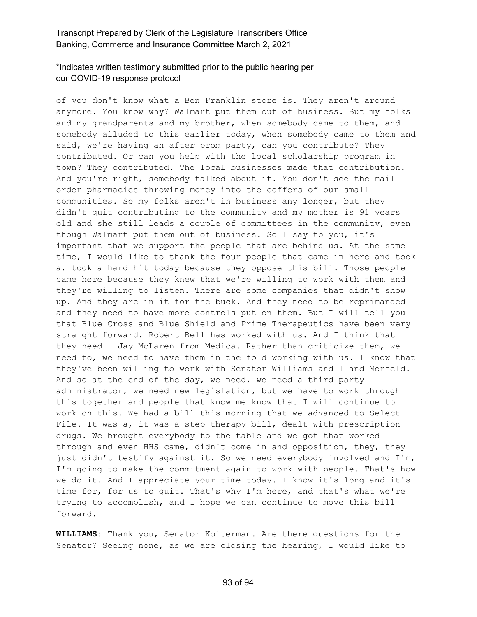# \*Indicates written testimony submitted prior to the public hearing per our COVID-19 response protocol

of you don't know what a Ben Franklin store is. They aren't around anymore. You know why? Walmart put them out of business. But my folks and my grandparents and my brother, when somebody came to them, and somebody alluded to this earlier today, when somebody came to them and said, we're having an after prom party, can you contribute? They contributed. Or can you help with the local scholarship program in town? They contributed. The local businesses made that contribution. And you're right, somebody talked about it. You don't see the mail order pharmacies throwing money into the coffers of our small communities. So my folks aren't in business any longer, but they didn't quit contributing to the community and my mother is 91 years old and she still leads a couple of committees in the community, even though Walmart put them out of business. So I say to you, it's important that we support the people that are behind us. At the same time, I would like to thank the four people that came in here and took a, took a hard hit today because they oppose this bill. Those people came here because they knew that we're willing to work with them and they're willing to listen. There are some companies that didn't show up. And they are in it for the buck. And they need to be reprimanded and they need to have more controls put on them. But I will tell you that Blue Cross and Blue Shield and Prime Therapeutics have been very straight forward. Robert Bell has worked with us. And I think that they need-- Jay McLaren from Medica. Rather than criticize them, we need to, we need to have them in the fold working with us. I know that they've been willing to work with Senator Williams and I and Morfeld. And so at the end of the day, we need, we need a third party administrator, we need new legislation, but we have to work through this together and people that know me know that I will continue to work on this. We had a bill this morning that we advanced to Select File. It was a, it was a step therapy bill, dealt with prescription drugs. We brought everybody to the table and we got that worked through and even HHS came, didn't come in and opposition, they, they just didn't testify against it. So we need everybody involved and I'm, I'm going to make the commitment again to work with people. That's how we do it. And I appreciate your time today. I know it's long and it's time for, for us to quit. That's why I'm here, and that's what we're trying to accomplish, and I hope we can continue to move this bill forward.

**WILLIAMS:** Thank you, Senator Kolterman. Are there questions for the Senator? Seeing none, as we are closing the hearing, I would like to